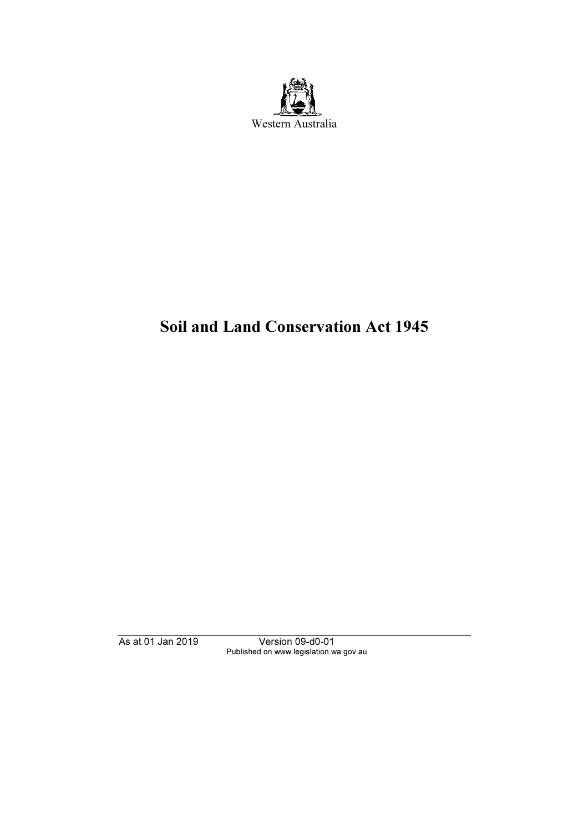

# Soil and Land Conservation Act 1945

As at 01 Jan 2019 Version 09-d0-01 Published on www.legislation.wa.gov.au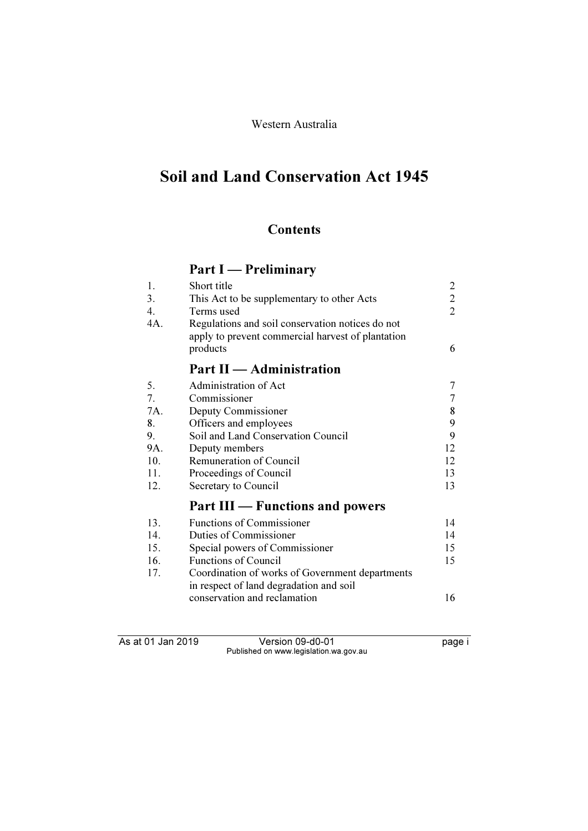# Western Australia

# Soil and Land Conservation Act 1945

# **Contents**

# Part I — Preliminary

| 1.  | Short title                                                                                           | 2              |
|-----|-------------------------------------------------------------------------------------------------------|----------------|
| 3.  | This Act to be supplementary to other Acts                                                            | $\overline{2}$ |
| 4.  | Terms used                                                                                            | $\overline{2}$ |
| 4A. | Regulations and soil conservation notices do not<br>apply to prevent commercial harvest of plantation |                |
|     | products                                                                                              | 6              |
|     | <b>Part II</b> — Administration                                                                       |                |
| 5.  | Administration of Act                                                                                 | 7              |
| 7.  | Commissioner                                                                                          | $\overline{7}$ |
| 7A. | Deputy Commissioner                                                                                   | 8              |
| 8.  | Officers and employees                                                                                | 9              |
| 9.  | Soil and Land Conservation Council                                                                    | 9              |
| 9A. | Deputy members                                                                                        | 12             |
| 10. | Remuneration of Council                                                                               | 12             |
| 11. | Proceedings of Council                                                                                | 13             |
| 12. | Secretary to Council                                                                                  | 13             |
|     | <b>Part III</b> — Functions and powers                                                                |                |
| 13. | <b>Functions of Commissioner</b>                                                                      | 14             |
| 14. | Duties of Commissioner                                                                                | 14             |
| 15. | Special powers of Commissioner                                                                        | 15             |
| 16. | <b>Functions of Council</b>                                                                           | 15             |
| 17. | Coordination of works of Government departments                                                       |                |

| Coordination of works of Government departments |    |
|-------------------------------------------------|----|
| in respect of land degradation and soil         |    |
| conservation and reclamation                    | 16 |

As at 01 Jan 2019 Version 09-d0-01 page i Published on www.legislation.wa.gov.au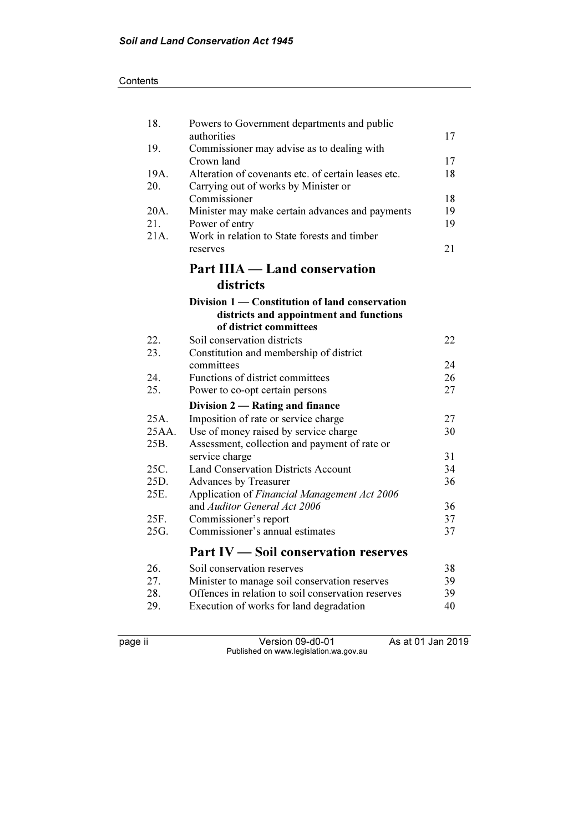| 18.   | Powers to Government departments and public                         |          |
|-------|---------------------------------------------------------------------|----------|
| 19.   | authorities<br>Commissioner may advise as to dealing with           | 17       |
|       | Crown land                                                          | 17       |
| 19A.  | Alteration of covenants etc. of certain leases etc.                 | 18       |
| 20.   | Carrying out of works by Minister or                                |          |
|       | Commissioner                                                        | 18       |
| 20A.  | Minister may make certain advances and payments                     | 19       |
| 21.   | Power of entry                                                      | 19       |
| 21A.  | Work in relation to State forests and timber                        |          |
|       | reserves                                                            | 21       |
|       | <b>Part IIIA — Land conservation</b>                                |          |
|       | districts                                                           |          |
|       | Division 1 - Constitution of land conservation                      |          |
|       | districts and appointment and functions                             |          |
|       | of district committees                                              |          |
| 22.   | Soil conservation districts                                         | 22       |
| 23.   | Constitution and membership of district                             |          |
|       | committees                                                          | 24       |
| 24.   | Functions of district committees                                    | 26       |
| 25.   | Power to co-opt certain persons                                     | 27       |
|       | Division 2 — Rating and finance                                     |          |
| 25A.  | Imposition of rate or service charge                                | 27       |
| 25AA. | Use of money raised by service charge                               | 30       |
| 25B.  | Assessment, collection and payment of rate or                       |          |
| 25C.  | service charge                                                      | 31<br>34 |
| 25D.  | <b>Land Conservation Districts Account</b><br>Advances by Treasurer | 36       |
| 25E.  | Application of Financial Management Act 2006                        |          |
|       | and Auditor General Act 2006                                        | 36       |
| 25F.  | Commissioner's report                                               | 37       |
| 25G.  | Commissioner's annual estimates                                     | 37       |
|       |                                                                     |          |
|       | <b>Part IV - Soil conservation reserves</b>                         |          |
| 26.   | Soil conservation reserves                                          | 38       |
| 27.   | Minister to manage soil conservation reserves                       | 39       |
| 28.   | Offences in relation to soil conservation reserves                  | 39       |
| 29.   | Execution of works for land degradation                             | 40       |

page ii Version 09-d0-01 As at 01 Jan 2019 Published on www.legislation.wa.gov.au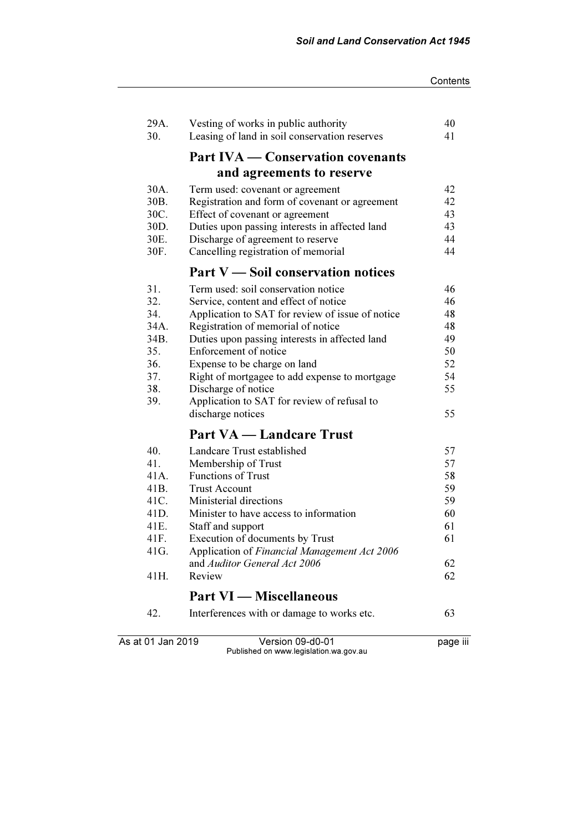| 29A.<br>30.       | Vesting of works in public authority<br>Leasing of land in soil conservation reserves | 40<br>41 |
|-------------------|---------------------------------------------------------------------------------------|----------|
|                   | <b>Part IVA — Conservation covenants</b>                                              |          |
|                   |                                                                                       |          |
|                   | and agreements to reserve                                                             |          |
| 30A.              | Term used: covenant or agreement                                                      | 42       |
| 30B.              | Registration and form of covenant or agreement                                        | 42       |
| 30C.              | Effect of covenant or agreement                                                       | 43       |
| 30D.              | Duties upon passing interests in affected land                                        | 43       |
| 30E.<br>30F.      | Discharge of agreement to reserve<br>Cancelling registration of memorial              | 44<br>44 |
|                   | Part V — Soil conservation notices                                                    |          |
| 31.               | Term used: soil conservation notice                                                   | 46       |
| 32.               | Service, content and effect of notice                                                 | 46       |
| 34.               | Application to SAT for review of issue of notice                                      | 48       |
| 34A.              | Registration of memorial of notice                                                    | 48       |
| 34B.              | Duties upon passing interests in affected land                                        | 49       |
| 35.               | Enforcement of notice                                                                 | 50       |
| 36.               | Expense to be charge on land                                                          | 52       |
| 37.               | Right of mortgagee to add expense to mortgage                                         | 54       |
| 38.               | Discharge of notice                                                                   | 55       |
| 39.               | Application to SAT for review of refusal to                                           |          |
|                   | discharge notices                                                                     | 55       |
|                   | <b>Part VA — Landcare Trust</b>                                                       |          |
| 40.               | Landcare Trust established                                                            | 57       |
| 41.               | Membership of Trust                                                                   | 57       |
| 41A.              | <b>Functions of Trust</b>                                                             | 58       |
| 41B.              | <b>Trust Account</b>                                                                  | 59       |
| 41C.              | Ministerial directions                                                                | 59       |
| 41D.              | Minister to have access to information                                                | 60       |
| 41E.              | Staff and support                                                                     | 61       |
| 41F.              | Execution of documents by Trust                                                       | 61       |
| 41G.              | Application of Financial Management Act 2006                                          |          |
|                   | and <i>Auditor General Act 2006</i>                                                   | 62       |
| 41H.              | Review                                                                                | 62       |
|                   | <b>Part VI — Miscellaneous</b>                                                        |          |
| 42.               | Interferences with or damage to works etc.                                            | 63       |
| As at 01 Jan 2019 | Version 09-d0-01                                                                      | page iii |

Published on www.legislation.wa.gov.au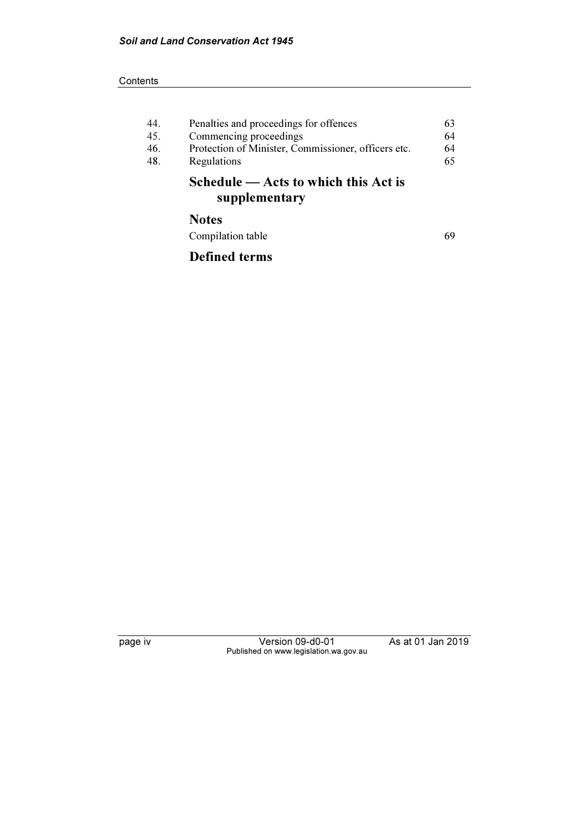#### **Contents**

| 44.<br>45.<br>46.<br>48. | Penalties and proceedings for offences<br>Commencing proceedings<br>Protection of Minister, Commissioner, officers etc.<br>Regulations | 63<br>64<br>64<br>65 |
|--------------------------|----------------------------------------------------------------------------------------------------------------------------------------|----------------------|
|                          | $S$ chedule $-$ Acts to which this Act is<br>supplementary                                                                             |                      |
|                          | <b>Notes</b>                                                                                                                           |                      |
|                          | Compilation table                                                                                                                      | 69                   |

Defined terms

page iv Version 09-d0-01 As at 01 Jan 2019 Published on www.legislation.wa.gov.au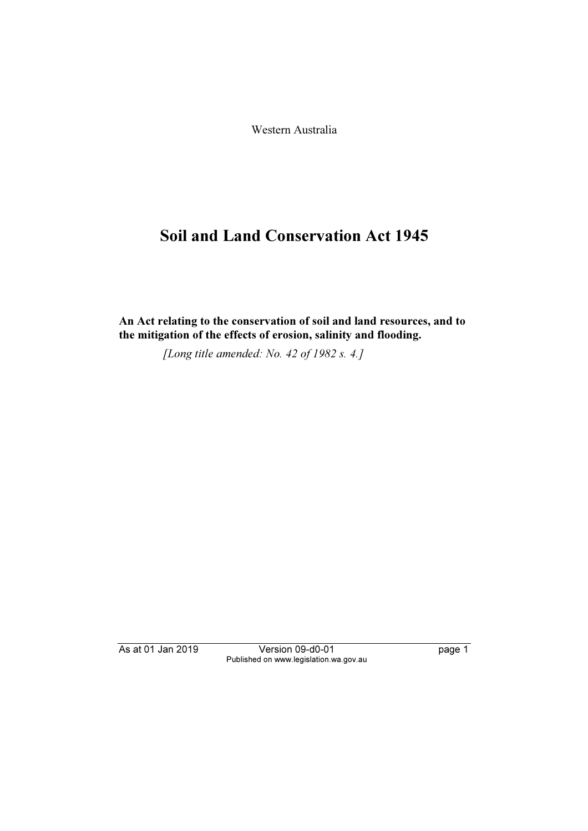Western Australia

# Soil and Land Conservation Act 1945

An Act relating to the conservation of soil and land resources, and to the mitigation of the effects of erosion, salinity and flooding.

[Long title amended: No. 42 of 1982 s. 4.]

As at 01 Jan 2019 Version 09-d0-01 page 1 Published on www.legislation.wa.gov.au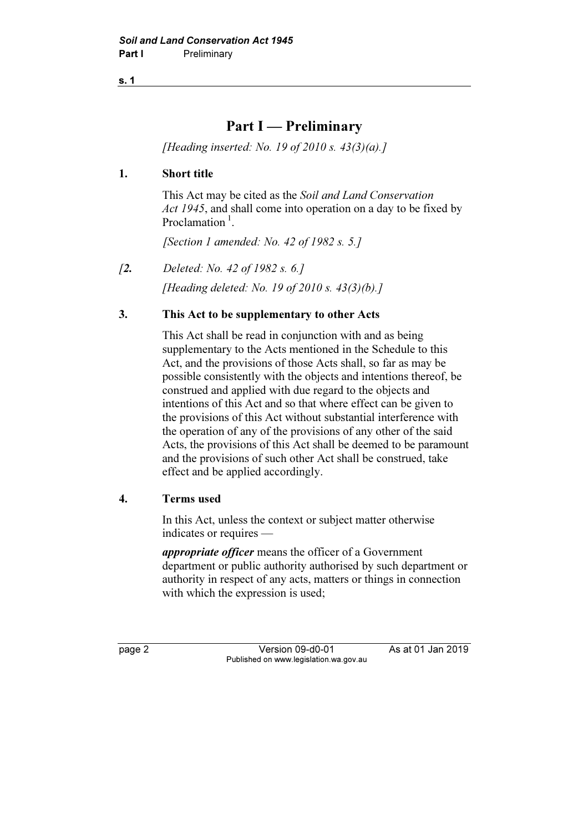# Part I — Preliminary

[Heading inserted: No. 19 of 2010 s.  $43(3)(a)$ .]

# 1. Short title

 This Act may be cited as the Soil and Land Conservation Act 1945, and shall come into operation on a day to be fixed by Proclamation $<sup>1</sup>$ .</sup>

[Section 1 amended: No. 42 of 1982 s. 5.]

[2. Deleted: No. 42 of 1982 s. 6.] [Heading deleted: No. 19 of 2010 s. 43(3)(b).]

# 3. This Act to be supplementary to other Acts

 This Act shall be read in conjunction with and as being supplementary to the Acts mentioned in the Schedule to this Act, and the provisions of those Acts shall, so far as may be possible consistently with the objects and intentions thereof, be construed and applied with due regard to the objects and intentions of this Act and so that where effect can be given to the provisions of this Act without substantial interference with the operation of any of the provisions of any other of the said Acts, the provisions of this Act shall be deemed to be paramount and the provisions of such other Act shall be construed, take effect and be applied accordingly.

#### 4. Terms used

 In this Act, unless the context or subject matter otherwise indicates or requires —

appropriate officer means the officer of a Government department or public authority authorised by such department or authority in respect of any acts, matters or things in connection with which the expression is used:

page 2 Version 09-d0-01 As at 01 Jan 2019 Published on www.legislation.wa.gov.au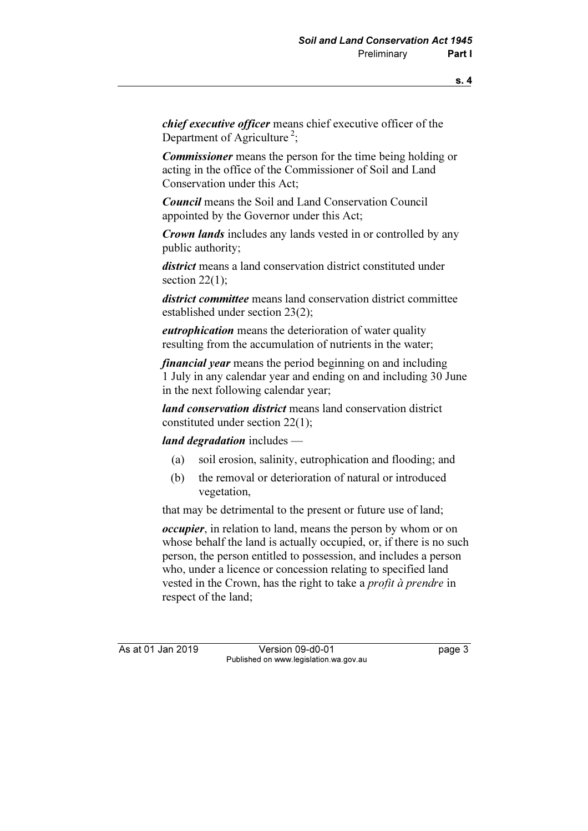chief executive officer means chief executive officer of the Department of Agriculture<sup>2</sup>:

Commissioner means the person for the time being holding or acting in the office of the Commissioner of Soil and Land Conservation under this Act;

Council means the Soil and Land Conservation Council appointed by the Governor under this Act;

**Crown lands** includes any lands vested in or controlled by any public authority;

district means a land conservation district constituted under section 22(1):

district committee means land conservation district committee established under section 23(2);

*eutrophication* means the deterioration of water quality resulting from the accumulation of nutrients in the water;

financial year means the period beginning on and including 1 July in any calendar year and ending on and including 30 June in the next following calendar year;

land conservation district means land conservation district constituted under section 22(1);

land degradation includes —

- (a) soil erosion, salinity, eutrophication and flooding; and
- (b) the removal or deterioration of natural or introduced vegetation,

that may be detrimental to the present or future use of land;

occupier, in relation to land, means the person by whom or on whose behalf the land is actually occupied, or, if there is no such person, the person entitled to possession, and includes a person who, under a licence or concession relating to specified land vested in the Crown, has the right to take a profit à prendre in respect of the land;

As at 01 Jan 2019 Version 09-d0-01 page 3 Published on www.legislation.wa.gov.au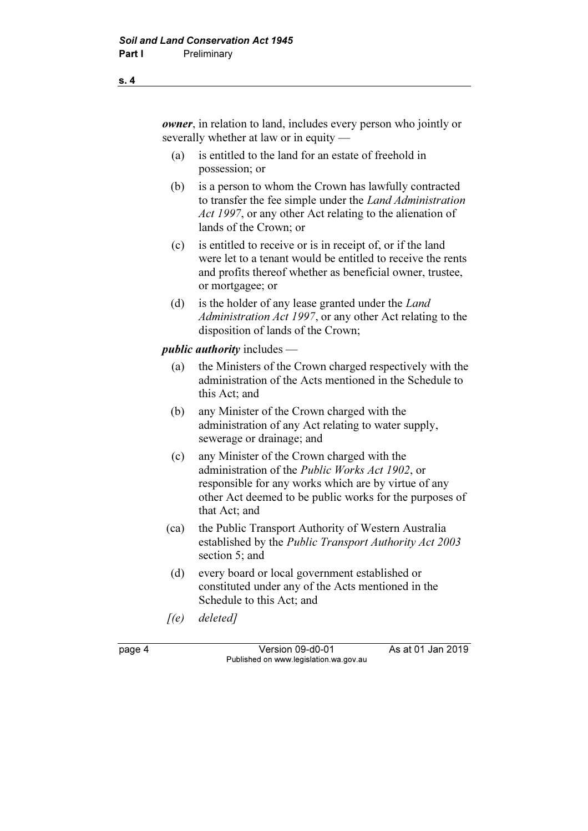owner, in relation to land, includes every person who jointly or severally whether at law or in equity —

- (a) is entitled to the land for an estate of freehold in possession; or
- (b) is a person to whom the Crown has lawfully contracted to transfer the fee simple under the Land Administration Act 1997, or any other Act relating to the alienation of lands of the Crown; or
- (c) is entitled to receive or is in receipt of, or if the land were let to a tenant would be entitled to receive the rents and profits thereof whether as beneficial owner, trustee, or mortgagee; or
- (d) is the holder of any lease granted under the Land Administration Act 1997, or any other Act relating to the disposition of lands of the Crown;

#### *public authority* includes  $-$

- (a) the Ministers of the Crown charged respectively with the administration of the Acts mentioned in the Schedule to this Act; and
- (b) any Minister of the Crown charged with the administration of any Act relating to water supply, sewerage or drainage; and
- (c) any Minister of the Crown charged with the administration of the Public Works Act 1902, or responsible for any works which are by virtue of any other Act deemed to be public works for the purposes of that Act; and
- (ca) the Public Transport Authority of Western Australia established by the Public Transport Authority Act 2003 section 5; and
- (d) every board or local government established or constituted under any of the Acts mentioned in the Schedule to this Act; and
- $[(e)$  deleted]

page 4 Version 09-d0-01 As at 01 Jan 2019 Published on www.legislation.wa.gov.au

s. 4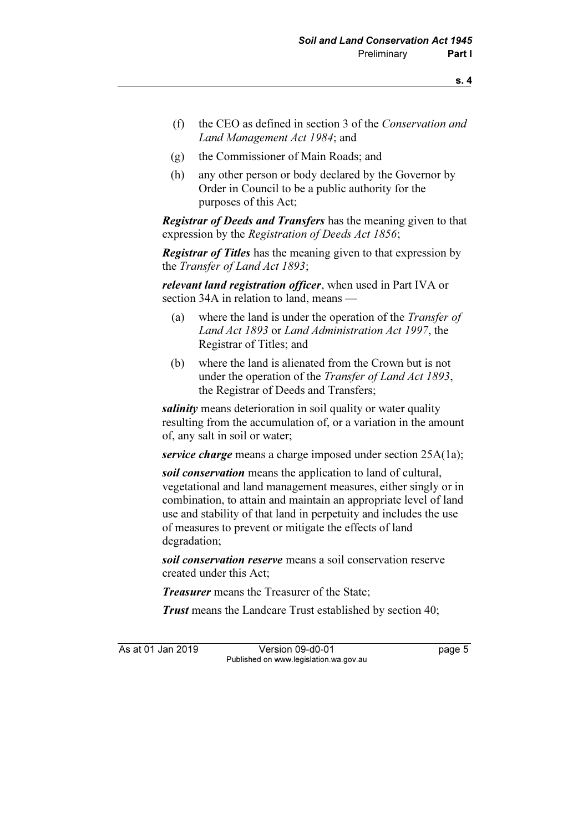- (f) the CEO as defined in section 3 of the Conservation and Land Management Act 1984; and
- (g) the Commissioner of Main Roads; and
- (h) any other person or body declared by the Governor by Order in Council to be a public authority for the purposes of this Act;

**Registrar of Deeds and Transfers** has the meaning given to that expression by the Registration of Deeds Act 1856;

**Registrar of Titles** has the meaning given to that expression by the Transfer of Land Act 1893;

relevant land registration officer, when used in Part IVA or section 34A in relation to land, means -

- (a) where the land is under the operation of the Transfer of Land Act 1893 or Land Administration Act 1997, the Registrar of Titles; and
- (b) where the land is alienated from the Crown but is not under the operation of the Transfer of Land Act 1893, the Registrar of Deeds and Transfers;

salinity means deterioration in soil quality or water quality resulting from the accumulation of, or a variation in the amount of, any salt in soil or water;

service charge means a charge imposed under section 25A(1a);

soil conservation means the application to land of cultural, vegetational and land management measures, either singly or in combination, to attain and maintain an appropriate level of land use and stability of that land in perpetuity and includes the use of measures to prevent or mitigate the effects of land degradation;

soil conservation reserve means a soil conservation reserve created under this Act;

**Treasurer** means the Treasurer of the State;

Trust means the Landcare Trust established by section 40;

As at 01 Jan 2019 Version 09-d0-01 Page 5 Published on www.legislation.wa.gov.au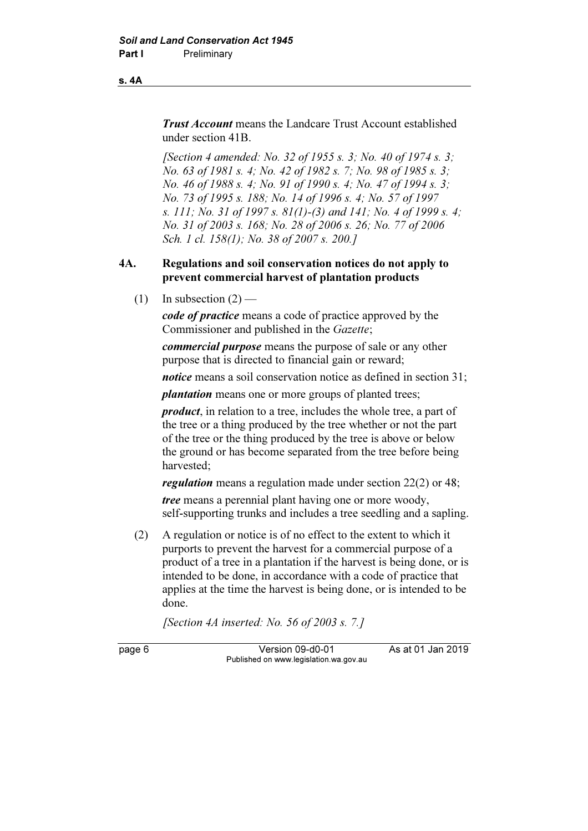#### s. 4A

**Trust Account** means the Landcare Trust Account established under section 41B.

[Section 4 amended: No. 32 of 1955 s. 3; No. 40 of 1974 s. 3; No. 63 of 1981 s. 4; No. 42 of 1982 s. 7; No. 98 of 1985 s. 3; No. 46 of 1988 s. 4; No. 91 of 1990 s. 4; No. 47 of 1994 s. 3; No. 73 of 1995 s. 188; No. 14 of 1996 s. 4; No. 57 of 1997 s. 111; No. 31 of 1997 s. 81(1)-(3) and 141; No. 4 of 1999 s. 4; No. 31 of 2003 s. 168; No. 28 of 2006 s. 26; No. 77 of 2006 Sch. 1 cl. 158(1); No. 38 of 2007 s. 200.]

## 4A. Regulations and soil conservation notices do not apply to prevent commercial harvest of plantation products

(1) In subsection  $(2)$  —

code of practice means a code of practice approved by the Commissioner and published in the Gazette;

commercial purpose means the purpose of sale or any other purpose that is directed to financial gain or reward;

notice means a soil conservation notice as defined in section 31;

plantation means one or more groups of planted trees;

product, in relation to a tree, includes the whole tree, a part of the tree or a thing produced by the tree whether or not the part of the tree or the thing produced by the tree is above or below the ground or has become separated from the tree before being harvested;

regulation means a regulation made under section 22(2) or 48;

tree means a perennial plant having one or more woody, self-supporting trunks and includes a tree seedling and a sapling.

 (2) A regulation or notice is of no effect to the extent to which it purports to prevent the harvest for a commercial purpose of a product of a tree in a plantation if the harvest is being done, or is intended to be done, in accordance with a code of practice that applies at the time the harvest is being done, or is intended to be done.

[Section 4A inserted: No. 56 of 2003 s. 7.]

page 6 Version 09-d0-01 As at 01 Jan 2019 Published on www.legislation.wa.gov.au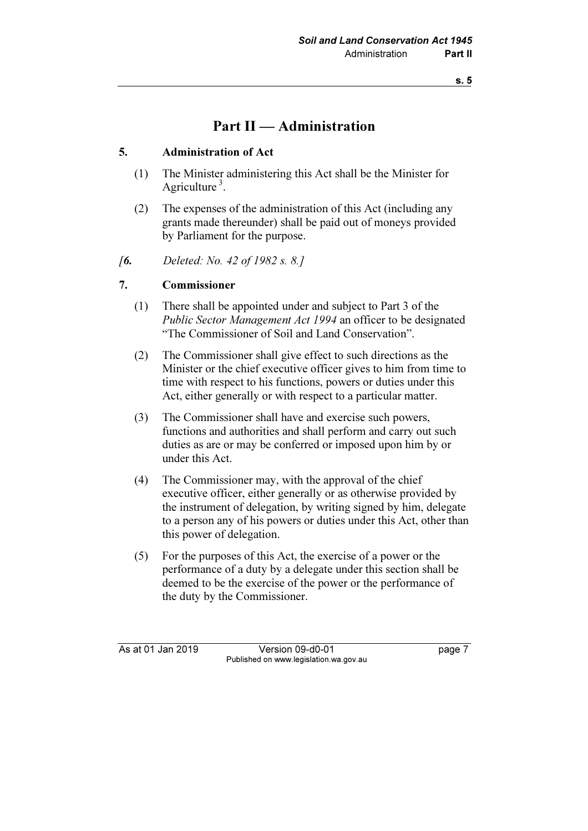# Part II — Administration

# 5. Administration of Act

- (1) The Minister administering this Act shall be the Minister for Agriculture<sup>3</sup>.
- (2) The expenses of the administration of this Act (including any grants made thereunder) shall be paid out of moneys provided by Parliament for the purpose.
- [6. Deleted: No. 42 of 1982 s. 8.]

# 7. Commissioner

- (1) There shall be appointed under and subject to Part 3 of the Public Sector Management Act 1994 an officer to be designated "The Commissioner of Soil and Land Conservation".
- (2) The Commissioner shall give effect to such directions as the Minister or the chief executive officer gives to him from time to time with respect to his functions, powers or duties under this Act, either generally or with respect to a particular matter.
- (3) The Commissioner shall have and exercise such powers, functions and authorities and shall perform and carry out such duties as are or may be conferred or imposed upon him by or under this Act.
- (4) The Commissioner may, with the approval of the chief executive officer, either generally or as otherwise provided by the instrument of delegation, by writing signed by him, delegate to a person any of his powers or duties under this Act, other than this power of delegation.
- (5) For the purposes of this Act, the exercise of a power or the performance of a duty by a delegate under this section shall be deemed to be the exercise of the power or the performance of the duty by the Commissioner.

As at 01 Jan 2019 Version 09-d0-01 page 7 Published on www.legislation.wa.gov.au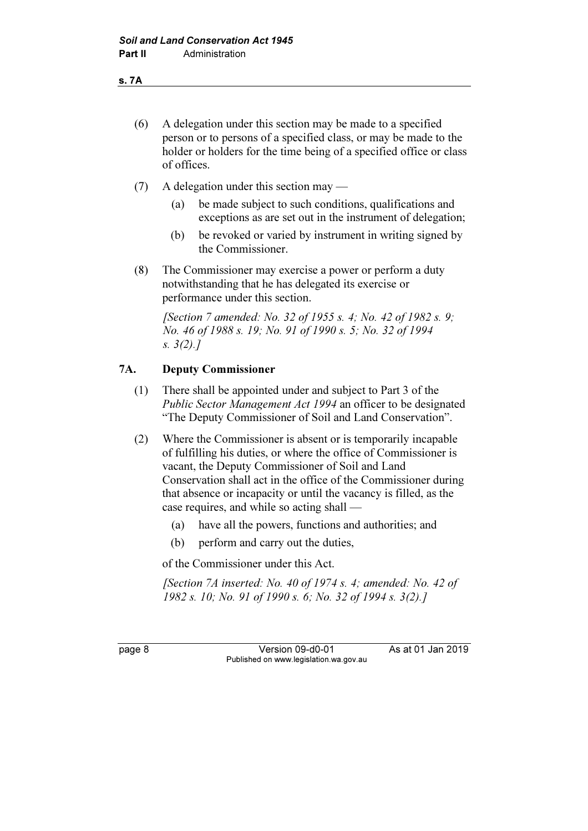- s. 7A
	- (6) A delegation under this section may be made to a specified person or to persons of a specified class, or may be made to the holder or holders for the time being of a specified office or class of offices.
	- (7) A delegation under this section may
		- (a) be made subject to such conditions, qualifications and exceptions as are set out in the instrument of delegation;
		- (b) be revoked or varied by instrument in writing signed by the Commissioner.
	- (8) The Commissioner may exercise a power or perform a duty notwithstanding that he has delegated its exercise or performance under this section.

[Section 7 amended: No. 32 of 1955 s. 4; No. 42 of 1982 s. 9; No. 46 of 1988 s. 19; No. 91 of 1990 s. 5; No. 32 of 1994 s. 3(2).]

# 7A. Deputy Commissioner

- (1) There shall be appointed under and subject to Part 3 of the Public Sector Management Act 1994 an officer to be designated "The Deputy Commissioner of Soil and Land Conservation".
- (2) Where the Commissioner is absent or is temporarily incapable of fulfilling his duties, or where the office of Commissioner is vacant, the Deputy Commissioner of Soil and Land Conservation shall act in the office of the Commissioner during that absence or incapacity or until the vacancy is filled, as the case requires, and while so acting shall —
	- (a) have all the powers, functions and authorities; and
	- (b) perform and carry out the duties,

of the Commissioner under this Act.

[Section 7A inserted: No. 40 of 1974 s. 4; amended: No. 42 of 1982 s. 10; No. 91 of 1990 s. 6; No. 32 of 1994 s. 3(2).]

page 8 Version 09-d0-01 As at 01 Jan 2019 Published on www.legislation.wa.gov.au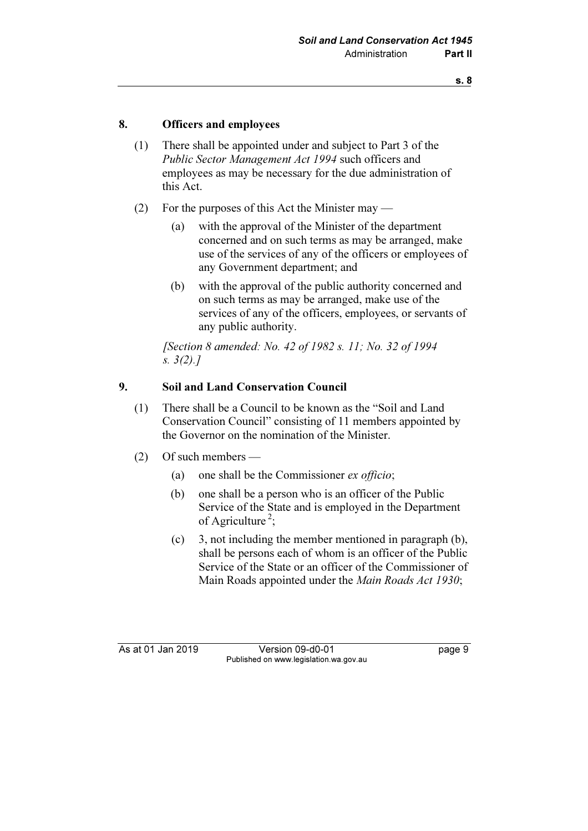## 8. Officers and employees

- (1) There shall be appointed under and subject to Part 3 of the Public Sector Management Act 1994 such officers and employees as may be necessary for the due administration of this Act.
- (2) For the purposes of this Act the Minister may
	- (a) with the approval of the Minister of the department concerned and on such terms as may be arranged, make use of the services of any of the officers or employees of any Government department; and
	- (b) with the approval of the public authority concerned and on such terms as may be arranged, make use of the services of any of the officers, employees, or servants of any public authority.

 [Section 8 amended: No. 42 of 1982 s. 11; No. 32 of 1994 s. 3(2).]

# 9. Soil and Land Conservation Council

- (1) There shall be a Council to be known as the "Soil and Land Conservation Council" consisting of 11 members appointed by the Governor on the nomination of the Minister.
- (2) Of such members
	- (a) one shall be the Commissioner ex officio;
	- (b) one shall be a person who is an officer of the Public Service of the State and is employed in the Department of Agriculture<sup>2</sup>;
	- (c) 3, not including the member mentioned in paragraph (b), shall be persons each of whom is an officer of the Public Service of the State or an officer of the Commissioner of Main Roads appointed under the Main Roads Act 1930;

As at 01 Jan 2019 Version 09-d0-01 page 9 Published on www.legislation.wa.gov.au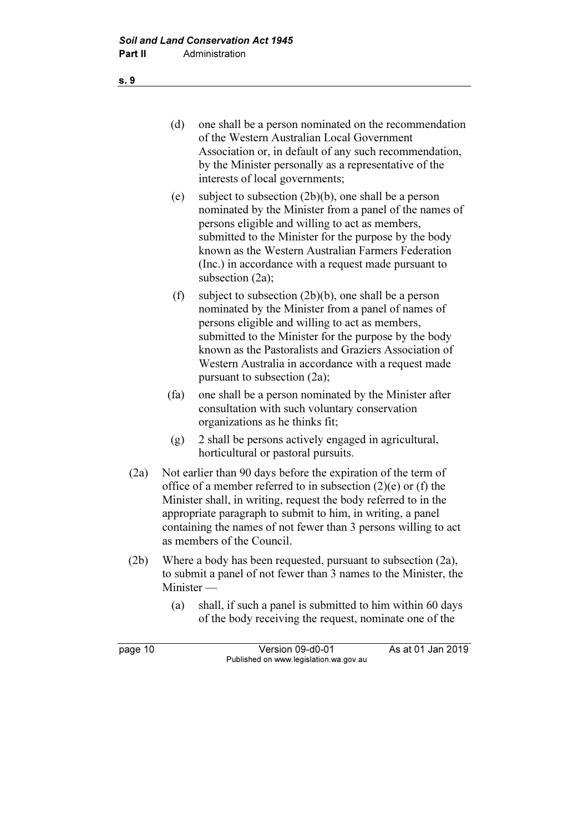- (d) one shall be a person nominated on the recommendation of the Western Australian Local Government Association or, in default of any such recommendation, by the Minister personally as a representative of the interests of local governments;
- (e) subject to subsection (2b)(b), one shall be a person nominated by the Minister from a panel of the names of persons eligible and willing to act as members, submitted to the Minister for the purpose by the body known as the Western Australian Farmers Federation (Inc.) in accordance with a request made pursuant to subsection (2a);
- (f) subject to subsection (2b)(b), one shall be a person nominated by the Minister from a panel of names of persons eligible and willing to act as members, submitted to the Minister for the purpose by the body known as the Pastoralists and Graziers Association of Western Australia in accordance with a request made pursuant to subsection (2a);
- (fa) one shall be a person nominated by the Minister after consultation with such voluntary conservation organizations as he thinks fit;
- (g) 2 shall be persons actively engaged in agricultural, horticultural or pastoral pursuits.
- (2a) Not earlier than 90 days before the expiration of the term of office of a member referred to in subsection  $(2)(e)$  or  $(f)$  the Minister shall, in writing, request the body referred to in the appropriate paragraph to submit to him, in writing, a panel containing the names of not fewer than 3 persons willing to act as members of the Council.
- (2b) Where a body has been requested, pursuant to subsection (2a), to submit a panel of not fewer than 3 names to the Minister, the Minister —
	- (a) shall, if such a panel is submitted to him within 60 days of the body receiving the request, nominate one of the

| page 10 | Version 09-d0-01                       | As at 01 Jan 2019 |
|---------|----------------------------------------|-------------------|
|         | Published on www.legislation.wa.gov.au |                   |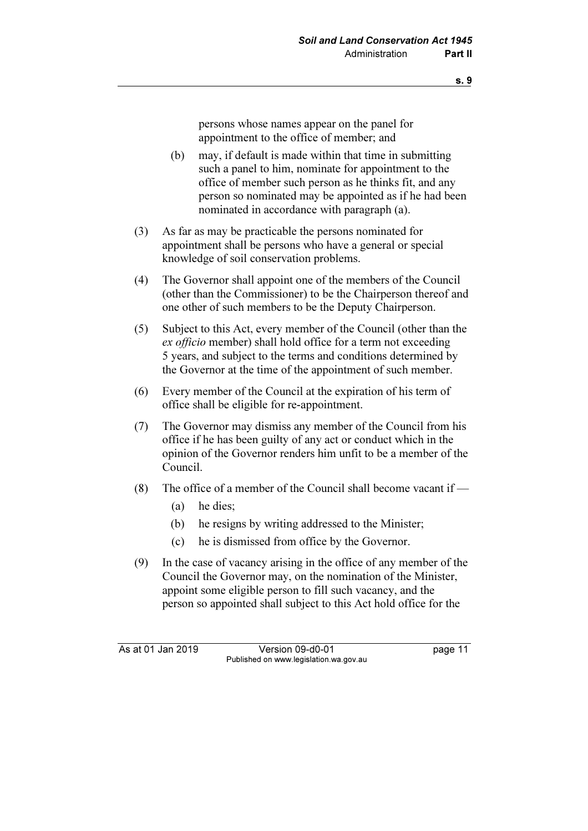persons whose names appear on the panel for appointment to the office of member; and

- (b) may, if default is made within that time in submitting such a panel to him, nominate for appointment to the office of member such person as he thinks fit, and any person so nominated may be appointed as if he had been nominated in accordance with paragraph (a).
- (3) As far as may be practicable the persons nominated for appointment shall be persons who have a general or special knowledge of soil conservation problems.
- (4) The Governor shall appoint one of the members of the Council (other than the Commissioner) to be the Chairperson thereof and one other of such members to be the Deputy Chairperson.
- (5) Subject to this Act, every member of the Council (other than the ex officio member) shall hold office for a term not exceeding 5 years, and subject to the terms and conditions determined by the Governor at the time of the appointment of such member.
- (6) Every member of the Council at the expiration of his term of office shall be eligible for re-appointment.
- (7) The Governor may dismiss any member of the Council from his office if he has been guilty of any act or conduct which in the opinion of the Governor renders him unfit to be a member of the Council.
- (8) The office of a member of the Council shall become vacant if  $-$ 
	- (a) he dies;
	- (b) he resigns by writing addressed to the Minister;
	- (c) he is dismissed from office by the Governor.
- (9) In the case of vacancy arising in the office of any member of the Council the Governor may, on the nomination of the Minister, appoint some eligible person to fill such vacancy, and the person so appointed shall subject to this Act hold office for the

As at 01 Jan 2019 Version 09-d0-01 page 11 Published on www.legislation.wa.gov.au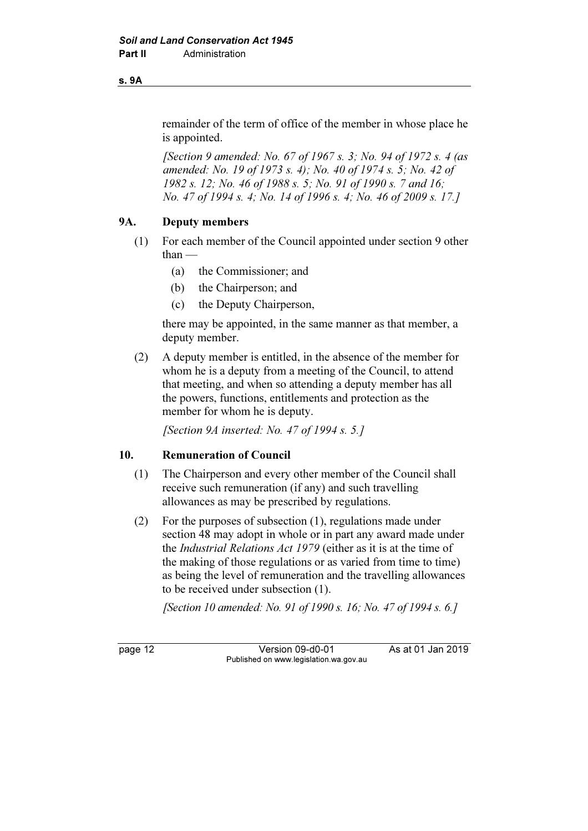#### s. 9A

remainder of the term of office of the member in whose place he is appointed.

 [Section 9 amended: No. 67 of 1967 s. 3; No. 94 of 1972 s. 4 (as amended: No. 19 of 1973 s. 4); No. 40 of 1974 s. 5; No. 42 of 1982 s. 12; No. 46 of 1988 s. 5; No. 91 of 1990 s. 7 and 16; No. 47 of 1994 s. 4; No. 14 of 1996 s. 4; No. 46 of 2009 s. 17.]

# 9A. Deputy members

- (1) For each member of the Council appointed under section 9 other than —
	- (a) the Commissioner; and
	- (b) the Chairperson; and
	- (c) the Deputy Chairperson,

 there may be appointed, in the same manner as that member, a deputy member.

 (2) A deputy member is entitled, in the absence of the member for whom he is a deputy from a meeting of the Council, to attend that meeting, and when so attending a deputy member has all the powers, functions, entitlements and protection as the member for whom he is deputy.

[Section 9A inserted: No. 47 of 1994 s. 5.]

# 10. Remuneration of Council

- (1) The Chairperson and every other member of the Council shall receive such remuneration (if any) and such travelling allowances as may be prescribed by regulations.
- (2) For the purposes of subsection (1), regulations made under section 48 may adopt in whole or in part any award made under the Industrial Relations Act 1979 (either as it is at the time of the making of those regulations or as varied from time to time) as being the level of remuneration and the travelling allowances to be received under subsection (1).

[Section 10 amended: No. 91 of 1990 s. 16; No. 47 of 1994 s. 6.]

page 12 Version 09-d0-01 As at 01 Jan 2019 Published on www.legislation.wa.gov.au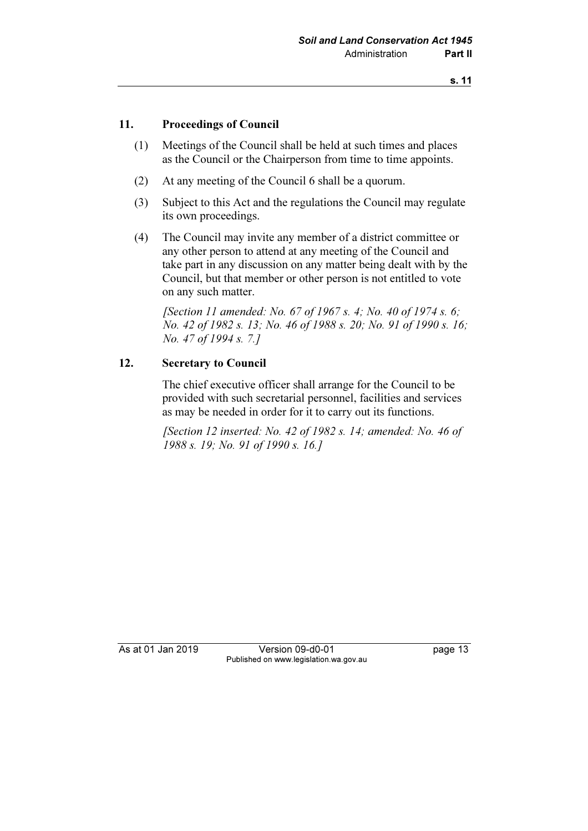## 11. Proceedings of Council

- (1) Meetings of the Council shall be held at such times and places as the Council or the Chairperson from time to time appoints.
- (2) At any meeting of the Council 6 shall be a quorum.
- (3) Subject to this Act and the regulations the Council may regulate its own proceedings.
- (4) The Council may invite any member of a district committee or any other person to attend at any meeting of the Council and take part in any discussion on any matter being dealt with by the Council, but that member or other person is not entitled to vote on any such matter.

[Section 11 amended: No. 67 of 1967 s. 4; No. 40 of 1974 s. 6; No. 42 of 1982 s. 13; No. 46 of 1988 s. 20; No. 91 of 1990 s. 16; No. 47 of 1994 s. 7.]

#### 12. Secretary to Council

 The chief executive officer shall arrange for the Council to be provided with such secretarial personnel, facilities and services as may be needed in order for it to carry out its functions.

 [Section 12 inserted: No. 42 of 1982 s. 14; amended: No. 46 of 1988 s. 19; No. 91 of 1990 s. 16.]

As at 01 Jan 2019 Version 09-d0-01 page 13 Published on www.legislation.wa.gov.au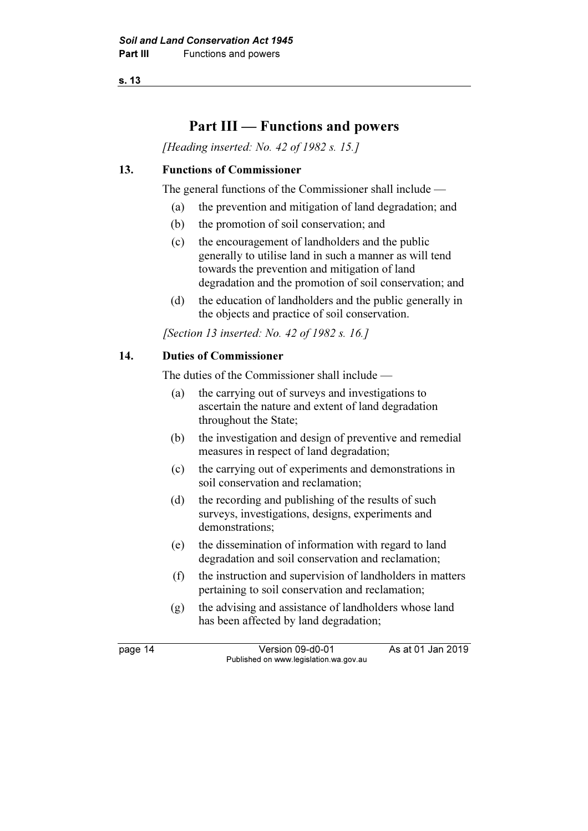# Part III — Functions and powers

[Heading inserted: No. 42 of 1982 s. 15.]

## 13. Functions of Commissioner

The general functions of the Commissioner shall include —

- (a) the prevention and mitigation of land degradation; and
- (b) the promotion of soil conservation; and
- (c) the encouragement of landholders and the public generally to utilise land in such a manner as will tend towards the prevention and mitigation of land degradation and the promotion of soil conservation; and
- (d) the education of landholders and the public generally in the objects and practice of soil conservation.

[Section 13 inserted: No. 42 of 1982 s. 16.]

## 14. Duties of Commissioner

The duties of the Commissioner shall include —

- (a) the carrying out of surveys and investigations to ascertain the nature and extent of land degradation throughout the State;
- (b) the investigation and design of preventive and remedial measures in respect of land degradation;
- (c) the carrying out of experiments and demonstrations in soil conservation and reclamation;
- (d) the recording and publishing of the results of such surveys, investigations, designs, experiments and demonstrations;
- (e) the dissemination of information with regard to land degradation and soil conservation and reclamation;
- (f) the instruction and supervision of landholders in matters pertaining to soil conservation and reclamation;
- (g) the advising and assistance of landholders whose land has been affected by land degradation;

page 14 Version 09-d0-01 As at 01 Jan 2019 Published on www.legislation.wa.gov.au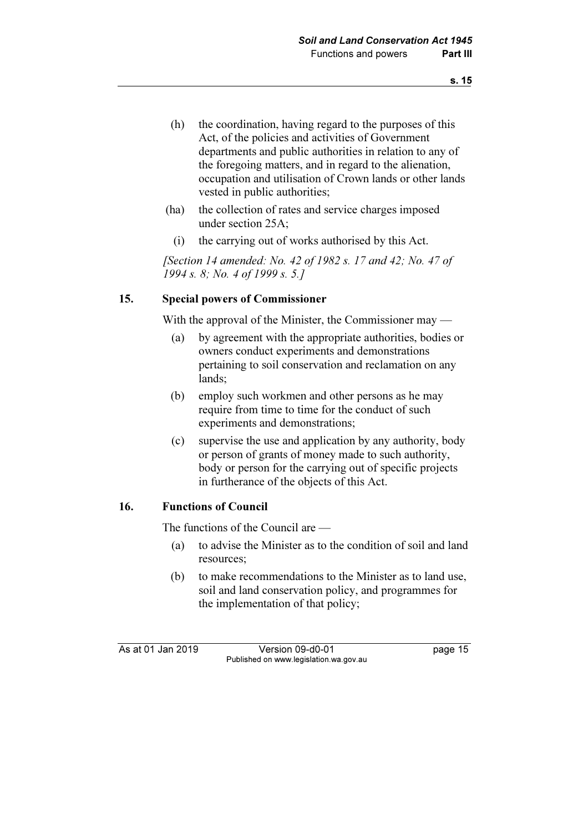- (h) the coordination, having regard to the purposes of this Act, of the policies and activities of Government departments and public authorities in relation to any of the foregoing matters, and in regard to the alienation, occupation and utilisation of Crown lands or other lands vested in public authorities;
- (ha) the collection of rates and service charges imposed under section 25A;
	- (i) the carrying out of works authorised by this Act.

 [Section 14 amended: No. 42 of 1982 s. 17 and 42; No. 47 of 1994 s. 8; No. 4 of 1999 s. 5.]

# 15. Special powers of Commissioner

With the approval of the Minister, the Commissioner may —

- (a) by agreement with the appropriate authorities, bodies or owners conduct experiments and demonstrations pertaining to soil conservation and reclamation on any lands;
- (b) employ such workmen and other persons as he may require from time to time for the conduct of such experiments and demonstrations;
- (c) supervise the use and application by any authority, body or person of grants of money made to such authority, body or person for the carrying out of specific projects in furtherance of the objects of this Act.

#### 16. Functions of Council

The functions of the Council are —

- (a) to advise the Minister as to the condition of soil and land resources;
- (b) to make recommendations to the Minister as to land use, soil and land conservation policy, and programmes for the implementation of that policy;

As at 01 Jan 2019 Version 09-d0-01 page 15 Published on www.legislation.wa.gov.au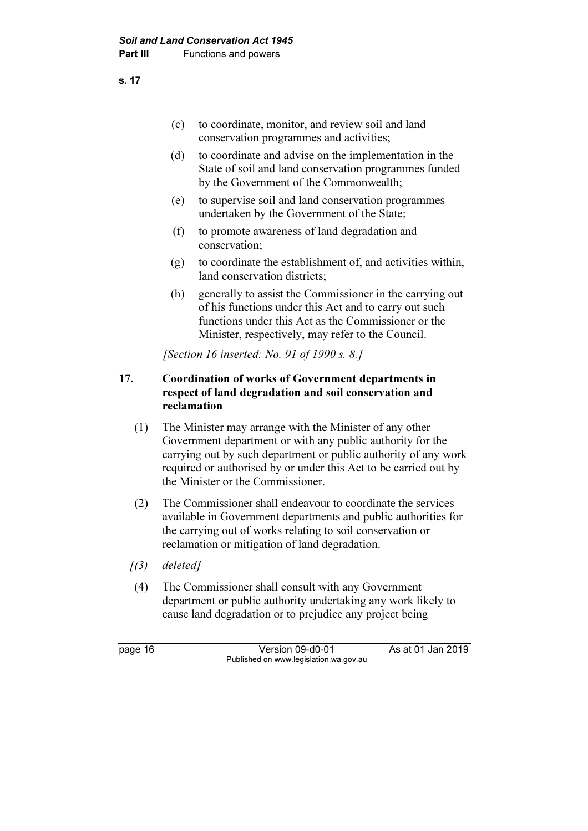- (c) to coordinate, monitor, and review soil and land conservation programmes and activities;
- (d) to coordinate and advise on the implementation in the State of soil and land conservation programmes funded by the Government of the Commonwealth;
- (e) to supervise soil and land conservation programmes undertaken by the Government of the State;
- (f) to promote awareness of land degradation and conservation;
- (g) to coordinate the establishment of, and activities within, land conservation districts;
- (h) generally to assist the Commissioner in the carrying out of his functions under this Act and to carry out such functions under this Act as the Commissioner or the Minister, respectively, may refer to the Council.

[Section 16 inserted: No. 91 of 1990 s. 8.]

# 17. Coordination of works of Government departments in respect of land degradation and soil conservation and reclamation

- (1) The Minister may arrange with the Minister of any other Government department or with any public authority for the carrying out by such department or public authority of any work required or authorised by or under this Act to be carried out by the Minister or the Commissioner.
- (2) The Commissioner shall endeavour to coordinate the services available in Government departments and public authorities for the carrying out of works relating to soil conservation or reclamation or mitigation of land degradation.
- $(3)$  deleted]
- (4) The Commissioner shall consult with any Government department or public authority undertaking any work likely to cause land degradation or to prejudice any project being

page 16 Version 09-d0-01 As at 01 Jan 2019 Published on www.legislation.wa.gov.au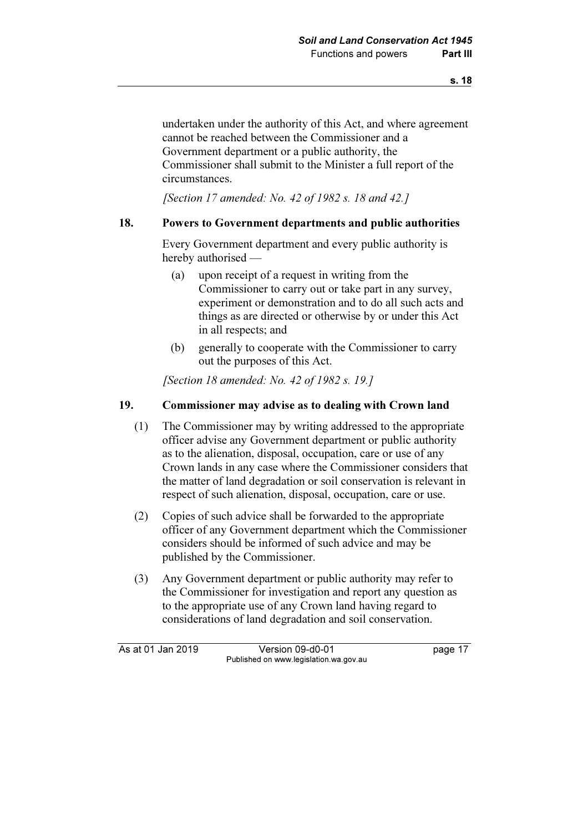undertaken under the authority of this Act, and where agreement cannot be reached between the Commissioner and a Government department or a public authority, the Commissioner shall submit to the Minister a full report of the circumstances.

[Section 17 amended: No. 42 of 1982 s. 18 and 42.]

## 18. Powers to Government departments and public authorities

 Every Government department and every public authority is hereby authorised —

- (a) upon receipt of a request in writing from the Commissioner to carry out or take part in any survey, experiment or demonstration and to do all such acts and things as are directed or otherwise by or under this Act in all respects; and
- (b) generally to cooperate with the Commissioner to carry out the purposes of this Act.

[Section 18 amended: No. 42 of 1982 s. 19.]

## 19. Commissioner may advise as to dealing with Crown land

- (1) The Commissioner may by writing addressed to the appropriate officer advise any Government department or public authority as to the alienation, disposal, occupation, care or use of any Crown lands in any case where the Commissioner considers that the matter of land degradation or soil conservation is relevant in respect of such alienation, disposal, occupation, care or use.
- (2) Copies of such advice shall be forwarded to the appropriate officer of any Government department which the Commissioner considers should be informed of such advice and may be published by the Commissioner.
- (3) Any Government department or public authority may refer to the Commissioner for investigation and report any question as to the appropriate use of any Crown land having regard to considerations of land degradation and soil conservation.

As at 01 Jan 2019 Version 09-d0-01 page 17 Published on www.legislation.wa.gov.au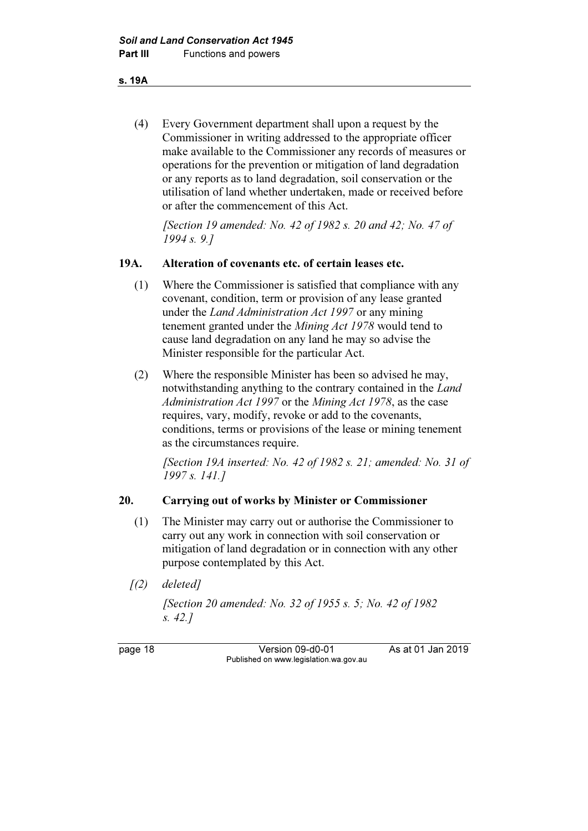s. 19A

 (4) Every Government department shall upon a request by the Commissioner in writing addressed to the appropriate officer make available to the Commissioner any records of measures or operations for the prevention or mitigation of land degradation or any reports as to land degradation, soil conservation or the utilisation of land whether undertaken, made or received before or after the commencement of this Act.

[Section 19 amended: No. 42 of 1982 s. 20 and 42; No. 47 of 1994 s. 9.]

#### 19A. Alteration of covenants etc. of certain leases etc.

- (1) Where the Commissioner is satisfied that compliance with any covenant, condition, term or provision of any lease granted under the Land Administration Act 1997 or any mining tenement granted under the Mining Act 1978 would tend to cause land degradation on any land he may so advise the Minister responsible for the particular Act.
- (2) Where the responsible Minister has been so advised he may, notwithstanding anything to the contrary contained in the Land Administration Act 1997 or the Mining Act 1978, as the case requires, vary, modify, revoke or add to the covenants, conditions, terms or provisions of the lease or mining tenement as the circumstances require.

 [Section 19A inserted: No. 42 of 1982 s. 21; amended: No. 31 of 1997 s. 141.]

#### 20. Carrying out of works by Minister or Commissioner

- (1) The Minister may carry out or authorise the Commissioner to carry out any work in connection with soil conservation or mitigation of land degradation or in connection with any other purpose contemplated by this Act.
- $(2)$  deleted]

 [Section 20 amended: No. 32 of 1955 s. 5; No. 42 of 1982 s. 42.]

page 18 Version 09-d0-01 As at 01 Jan 2019 Published on www.legislation.wa.gov.au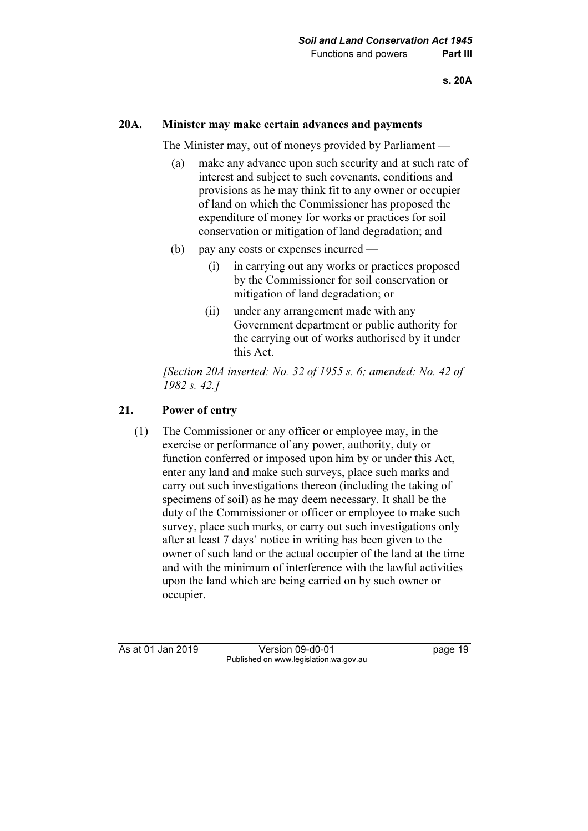#### 20A. Minister may make certain advances and payments

The Minister may, out of moneys provided by Parliament —

- (a) make any advance upon such security and at such rate of interest and subject to such covenants, conditions and provisions as he may think fit to any owner or occupier of land on which the Commissioner has proposed the expenditure of money for works or practices for soil conservation or mitigation of land degradation; and
- (b) pay any costs or expenses incurred
	- (i) in carrying out any works or practices proposed by the Commissioner for soil conservation or mitigation of land degradation; or
	- (ii) under any arrangement made with any Government department or public authority for the carrying out of works authorised by it under this Act.

 [Section 20A inserted: No. 32 of 1955 s. 6; amended: No. 42 of 1982 s. 42.]

#### 21. Power of entry

 (1) The Commissioner or any officer or employee may, in the exercise or performance of any power, authority, duty or function conferred or imposed upon him by or under this Act, enter any land and make such surveys, place such marks and carry out such investigations thereon (including the taking of specimens of soil) as he may deem necessary. It shall be the duty of the Commissioner or officer or employee to make such survey, place such marks, or carry out such investigations only after at least 7 days' notice in writing has been given to the owner of such land or the actual occupier of the land at the time and with the minimum of interference with the lawful activities upon the land which are being carried on by such owner or occupier.

As at 01 Jan 2019 Version 09-d0-01 bag page 19 Published on www.legislation.wa.gov.au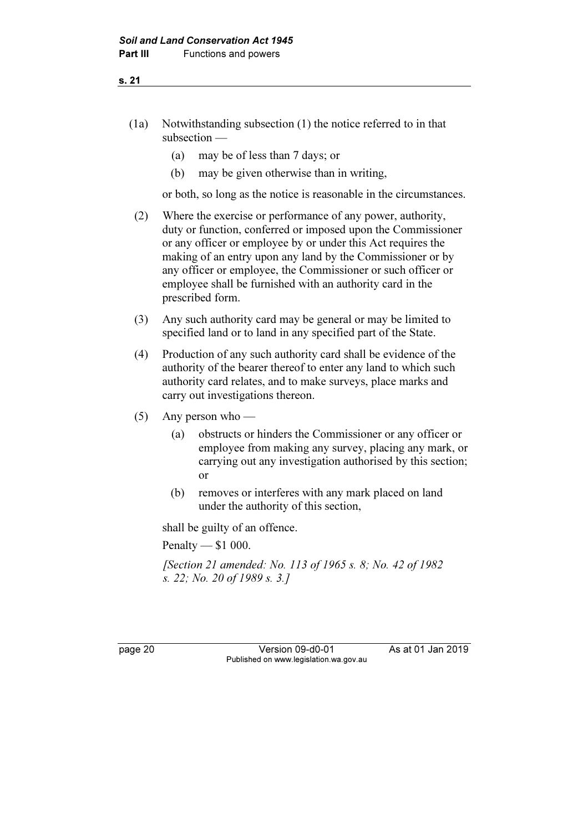- (1a) Notwithstanding subsection (1) the notice referred to in that subsection —
	- (a) may be of less than 7 days; or
	- (b) may be given otherwise than in writing,

or both, so long as the notice is reasonable in the circumstances.

- (2) Where the exercise or performance of any power, authority, duty or function, conferred or imposed upon the Commissioner or any officer or employee by or under this Act requires the making of an entry upon any land by the Commissioner or by any officer or employee, the Commissioner or such officer or employee shall be furnished with an authority card in the prescribed form.
- (3) Any such authority card may be general or may be limited to specified land or to land in any specified part of the State.
- (4) Production of any such authority card shall be evidence of the authority of the bearer thereof to enter any land to which such authority card relates, and to make surveys, place marks and carry out investigations thereon.
- (5) Any person who
	- (a) obstructs or hinders the Commissioner or any officer or employee from making any survey, placing any mark, or carrying out any investigation authorised by this section; or
	- (b) removes or interferes with any mark placed on land under the authority of this section,

shall be guilty of an offence.

Penalty — \$1 000.

 [Section 21 amended: No. 113 of 1965 s. 8; No. 42 of 1982 s. 22; No. 20 of 1989 s. 3.]

page 20 Version 09-d0-01 As at 01 Jan 2019 Published on www.legislation.wa.gov.au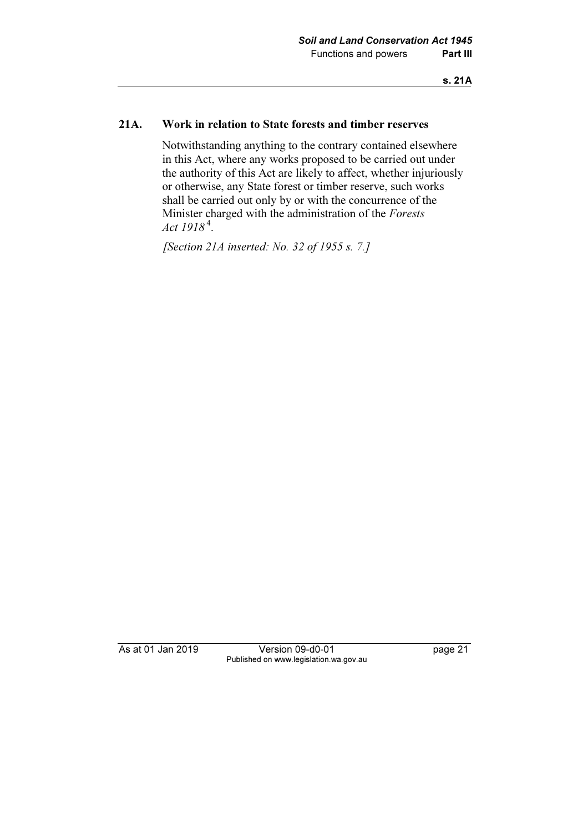## 21A. Work in relation to State forests and timber reserves

 Notwithstanding anything to the contrary contained elsewhere in this Act, where any works proposed to be carried out under the authority of this Act are likely to affect, whether injuriously or otherwise, any State forest or timber reserve, such works shall be carried out only by or with the concurrence of the Minister charged with the administration of the Forests Act  $1918^4$ .

[Section 21A inserted: No. 32 of 1955 s. 7.]

As at 01 Jan 2019 Version 09-d0-01 page 21 Published on www.legislation.wa.gov.au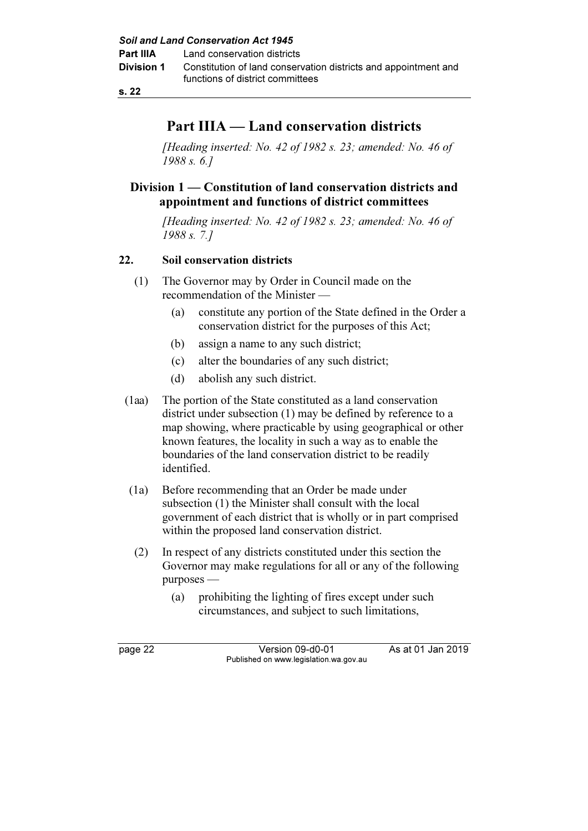# Part IIIA — Land conservation districts

[Heading inserted: No. 42 of 1982 s. 23; amended: No. 46 of 1988 s. 6.]

# Division 1 — Constitution of land conservation districts and appointment and functions of district committees

[Heading inserted: No. 42 of 1982 s. 23; amended: No. 46 of 1988 s. 7.]

## 22. Soil conservation districts

- (1) The Governor may by Order in Council made on the recommendation of the Minister —
	- (a) constitute any portion of the State defined in the Order a conservation district for the purposes of this Act;
	- (b) assign a name to any such district;
	- (c) alter the boundaries of any such district;
	- (d) abolish any such district.
- (1aa) The portion of the State constituted as a land conservation district under subsection (1) may be defined by reference to a map showing, where practicable by using geographical or other known features, the locality in such a way as to enable the boundaries of the land conservation district to be readily identified.
- (1a) Before recommending that an Order be made under subsection (1) the Minister shall consult with the local government of each district that is wholly or in part comprised within the proposed land conservation district.
- (2) In respect of any districts constituted under this section the Governor may make regulations for all or any of the following purposes —
	- (a) prohibiting the lighting of fires except under such circumstances, and subject to such limitations,

page 22 Version 09-d0-01 As at 01 Jan 2019 Published on www.legislation.wa.gov.au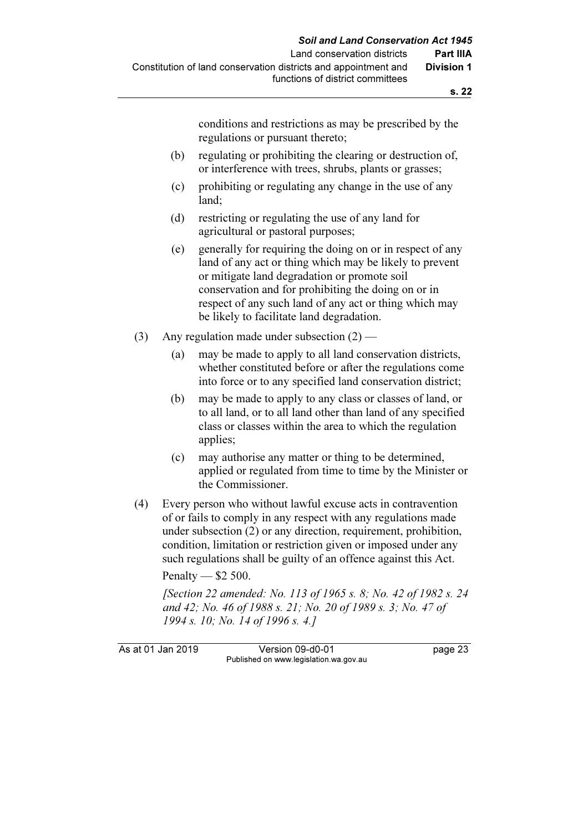conditions and restrictions as may be prescribed by the regulations or pursuant thereto;

- (b) regulating or prohibiting the clearing or destruction of, or interference with trees, shrubs, plants or grasses;
- (c) prohibiting or regulating any change in the use of any land;
- (d) restricting or regulating the use of any land for agricultural or pastoral purposes;
- (e) generally for requiring the doing on or in respect of any land of any act or thing which may be likely to prevent or mitigate land degradation or promote soil conservation and for prohibiting the doing on or in respect of any such land of any act or thing which may be likely to facilitate land degradation.
- (3) Any regulation made under subsection  $(2)$ 
	- (a) may be made to apply to all land conservation districts, whether constituted before or after the regulations come into force or to any specified land conservation district;
	- (b) may be made to apply to any class or classes of land, or to all land, or to all land other than land of any specified class or classes within the area to which the regulation applies;
	- (c) may authorise any matter or thing to be determined, applied or regulated from time to time by the Minister or the Commissioner.
- (4) Every person who without lawful excuse acts in contravention of or fails to comply in any respect with any regulations made under subsection (2) or any direction, requirement, prohibition, condition, limitation or restriction given or imposed under any such regulations shall be guilty of an offence against this Act.

Penalty — \$2 500.

 [Section 22 amended: No. 113 of 1965 s. 8; No. 42 of 1982 s. 24 and 42; No. 46 of 1988 s. 21; No. 20 of 1989 s. 3; No. 47 of 1994 s. 10; No. 14 of 1996 s. 4.]

As at 01 Jan 2019 Version 09-d0-01 page 23 Published on www.legislation.wa.gov.au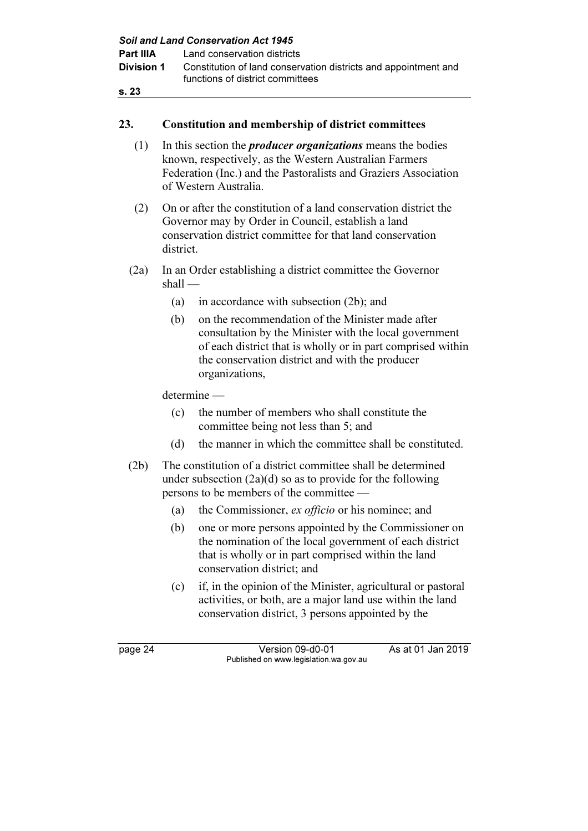|                   |           | <b>Soil and Land Conservation Act 1945</b>                                                                                                                                                                                                     |
|-------------------|-----------|------------------------------------------------------------------------------------------------------------------------------------------------------------------------------------------------------------------------------------------------|
| Part IIIA         |           | Land conservation districts                                                                                                                                                                                                                    |
| <b>Division 1</b> |           | Constitution of land conservation districts and appointment and                                                                                                                                                                                |
|                   |           | functions of district committees                                                                                                                                                                                                               |
| s. 23             |           |                                                                                                                                                                                                                                                |
|                   |           |                                                                                                                                                                                                                                                |
| 23.               |           | <b>Constitution and membership of district committees</b>                                                                                                                                                                                      |
| (1)               |           | In this section the <i>producer</i> organizations means the bodies<br>known, respectively, as the Western Australian Farmers<br>Federation (Inc.) and the Pastoralists and Graziers Association<br>of Western Australia.                       |
| (2)               | district. | On or after the constitution of a land conservation district the<br>Governor may by Order in Council, establish a land<br>conservation district committee for that land conservation                                                           |
| (2a)              | $shall -$ | In an Order establishing a district committee the Governor                                                                                                                                                                                     |
|                   | (a)       | in accordance with subsection (2b); and                                                                                                                                                                                                        |
|                   | (b)       | on the recommendation of the Minister made after<br>consultation by the Minister with the local government<br>of each district that is wholly or in part comprised within<br>the conservation district and with the producer<br>organizations, |
|                   |           | determine -                                                                                                                                                                                                                                    |
|                   | (c)       | the number of members who shall constitute the<br>committee being not less than 5; and                                                                                                                                                         |
|                   | (d)       | the manner in which the committee shall be constituted.                                                                                                                                                                                        |
| (2b)              |           | The constitution of a district committee shall be determined<br>under subsection $(2a)(d)$ so as to provide for the following<br>persons to be members of the committee                                                                        |
|                   | (a)       | the Commissioner, ex officio or his nominee; and                                                                                                                                                                                               |
|                   | (b)       | one or more persons appointed by the Commissioner on<br>the nomination of the local government of each district<br>that is wholly or in part comprised within the land<br>conservation district; and                                           |
|                   | (c)       | if, in the opinion of the Minister, agricultural or pastoral<br>activities, or both, are a major land use within the land<br>conservation district, 3 persons appointed by the                                                                 |
| page 24           |           | As at 01 Jan 2019<br>Version 09-d0-01<br>Published on www.legislation.wa.gov.au                                                                                                                                                                |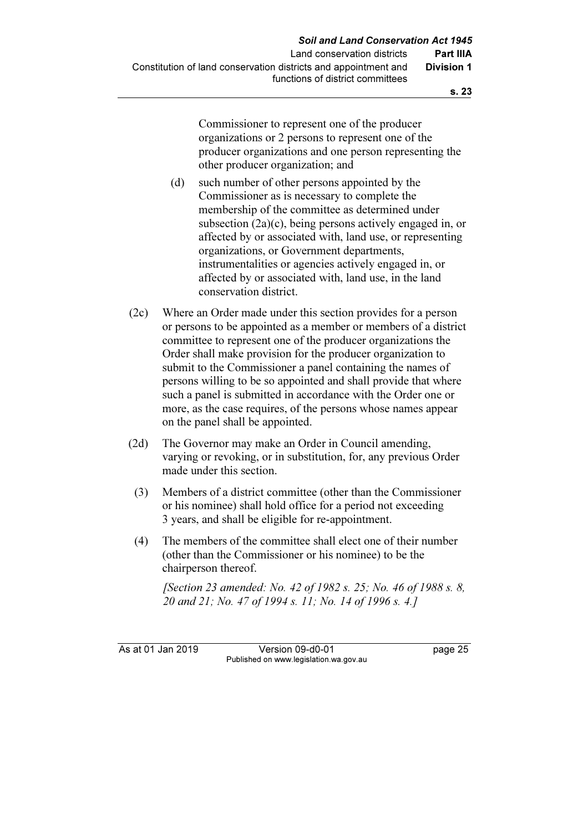Commissioner to represent one of the producer organizations or 2 persons to represent one of the producer organizations and one person representing the other producer organization; and

- (d) such number of other persons appointed by the Commissioner as is necessary to complete the membership of the committee as determined under subsection (2a)(c), being persons actively engaged in, or affected by or associated with, land use, or representing organizations, or Government departments, instrumentalities or agencies actively engaged in, or affected by or associated with, land use, in the land conservation district.
- (2c) Where an Order made under this section provides for a person or persons to be appointed as a member or members of a district committee to represent one of the producer organizations the Order shall make provision for the producer organization to submit to the Commissioner a panel containing the names of persons willing to be so appointed and shall provide that where such a panel is submitted in accordance with the Order one or more, as the case requires, of the persons whose names appear on the panel shall be appointed.
- (2d) The Governor may make an Order in Council amending, varying or revoking, or in substitution, for, any previous Order made under this section.
	- (3) Members of a district committee (other than the Commissioner or his nominee) shall hold office for a period not exceeding 3 years, and shall be eligible for re-appointment.
	- (4) The members of the committee shall elect one of their number (other than the Commissioner or his nominee) to be the chairperson thereof.

[Section 23 amended: No. 42 of 1982 s. 25; No. 46 of 1988 s. 8, 20 and 21; No. 47 of 1994 s. 11; No. 14 of 1996 s. 4.]

As at 01 Jan 2019 Version 09-d0-01 page 25 Published on www.legislation.wa.gov.au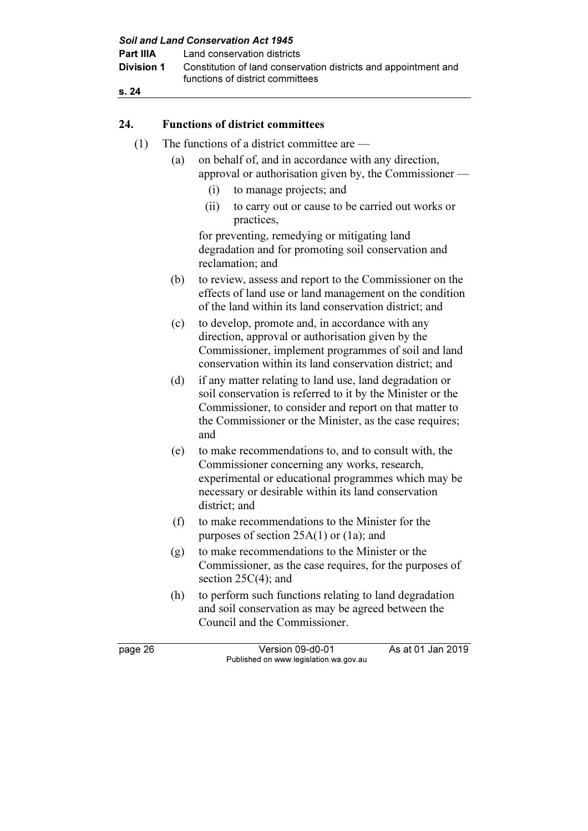| s. 24<br>24.<br>(1) | (a)<br>(i)<br>(ii)<br>(b) | <b>Functions of district committees</b><br>The functions of a district committee are -<br>on behalf of, and in accordance with any direction,<br>approval or authorisation given by, the Commissioner —<br>to manage projects; and<br>to carry out or cause to be carried out works or<br>practices,<br>for preventing, remedying or mitigating land<br>degradation and for promoting soil conservation and<br>reclamation; and |
|---------------------|---------------------------|---------------------------------------------------------------------------------------------------------------------------------------------------------------------------------------------------------------------------------------------------------------------------------------------------------------------------------------------------------------------------------------------------------------------------------|
|                     |                           |                                                                                                                                                                                                                                                                                                                                                                                                                                 |
|                     |                           |                                                                                                                                                                                                                                                                                                                                                                                                                                 |
|                     |                           |                                                                                                                                                                                                                                                                                                                                                                                                                                 |
|                     |                           |                                                                                                                                                                                                                                                                                                                                                                                                                                 |
|                     |                           |                                                                                                                                                                                                                                                                                                                                                                                                                                 |
|                     |                           |                                                                                                                                                                                                                                                                                                                                                                                                                                 |
|                     |                           |                                                                                                                                                                                                                                                                                                                                                                                                                                 |
|                     |                           | to review, assess and report to the Commissioner on the<br>effects of land use or land management on the condition<br>of the land within its land conservation district; and                                                                                                                                                                                                                                                    |
|                     | (c)                       | to develop, promote and, in accordance with any<br>direction, approval or authorisation given by the<br>Commissioner, implement programmes of soil and land<br>conservation within its land conservation district; and                                                                                                                                                                                                          |
|                     | (d)<br>and                | if any matter relating to land use, land degradation or<br>soil conservation is referred to it by the Minister or the<br>Commissioner, to consider and report on that matter to<br>the Commissioner or the Minister, as the case requires;                                                                                                                                                                                      |
|                     | (e)<br>district; and      | to make recommendations to, and to consult with, the<br>Commissioner concerning any works, research,<br>experimental or educational programmes which may be<br>necessary or desirable within its land conservation                                                                                                                                                                                                              |
|                     | (f)                       | to make recommendations to the Minister for the<br>purposes of section $25A(1)$ or $(1a)$ ; and                                                                                                                                                                                                                                                                                                                                 |
|                     | (g)                       | to make recommendations to the Minister or the<br>Commissioner, as the case requires, for the purposes of<br>section $25C(4)$ ; and                                                                                                                                                                                                                                                                                             |
|                     | (h)                       | to perform such functions relating to land degradation<br>and soil conservation as may be agreed between the<br>Council and the Commissioner.                                                                                                                                                                                                                                                                                   |
| page 26             |                           | As at 01 Jan 2019<br>Version 09-d0-01<br>Published on www.legislation.wa.gov.au                                                                                                                                                                                                                                                                                                                                                 |

Soil and Land Conservation Act 1945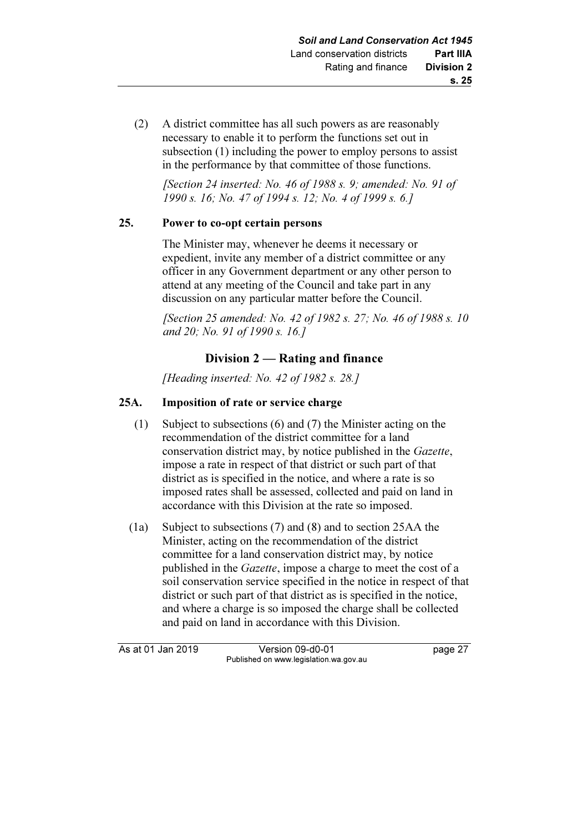(2) A district committee has all such powers as are reasonably necessary to enable it to perform the functions set out in subsection (1) including the power to employ persons to assist in the performance by that committee of those functions.

[Section 24 inserted: No. 46 of 1988 s. 9; amended: No. 91 of 1990 s. 16; No. 47 of 1994 s. 12; No. 4 of 1999 s. 6.]

## 25. Power to co-opt certain persons

 The Minister may, whenever he deems it necessary or expedient, invite any member of a district committee or any officer in any Government department or any other person to attend at any meeting of the Council and take part in any discussion on any particular matter before the Council.

 [Section 25 amended: No. 42 of 1982 s. 27; No. 46 of 1988 s. 10 and 20; No. 91 of 1990 s. 16.]

# Division 2 — Rating and finance

[Heading inserted: No. 42 of 1982 s. 28.]

# 25A. Imposition of rate or service charge

- (1) Subject to subsections (6) and (7) the Minister acting on the recommendation of the district committee for a land conservation district may, by notice published in the Gazette, impose a rate in respect of that district or such part of that district as is specified in the notice, and where a rate is so imposed rates shall be assessed, collected and paid on land in accordance with this Division at the rate so imposed.
- (1a) Subject to subsections (7) and (8) and to section 25AA the Minister, acting on the recommendation of the district committee for a land conservation district may, by notice published in the Gazette, impose a charge to meet the cost of a soil conservation service specified in the notice in respect of that district or such part of that district as is specified in the notice, and where a charge is so imposed the charge shall be collected and paid on land in accordance with this Division.

As at 01 Jan 2019 Version 09-d0-01 page 27 Published on www.legislation.wa.gov.au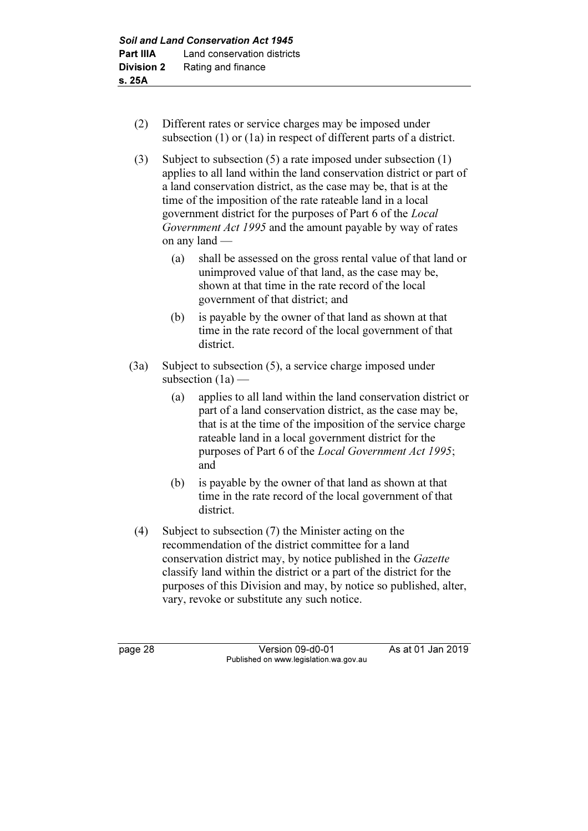- (2) Different rates or service charges may be imposed under subsection (1) or (1a) in respect of different parts of a district.
- (3) Subject to subsection (5) a rate imposed under subsection (1) applies to all land within the land conservation district or part of a land conservation district, as the case may be, that is at the time of the imposition of the rate rateable land in a local government district for the purposes of Part 6 of the Local Government Act 1995 and the amount payable by way of rates on any land —
	- (a) shall be assessed on the gross rental value of that land or unimproved value of that land, as the case may be, shown at that time in the rate record of the local government of that district; and
	- (b) is payable by the owner of that land as shown at that time in the rate record of the local government of that district.
- (3a) Subject to subsection (5), a service charge imposed under subsection  $(1a)$  —
	- (a) applies to all land within the land conservation district or part of a land conservation district, as the case may be, that is at the time of the imposition of the service charge rateable land in a local government district for the purposes of Part 6 of the Local Government Act 1995; and
	- (b) is payable by the owner of that land as shown at that time in the rate record of the local government of that district.
- (4) Subject to subsection (7) the Minister acting on the recommendation of the district committee for a land conservation district may, by notice published in the Gazette classify land within the district or a part of the district for the purposes of this Division and may, by notice so published, alter, vary, revoke or substitute any such notice.

page 28 Version 09-d0-01 As at 01 Jan 2019 Published on www.legislation.wa.gov.au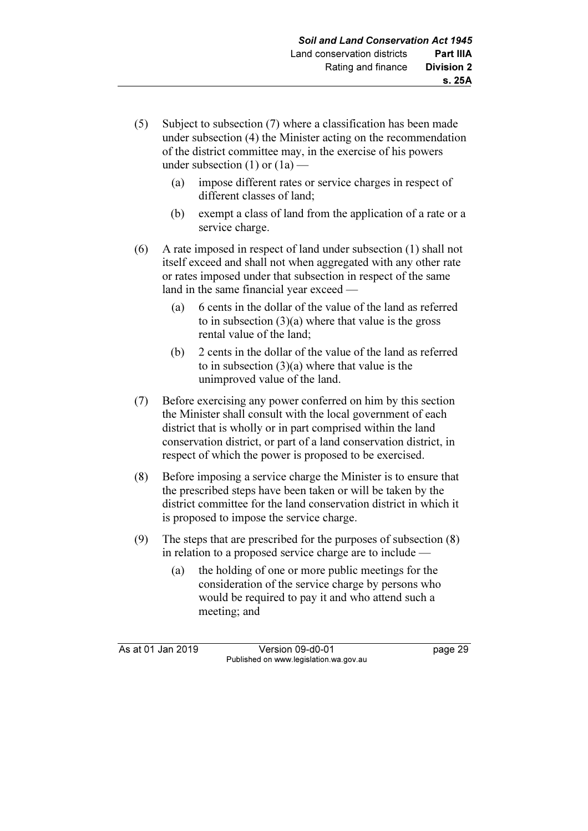- (5) Subject to subsection (7) where a classification has been made under subsection (4) the Minister acting on the recommendation of the district committee may, in the exercise of his powers under subsection  $(1)$  or  $(1a)$  -
	- (a) impose different rates or service charges in respect of different classes of land;
	- (b) exempt a class of land from the application of a rate or a service charge.
- (6) A rate imposed in respect of land under subsection (1) shall not itself exceed and shall not when aggregated with any other rate or rates imposed under that subsection in respect of the same land in the same financial year exceed —
	- (a) 6 cents in the dollar of the value of the land as referred to in subsection (3)(a) where that value is the gross rental value of the land;
	- (b) 2 cents in the dollar of the value of the land as referred to in subsection (3)(a) where that value is the unimproved value of the land.
- (7) Before exercising any power conferred on him by this section the Minister shall consult with the local government of each district that is wholly or in part comprised within the land conservation district, or part of a land conservation district, in respect of which the power is proposed to be exercised.
- (8) Before imposing a service charge the Minister is to ensure that the prescribed steps have been taken or will be taken by the district committee for the land conservation district in which it is proposed to impose the service charge.
- (9) The steps that are prescribed for the purposes of subsection (8) in relation to a proposed service charge are to include —
	- (a) the holding of one or more public meetings for the consideration of the service charge by persons who would be required to pay it and who attend such a meeting; and

As at 01 Jan 2019 Version 09-d0-01 page 29 Published on www.legislation.wa.gov.au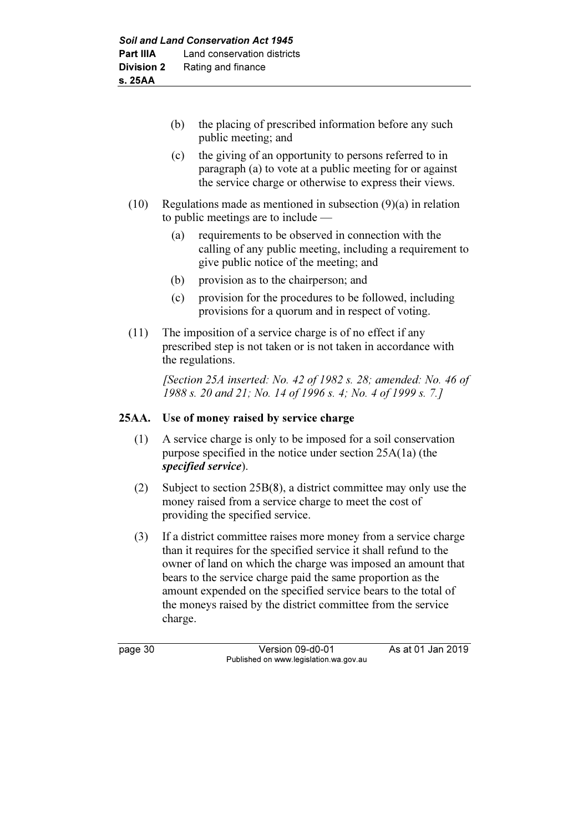- (b) the placing of prescribed information before any such public meeting; and
- (c) the giving of an opportunity to persons referred to in paragraph (a) to vote at a public meeting for or against the service charge or otherwise to express their views.
- (10) Regulations made as mentioned in subsection (9)(a) in relation to public meetings are to include —
	- (a) requirements to be observed in connection with the calling of any public meeting, including a requirement to give public notice of the meeting; and
	- (b) provision as to the chairperson; and
	- (c) provision for the procedures to be followed, including provisions for a quorum and in respect of voting.
- (11) The imposition of a service charge is of no effect if any prescribed step is not taken or is not taken in accordance with the regulations.

[Section 25A inserted: No. 42 of 1982 s. 28; amended: No. 46 of 1988 s. 20 and 21; No. 14 of 1996 s. 4; No. 4 of 1999 s. 7.]

# 25AA. Use of money raised by service charge

- (1) A service charge is only to be imposed for a soil conservation purpose specified in the notice under section 25A(1a) (the specified service).
- (2) Subject to section 25B(8), a district committee may only use the money raised from a service charge to meet the cost of providing the specified service.
- (3) If a district committee raises more money from a service charge than it requires for the specified service it shall refund to the owner of land on which the charge was imposed an amount that bears to the service charge paid the same proportion as the amount expended on the specified service bears to the total of the moneys raised by the district committee from the service charge.

page 30 Version 09-d0-01 As at 01 Jan 2019 Published on www.legislation.wa.gov.au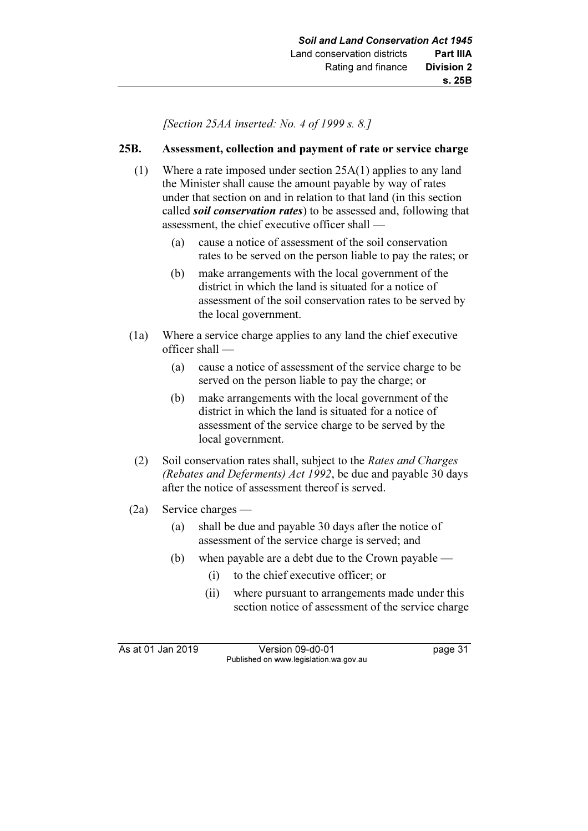[Section 25AA inserted: No. 4 of 1999 s. 8.]

## 25B. Assessment, collection and payment of rate or service charge

- (1) Where a rate imposed under section 25A(1) applies to any land the Minister shall cause the amount payable by way of rates under that section on and in relation to that land (in this section called *soil conservation rates*) to be assessed and, following that assessment, the chief executive officer shall —
	- (a) cause a notice of assessment of the soil conservation rates to be served on the person liable to pay the rates; or
	- (b) make arrangements with the local government of the district in which the land is situated for a notice of assessment of the soil conservation rates to be served by the local government.
- (1a) Where a service charge applies to any land the chief executive officer shall —
	- (a) cause a notice of assessment of the service charge to be served on the person liable to pay the charge; or
	- (b) make arrangements with the local government of the district in which the land is situated for a notice of assessment of the service charge to be served by the local government.
- (2) Soil conservation rates shall, subject to the Rates and Charges (Rebates and Deferments) Act 1992, be due and payable 30 days after the notice of assessment thereof is served.
- (2a) Service charges
	- (a) shall be due and payable 30 days after the notice of assessment of the service charge is served; and
	- (b) when payable are a debt due to the Crown payable
		- (i) to the chief executive officer; or
		- (ii) where pursuant to arrangements made under this section notice of assessment of the service charge

As at 01 Jan 2019 Version 09-d0-01 page 31 Published on www.legislation.wa.gov.au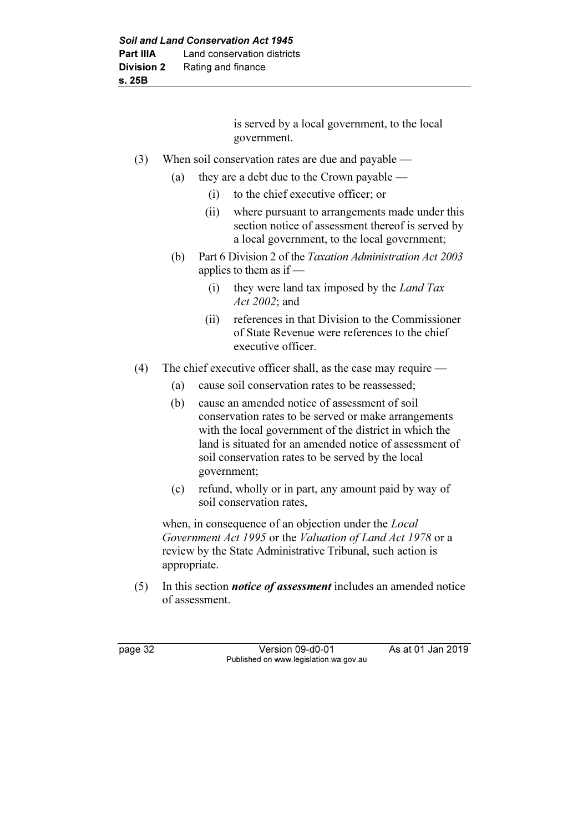is served by a local government, to the local government.

- (3) When soil conservation rates are due and payable
	- (a) they are a debt due to the Crown payable
		- (i) to the chief executive officer; or
		- (ii) where pursuant to arrangements made under this section notice of assessment thereof is served by a local government, to the local government;
	- (b) Part 6 Division 2 of the Taxation Administration Act 2003 applies to them as if —
		- (i) they were land tax imposed by the Land Tax Act 2002; and
		- (ii) references in that Division to the Commissioner of State Revenue were references to the chief executive officer.
- (4) The chief executive officer shall, as the case may require
	- (a) cause soil conservation rates to be reassessed;
	- (b) cause an amended notice of assessment of soil conservation rates to be served or make arrangements with the local government of the district in which the land is situated for an amended notice of assessment of soil conservation rates to be served by the local government;
	- (c) refund, wholly or in part, any amount paid by way of soil conservation rates,

when, in consequence of an objection under the *Local* Government Act 1995 or the Valuation of Land Act 1978 or a review by the State Administrative Tribunal, such action is appropriate.

 $(5)$  In this section *notice of assessment* includes an amended notice of assessment.

page 32 Version 09-d0-01 As at 01 Jan 2019 Published on www.legislation.wa.gov.au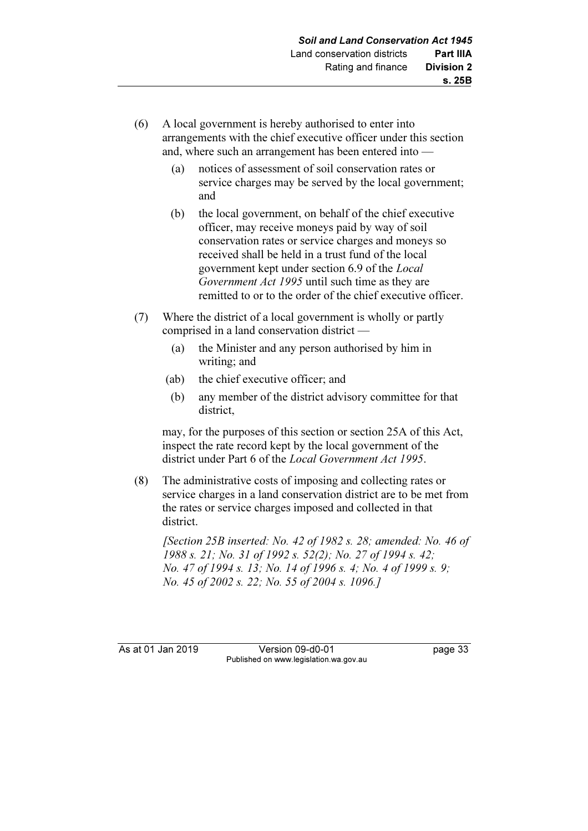- (6) A local government is hereby authorised to enter into arrangements with the chief executive officer under this section and, where such an arrangement has been entered into —
	- (a) notices of assessment of soil conservation rates or service charges may be served by the local government; and
	- (b) the local government, on behalf of the chief executive officer, may receive moneys paid by way of soil conservation rates or service charges and moneys so received shall be held in a trust fund of the local government kept under section 6.9 of the Local Government Act 1995 until such time as they are remitted to or to the order of the chief executive officer.
- (7) Where the district of a local government is wholly or partly comprised in a land conservation district —
	- (a) the Minister and any person authorised by him in writing; and
	- (ab) the chief executive officer; and
	- (b) any member of the district advisory committee for that district,

 may, for the purposes of this section or section 25A of this Act, inspect the rate record kept by the local government of the district under Part 6 of the Local Government Act 1995.

 (8) The administrative costs of imposing and collecting rates or service charges in a land conservation district are to be met from the rates or service charges imposed and collected in that district.

 [Section 25B inserted: No. 42 of 1982 s. 28; amended: No. 46 of 1988 s. 21; No. 31 of 1992 s. 52(2); No. 27 of 1994 s. 42; No. 47 of 1994 s. 13; No. 14 of 1996 s. 4; No. 4 of 1999 s. 9; No. 45 of 2002 s. 22; No. 55 of 2004 s. 1096.]

As at 01 Jan 2019 Version 09-d0-01 page 33 Published on www.legislation.wa.gov.au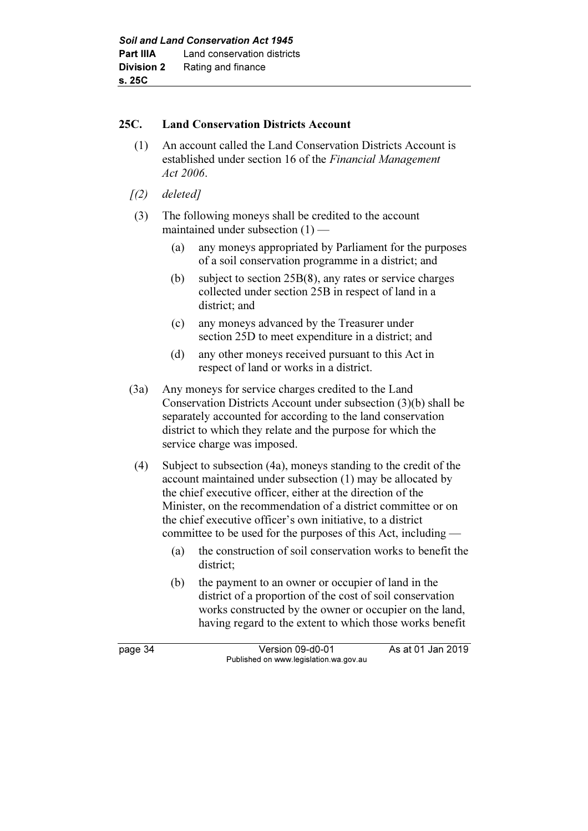## 25C. Land Conservation Districts Account

- (1) An account called the Land Conservation Districts Account is established under section 16 of the Financial Management Act 2006.
- $(2)$  deleted]
- (3) The following moneys shall be credited to the account maintained under subsection (1) —
	- (a) any moneys appropriated by Parliament for the purposes of a soil conservation programme in a district; and
	- (b) subject to section 25B(8), any rates or service charges collected under section 25B in respect of land in a district; and
	- (c) any moneys advanced by the Treasurer under section 25D to meet expenditure in a district; and
	- (d) any other moneys received pursuant to this Act in respect of land or works in a district.
- (3a) Any moneys for service charges credited to the Land Conservation Districts Account under subsection (3)(b) shall be separately accounted for according to the land conservation district to which they relate and the purpose for which the service charge was imposed.
- (4) Subject to subsection (4a), moneys standing to the credit of the account maintained under subsection (1) may be allocated by the chief executive officer, either at the direction of the Minister, on the recommendation of a district committee or on the chief executive officer's own initiative, to a district committee to be used for the purposes of this Act, including —
	- (a) the construction of soil conservation works to benefit the district;
	- (b) the payment to an owner or occupier of land in the district of a proportion of the cost of soil conservation works constructed by the owner or occupier on the land, having regard to the extent to which those works benefit

page 34 Version 09-d0-01 As at 01 Jan 2019 Published on www.legislation.wa.gov.au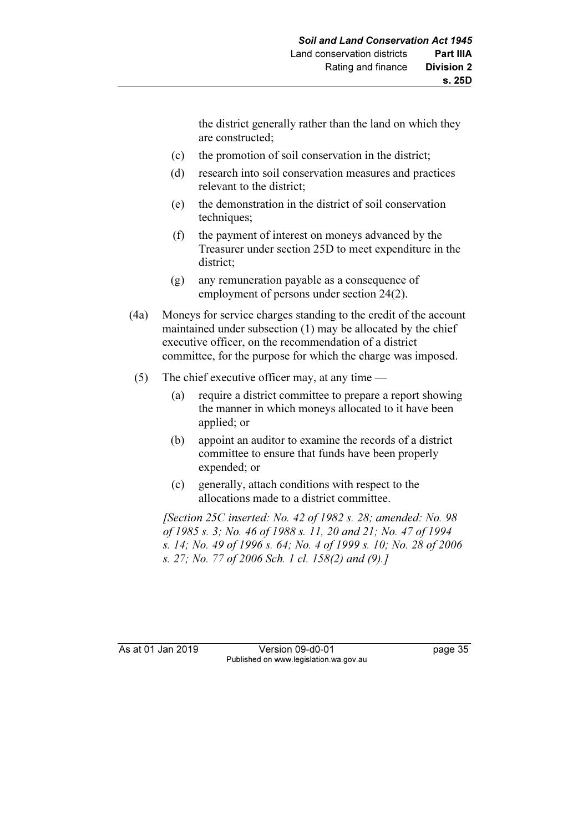the district generally rather than the land on which they are constructed;

- (c) the promotion of soil conservation in the district;
- (d) research into soil conservation measures and practices relevant to the district;
- (e) the demonstration in the district of soil conservation techniques:
- (f) the payment of interest on moneys advanced by the Treasurer under section 25D to meet expenditure in the district;
- (g) any remuneration payable as a consequence of employment of persons under section 24(2).
- (4a) Moneys for service charges standing to the credit of the account maintained under subsection (1) may be allocated by the chief executive officer, on the recommendation of a district committee, for the purpose for which the charge was imposed.
- (5) The chief executive officer may, at any time
	- (a) require a district committee to prepare a report showing the manner in which moneys allocated to it have been applied; or
	- (b) appoint an auditor to examine the records of a district committee to ensure that funds have been properly expended; or
	- (c) generally, attach conditions with respect to the allocations made to a district committee.

[Section 25C inserted: No. 42 of 1982 s. 28; amended: No. 98] of 1985 s. 3; No. 46 of 1988 s. 11, 20 and 21; No. 47 of 1994 s. 14; No. 49 of 1996 s. 64; No. 4 of 1999 s. 10; No. 28 of 2006 s. 27; No. 77 of 2006 Sch. 1 cl. 158(2) and (9).]

As at 01 Jan 2019 Version 09-d0-01 page 35 Published on www.legislation.wa.gov.au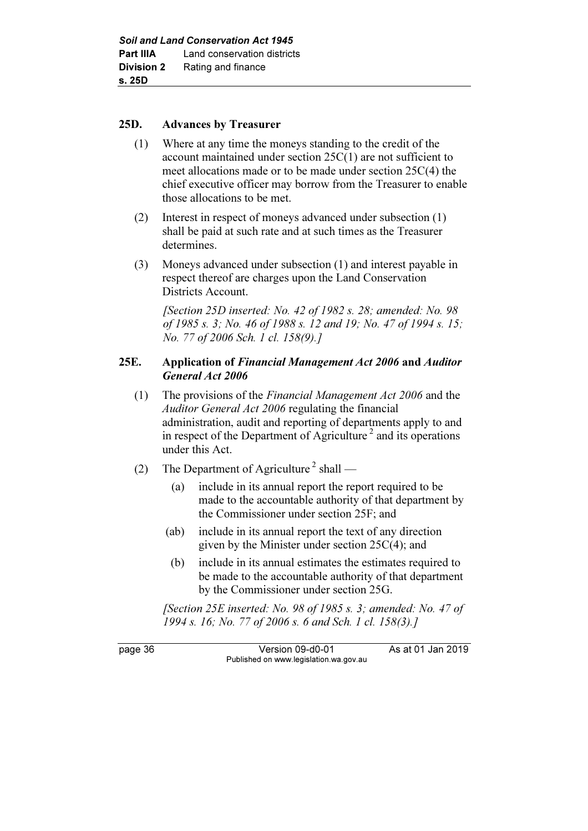#### 25D. Advances by Treasurer

- (1) Where at any time the moneys standing to the credit of the account maintained under section 25C(1) are not sufficient to meet allocations made or to be made under section 25C(4) the chief executive officer may borrow from the Treasurer to enable those allocations to be met.
- (2) Interest in respect of moneys advanced under subsection (1) shall be paid at such rate and at such times as the Treasurer determines.
- (3) Moneys advanced under subsection (1) and interest payable in respect thereof are charges upon the Land Conservation Districts Account.

 [Section 25D inserted: No. 42 of 1982 s. 28; amended: No. 98 of 1985 s. 3; No. 46 of 1988 s. 12 and 19; No. 47 of 1994 s. 15; No. 77 of 2006 Sch. 1 cl. 158(9).]

## 25E. Application of Financial Management Act 2006 and Auditor General Act 2006

- (1) The provisions of the Financial Management Act 2006 and the Auditor General Act 2006 regulating the financial administration, audit and reporting of departments apply to and in respect of the Department of Agriculture<sup>2</sup> and its operations under this Act.
- (2) The Department of Agriculture<sup>2</sup> shall
	- (a) include in its annual report the report required to be made to the accountable authority of that department by the Commissioner under section 25F; and
	- (ab) include in its annual report the text of any direction given by the Minister under section 25C(4); and
	- (b) include in its annual estimates the estimates required to be made to the accountable authority of that department by the Commissioner under section 25G.

 [Section 25E inserted: No. 98 of 1985 s. 3; amended: No. 47 of 1994 s. 16; No. 77 of 2006 s. 6 and Sch. 1 cl. 158(3).]

page 36 Version 09-d0-01 As at 01 Jan 2019 Published on www.legislation.wa.gov.au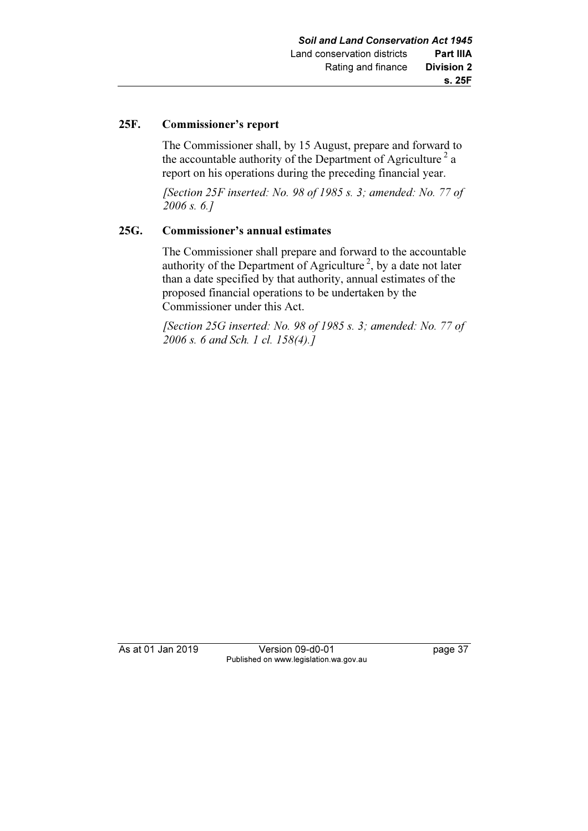#### 25F. Commissioner's report

 The Commissioner shall, by 15 August, prepare and forward to the accountable authority of the Department of Agriculture<sup>2</sup> a report on his operations during the preceding financial year.

[Section 25F inserted: No. 98 of 1985 s. 3; amended: No. 77 of 2006 s. 6.]

## 25G. Commissioner's annual estimates

 The Commissioner shall prepare and forward to the accountable authority of the Department of Agriculture<sup>2</sup>, by a date not later than a date specified by that authority, annual estimates of the proposed financial operations to be undertaken by the Commissioner under this Act.

[Section 25G inserted: No. 98 of 1985 s. 3; amended: No. 77 of 2006 s. 6 and Sch. 1 cl. 158(4).]

As at 01 Jan 2019 Version 09-d0-01 page 37 Published on www.legislation.wa.gov.au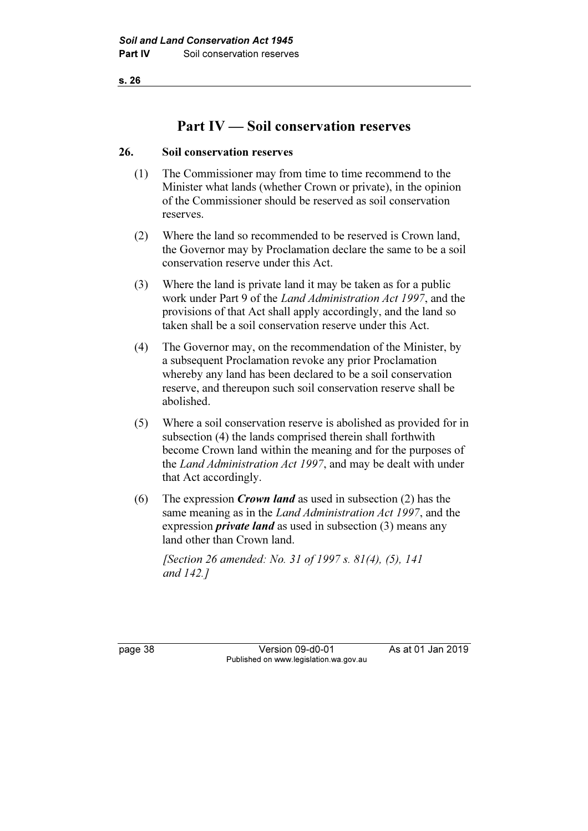# Part IV — Soil conservation reserves

## 26. Soil conservation reserves

- (1) The Commissioner may from time to time recommend to the Minister what lands (whether Crown or private), in the opinion of the Commissioner should be reserved as soil conservation reserves.
- (2) Where the land so recommended to be reserved is Crown land, the Governor may by Proclamation declare the same to be a soil conservation reserve under this Act.
- (3) Where the land is private land it may be taken as for a public work under Part 9 of the Land Administration Act 1997, and the provisions of that Act shall apply accordingly, and the land so taken shall be a soil conservation reserve under this Act.
- (4) The Governor may, on the recommendation of the Minister, by a subsequent Proclamation revoke any prior Proclamation whereby any land has been declared to be a soil conservation reserve, and thereupon such soil conservation reserve shall be abolished.
- (5) Where a soil conservation reserve is abolished as provided for in subsection (4) the lands comprised therein shall forthwith become Crown land within the meaning and for the purposes of the Land Administration Act 1997, and may be dealt with under that Act accordingly.
- (6) The expression *Crown land* as used in subsection (2) has the same meaning as in the Land Administration Act 1997, and the expression *private land* as used in subsection (3) means any land other than Crown land.

 [Section 26 amended: No. 31 of 1997 s. 81(4), (5), 141 and 142.]

page 38 Version 09-d0-01 As at 01 Jan 2019 Published on www.legislation.wa.gov.au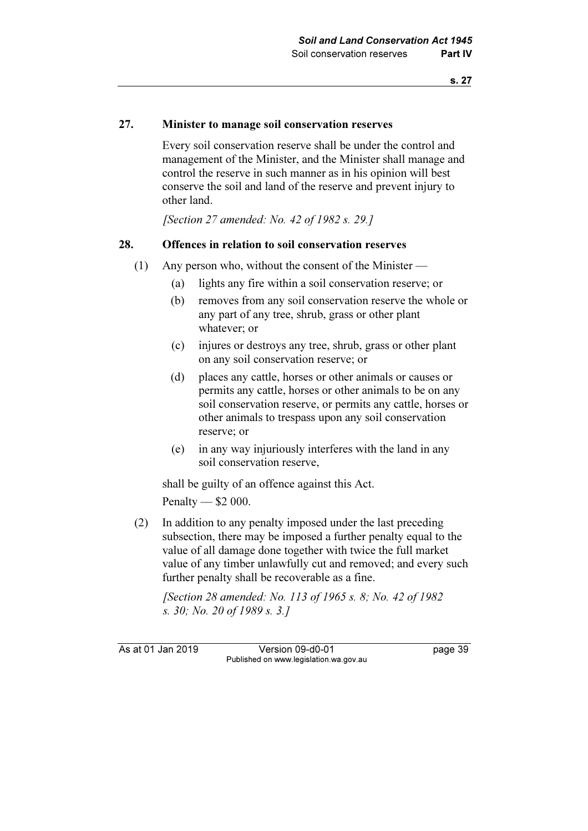## 27. Minister to manage soil conservation reserves

 Every soil conservation reserve shall be under the control and management of the Minister, and the Minister shall manage and control the reserve in such manner as in his opinion will best conserve the soil and land of the reserve and prevent injury to other land.

[Section 27 amended: No. 42 of 1982 s. 29.]

#### 28. Offences in relation to soil conservation reserves

- (1) Any person who, without the consent of the Minister
	- (a) lights any fire within a soil conservation reserve; or
	- (b) removes from any soil conservation reserve the whole or any part of any tree, shrub, grass or other plant whatever; or
	- (c) injures or destroys any tree, shrub, grass or other plant on any soil conservation reserve; or
	- (d) places any cattle, horses or other animals or causes or permits any cattle, horses or other animals to be on any soil conservation reserve, or permits any cattle, horses or other animals to trespass upon any soil conservation reserve; or
	- (e) in any way injuriously interferes with the land in any soil conservation reserve,

 shall be guilty of an offence against this Act. Penalty — \$2 000.

 (2) In addition to any penalty imposed under the last preceding subsection, there may be imposed a further penalty equal to the value of all damage done together with twice the full market value of any timber unlawfully cut and removed; and every such further penalty shall be recoverable as a fine.

 [Section 28 amended: No. 113 of 1965 s. 8; No. 42 of 1982 s. 30; No. 20 of 1989 s. 3.]

As at 01 Jan 2019 Version 09-d0-01 page 39 Published on www.legislation.wa.gov.au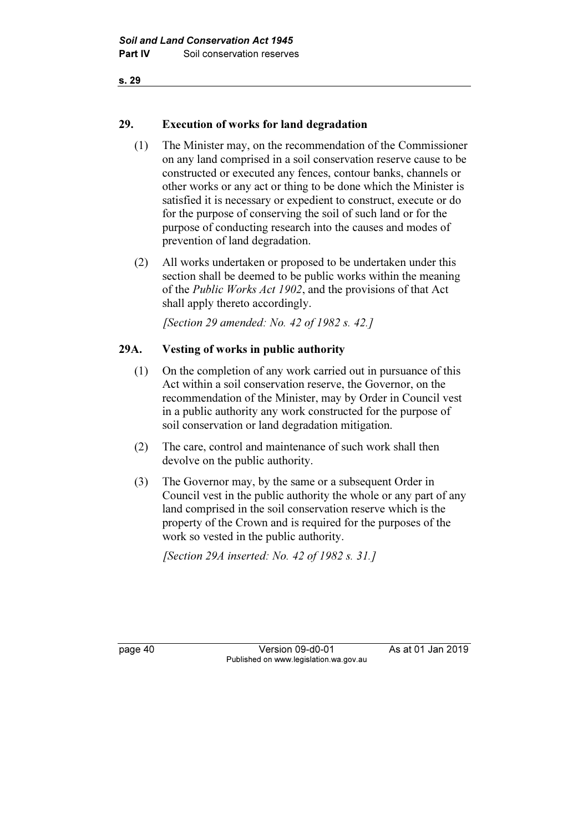## 29. Execution of works for land degradation

- (1) The Minister may, on the recommendation of the Commissioner on any land comprised in a soil conservation reserve cause to be constructed or executed any fences, contour banks, channels or other works or any act or thing to be done which the Minister is satisfied it is necessary or expedient to construct, execute or do for the purpose of conserving the soil of such land or for the purpose of conducting research into the causes and modes of prevention of land degradation.
- (2) All works undertaken or proposed to be undertaken under this section shall be deemed to be public works within the meaning of the Public Works Act 1902, and the provisions of that Act shall apply thereto accordingly.

[Section 29 amended: No. 42 of 1982 s. 42.]

## 29A. Vesting of works in public authority

- (1) On the completion of any work carried out in pursuance of this Act within a soil conservation reserve, the Governor, on the recommendation of the Minister, may by Order in Council vest in a public authority any work constructed for the purpose of soil conservation or land degradation mitigation.
- (2) The care, control and maintenance of such work shall then devolve on the public authority.
- (3) The Governor may, by the same or a subsequent Order in Council vest in the public authority the whole or any part of any land comprised in the soil conservation reserve which is the property of the Crown and is required for the purposes of the work so vested in the public authority.

[Section 29A inserted: No. 42 of 1982 s. 31.]

page 40 Version 09-d0-01 As at 01 Jan 2019 Published on www.legislation.wa.gov.au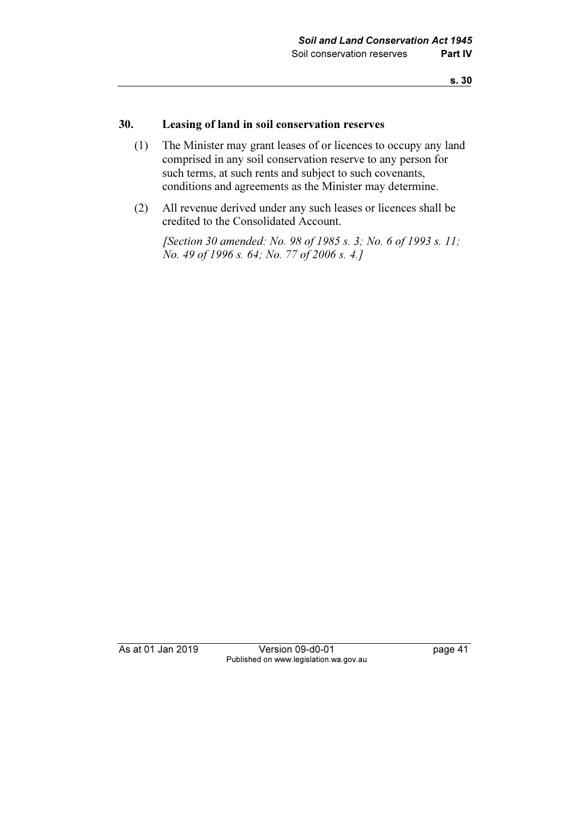#### 30. Leasing of land in soil conservation reserves

- (1) The Minister may grant leases of or licences to occupy any land comprised in any soil conservation reserve to any person for such terms, at such rents and subject to such covenants, conditions and agreements as the Minister may determine.
- (2) All revenue derived under any such leases or licences shall be credited to the Consolidated Account.

[Section 30 amended: No. 98 of 1985 s. 3; No. 6 of 1993 s. 11; No. 49 of 1996 s. 64; No. 77 of 2006 s. 4.]

As at 01 Jan 2019 Version 09-d0-01 page 41 Published on www.legislation.wa.gov.au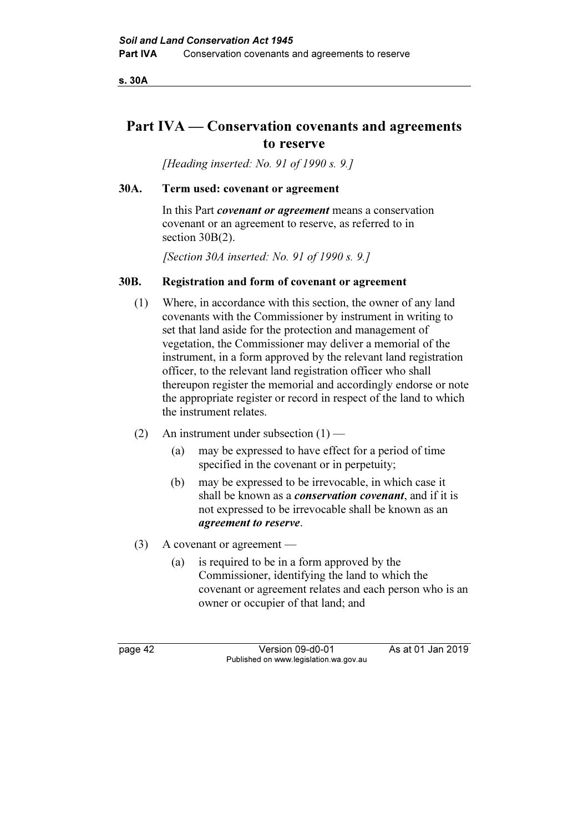s. 30A

# Part IVA — Conservation covenants and agreements to reserve

[Heading inserted: No. 91 of 1990 s. 9.]

#### 30A. Term used: covenant or agreement

In this Part *covenant or agreement* means a conservation covenant or an agreement to reserve, as referred to in section 30B(2).

[Section 30A inserted: No. 91 of 1990 s. 9.]

## 30B. Registration and form of covenant or agreement

- (1) Where, in accordance with this section, the owner of any land covenants with the Commissioner by instrument in writing to set that land aside for the protection and management of vegetation, the Commissioner may deliver a memorial of the instrument, in a form approved by the relevant land registration officer, to the relevant land registration officer who shall thereupon register the memorial and accordingly endorse or note the appropriate register or record in respect of the land to which the instrument relates.
- (2) An instrument under subsection  $(1)$ 
	- (a) may be expressed to have effect for a period of time specified in the covenant or in perpetuity;
	- (b) may be expressed to be irrevocable, in which case it shall be known as a *conservation covenant*, and if it is not expressed to be irrevocable shall be known as an agreement to reserve.
- (3) A covenant or agreement
	- (a) is required to be in a form approved by the Commissioner, identifying the land to which the covenant or agreement relates and each person who is an owner or occupier of that land; and

page 42 Version 09-d0-01 As at 01 Jan 2019 Published on www.legislation.wa.gov.au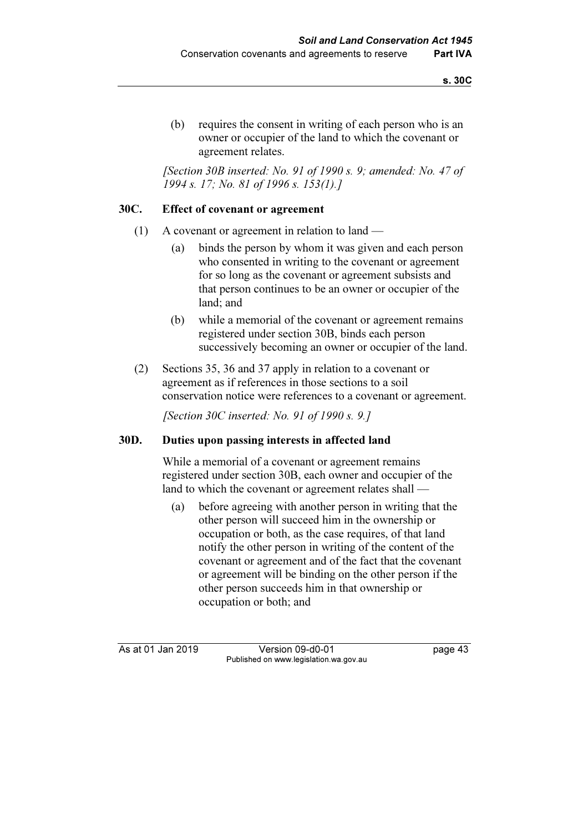(b) requires the consent in writing of each person who is an owner or occupier of the land to which the covenant or agreement relates.

 [Section 30B inserted: No. 91 of 1990 s. 9; amended: No. 47 of 1994 s. 17; No. 81 of 1996 s. 153(1).]

#### 30C. Effect of covenant or agreement

- (1) A covenant or agreement in relation to land
	- (a) binds the person by whom it was given and each person who consented in writing to the covenant or agreement for so long as the covenant or agreement subsists and that person continues to be an owner or occupier of the land; and
	- (b) while a memorial of the covenant or agreement remains registered under section 30B, binds each person successively becoming an owner or occupier of the land.
- (2) Sections 35, 36 and 37 apply in relation to a covenant or agreement as if references in those sections to a soil conservation notice were references to a covenant or agreement.

[Section 30C inserted: No. 91 of 1990 s. 9.]

#### 30D. Duties upon passing interests in affected land

 While a memorial of a covenant or agreement remains registered under section 30B, each owner and occupier of the land to which the covenant or agreement relates shall —

 (a) before agreeing with another person in writing that the other person will succeed him in the ownership or occupation or both, as the case requires, of that land notify the other person in writing of the content of the covenant or agreement and of the fact that the covenant or agreement will be binding on the other person if the other person succeeds him in that ownership or occupation or both; and

As at 01 Jan 2019 Version 09-d0-01 bag at 01 Jan 2019 Published on www.legislation.wa.gov.au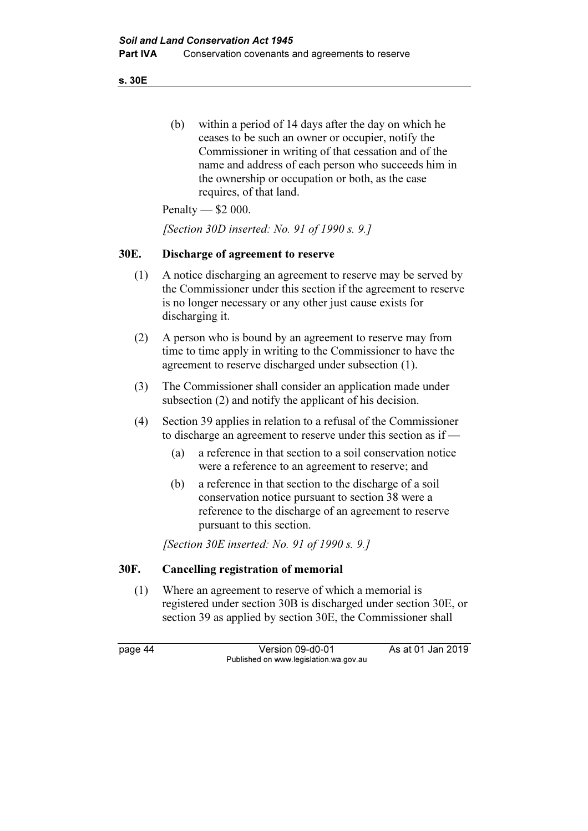s. 30E

 (b) within a period of 14 days after the day on which he ceases to be such an owner or occupier, notify the Commissioner in writing of that cessation and of the name and address of each person who succeeds him in the ownership or occupation or both, as the case requires, of that land.

Penalty — \$2 000.

[Section 30D inserted: No. 91 of 1990 s. 9.]

#### 30E. Discharge of agreement to reserve

- (1) A notice discharging an agreement to reserve may be served by the Commissioner under this section if the agreement to reserve is no longer necessary or any other just cause exists for discharging it.
- (2) A person who is bound by an agreement to reserve may from time to time apply in writing to the Commissioner to have the agreement to reserve discharged under subsection (1).
- (3) The Commissioner shall consider an application made under subsection (2) and notify the applicant of his decision.
- (4) Section 39 applies in relation to a refusal of the Commissioner to discharge an agreement to reserve under this section as if —
	- (a) a reference in that section to a soil conservation notice were a reference to an agreement to reserve; and
	- (b) a reference in that section to the discharge of a soil conservation notice pursuant to section 38 were a reference to the discharge of an agreement to reserve pursuant to this section.

[Section 30E inserted: No. 91 of 1990 s. 9.]

## 30F. Cancelling registration of memorial

 (1) Where an agreement to reserve of which a memorial is registered under section 30B is discharged under section 30E, or section 39 as applied by section 30E, the Commissioner shall

page 44 Version 09-d0-01 As at 01 Jan 2019 Published on www.legislation.wa.gov.au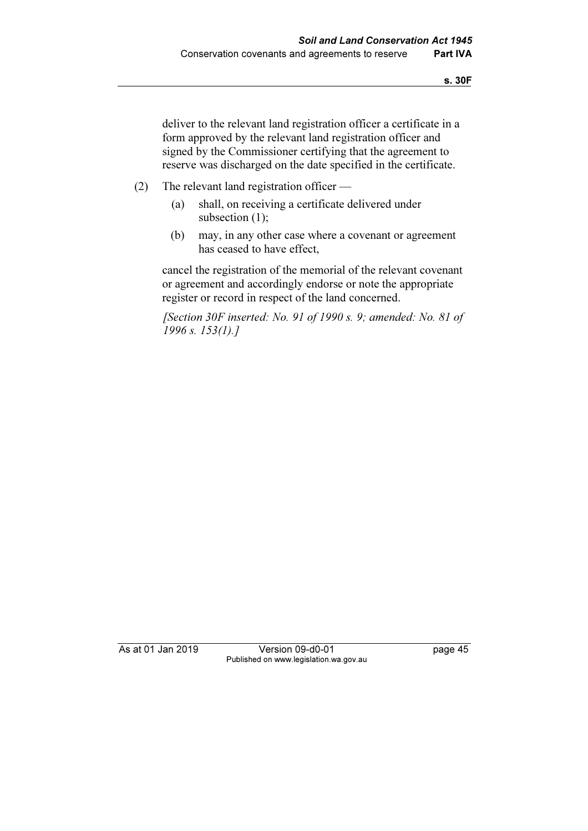deliver to the relevant land registration officer a certificate in a form approved by the relevant land registration officer and signed by the Commissioner certifying that the agreement to reserve was discharged on the date specified in the certificate.

- (2) The relevant land registration officer
	- (a) shall, on receiving a certificate delivered under subsection (1);
	- (b) may, in any other case where a covenant or agreement has ceased to have effect,

 cancel the registration of the memorial of the relevant covenant or agreement and accordingly endorse or note the appropriate register or record in respect of the land concerned.

 [Section 30F inserted: No. 91 of 1990 s. 9; amended: No. 81 of 1996 s. 153(1).]

As at 01 Jan 2019 Version 09-d0-01 page 45 Published on www.legislation.wa.gov.au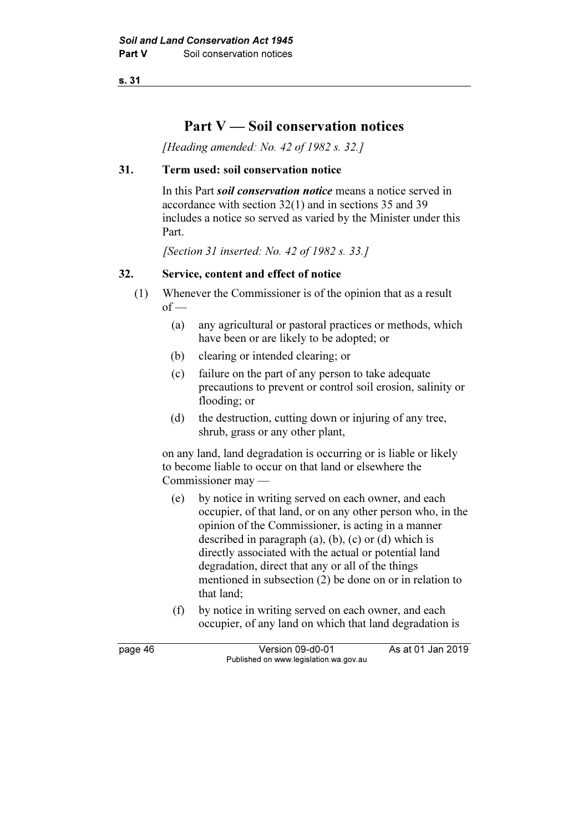# Part  $V -$  Soil conservation notices

[Heading amended: No. 42 of 1982 s. 32.]

## 31. Term used: soil conservation notice

In this Part *soil conservation notice* means a notice served in accordance with section 32(1) and in sections 35 and 39 includes a notice so served as varied by the Minister under this Part.

[Section 31 inserted: No. 42 of 1982 s. 33.]

## 32. Service, content and effect of notice

- (1) Whenever the Commissioner is of the opinion that as a result  $of -$ 
	- (a) any agricultural or pastoral practices or methods, which have been or are likely to be adopted; or
	- (b) clearing or intended clearing; or
	- (c) failure on the part of any person to take adequate precautions to prevent or control soil erosion, salinity or flooding; or
	- (d) the destruction, cutting down or injuring of any tree, shrub, grass or any other plant,

 on any land, land degradation is occurring or is liable or likely to become liable to occur on that land or elsewhere the Commissioner may —

- (e) by notice in writing served on each owner, and each occupier, of that land, or on any other person who, in the opinion of the Commissioner, is acting in a manner described in paragraph (a), (b), (c) or (d) which is directly associated with the actual or potential land degradation, direct that any or all of the things mentioned in subsection (2) be done on or in relation to that land;
- (f) by notice in writing served on each owner, and each occupier, of any land on which that land degradation is

page 46 Version 09-d0-01 As at 01 Jan 2019 Published on www.legislation.wa.gov.au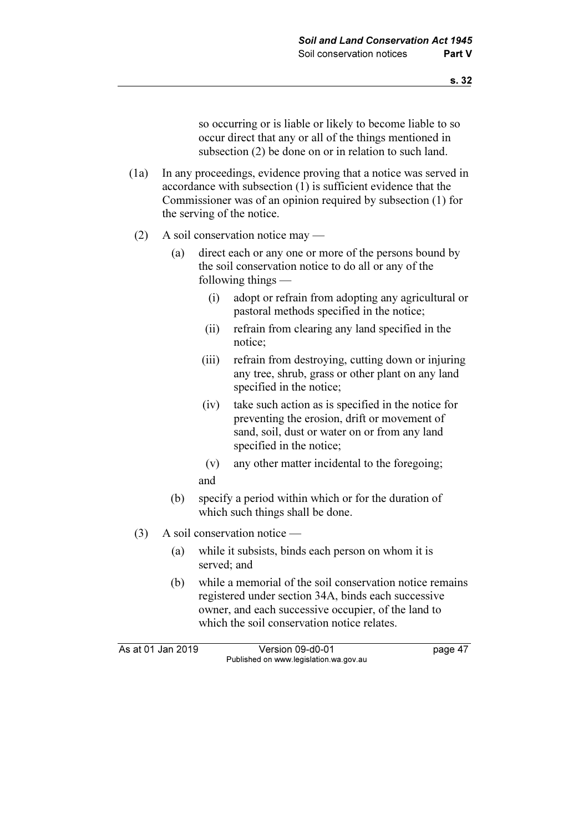so occurring or is liable or likely to become liable to so occur direct that any or all of the things mentioned in subsection (2) be done on or in relation to such land.

- (1a) In any proceedings, evidence proving that a notice was served in accordance with subsection (1) is sufficient evidence that the Commissioner was of an opinion required by subsection (1) for the serving of the notice.
- (2) A soil conservation notice may
	- (a) direct each or any one or more of the persons bound by the soil conservation notice to do all or any of the following things —
		- (i) adopt or refrain from adopting any agricultural or pastoral methods specified in the notice;
		- (ii) refrain from clearing any land specified in the notice;
		- (iii) refrain from destroying, cutting down or injuring any tree, shrub, grass or other plant on any land specified in the notice;
		- (iv) take such action as is specified in the notice for preventing the erosion, drift or movement of sand, soil, dust or water on or from any land specified in the notice;
		- (v) any other matter incidental to the foregoing; and
	- (b) specify a period within which or for the duration of which such things shall be done.
- (3) A soil conservation notice
	- (a) while it subsists, binds each person on whom it is served; and
	- (b) while a memorial of the soil conservation notice remains registered under section 34A, binds each successive owner, and each successive occupier, of the land to which the soil conservation notice relates.

As at 01 Jan 2019 Version 09-d0-01 page 47 Published on www.legislation.wa.gov.au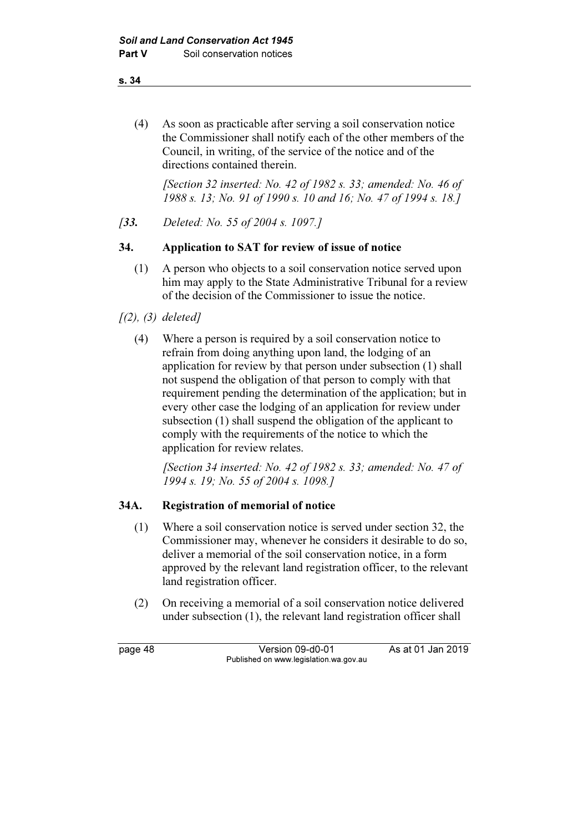(4) As soon as practicable after serving a soil conservation notice the Commissioner shall notify each of the other members of the Council, in writing, of the service of the notice and of the directions contained therein.

[Section 32 inserted: No. 42 of 1982 s. 33; amended: No. 46 of 1988 s. 13; No. 91 of 1990 s. 10 and 16; No. 47 of 1994 s. 18.]

[33. Deleted: No. 55 of 2004 s. 1097.]

## 34. Application to SAT for review of issue of notice

- (1) A person who objects to a soil conservation notice served upon him may apply to the State Administrative Tribunal for a review of the decision of the Commissioner to issue the notice.
- $(2), (3)$  deleted]
	- (4) Where a person is required by a soil conservation notice to refrain from doing anything upon land, the lodging of an application for review by that person under subsection (1) shall not suspend the obligation of that person to comply with that requirement pending the determination of the application; but in every other case the lodging of an application for review under subsection (1) shall suspend the obligation of the applicant to comply with the requirements of the notice to which the application for review relates.

 [Section 34 inserted: No. 42 of 1982 s. 33; amended: No. 47 of 1994 s. 19; No. 55 of 2004 s. 1098.]

## 34A. Registration of memorial of notice

- (1) Where a soil conservation notice is served under section 32, the Commissioner may, whenever he considers it desirable to do so, deliver a memorial of the soil conservation notice, in a form approved by the relevant land registration officer, to the relevant land registration officer.
- (2) On receiving a memorial of a soil conservation notice delivered under subsection (1), the relevant land registration officer shall

page 48 Version 09-d0-01 As at 01 Jan 2019 Published on www.legislation.wa.gov.au

s. 34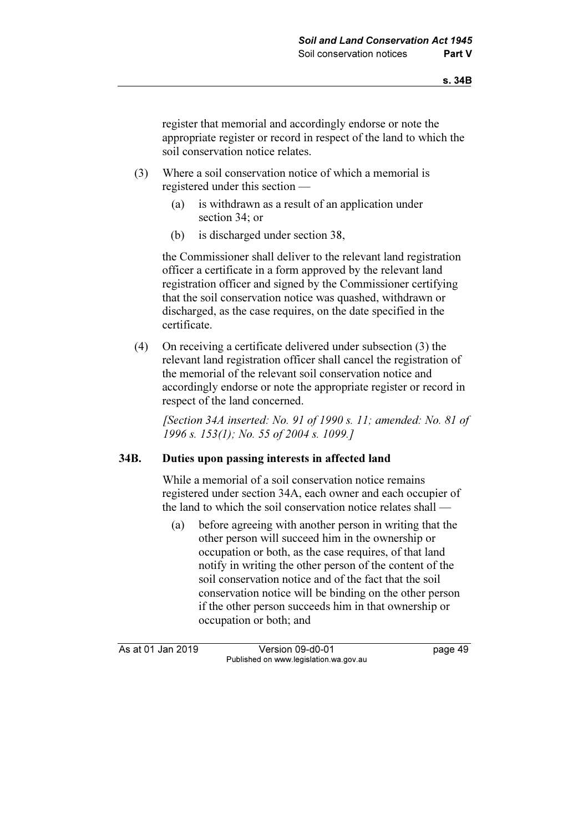register that memorial and accordingly endorse or note the appropriate register or record in respect of the land to which the soil conservation notice relates.

- (3) Where a soil conservation notice of which a memorial is registered under this section —
	- (a) is withdrawn as a result of an application under section 34; or
	- (b) is discharged under section 38,

 the Commissioner shall deliver to the relevant land registration officer a certificate in a form approved by the relevant land registration officer and signed by the Commissioner certifying that the soil conservation notice was quashed, withdrawn or discharged, as the case requires, on the date specified in the certificate.

 (4) On receiving a certificate delivered under subsection (3) the relevant land registration officer shall cancel the registration of the memorial of the relevant soil conservation notice and accordingly endorse or note the appropriate register or record in respect of the land concerned.

 [Section 34A inserted: No. 91 of 1990 s. 11; amended: No. 81 of 1996 s. 153(1); No. 55 of 2004 s. 1099.]

## 34B. Duties upon passing interests in affected land

 While a memorial of a soil conservation notice remains registered under section 34A, each owner and each occupier of the land to which the soil conservation notice relates shall —

 (a) before agreeing with another person in writing that the other person will succeed him in the ownership or occupation or both, as the case requires, of that land notify in writing the other person of the content of the soil conservation notice and of the fact that the soil conservation notice will be binding on the other person if the other person succeeds him in that ownership or occupation or both; and

As at 01 Jan 2019 Version 09-d0-01 bag at 01 Jan 2019 Published on www.legislation.wa.gov.au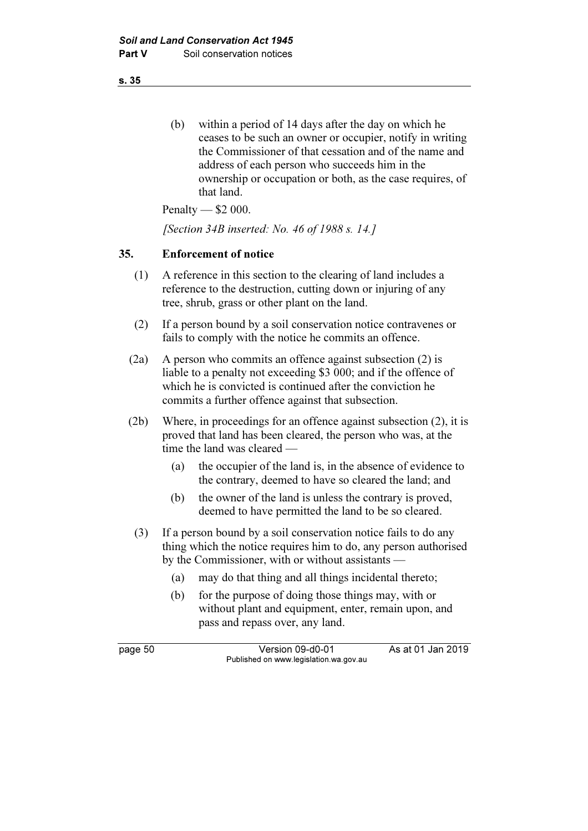(b) within a period of 14 days after the day on which he ceases to be such an owner or occupier, notify in writing the Commissioner of that cessation and of the name and address of each person who succeeds him in the ownership or occupation or both, as the case requires, of that land.

Penalty — \$2 000.

[Section 34B inserted: No. 46 of 1988 s. 14.]

## 35. Enforcement of notice

- (1) A reference in this section to the clearing of land includes a reference to the destruction, cutting down or injuring of any tree, shrub, grass or other plant on the land.
- (2) If a person bound by a soil conservation notice contravenes or fails to comply with the notice he commits an offence.
- (2a) A person who commits an offence against subsection (2) is liable to a penalty not exceeding \$3 000; and if the offence of which he is convicted is continued after the conviction he commits a further offence against that subsection.
- (2b) Where, in proceedings for an offence against subsection (2), it is proved that land has been cleared, the person who was, at the time the land was cleared —
	- (a) the occupier of the land is, in the absence of evidence to the contrary, deemed to have so cleared the land; and
	- (b) the owner of the land is unless the contrary is proved, deemed to have permitted the land to be so cleared.
	- (3) If a person bound by a soil conservation notice fails to do any thing which the notice requires him to do, any person authorised by the Commissioner, with or without assistants —
		- (a) may do that thing and all things incidental thereto;
		- (b) for the purpose of doing those things may, with or without plant and equipment, enter, remain upon, and pass and repass over, any land.

page 50 Version 09-d0-01 As at 01 Jan 2019 Published on www.legislation.wa.gov.au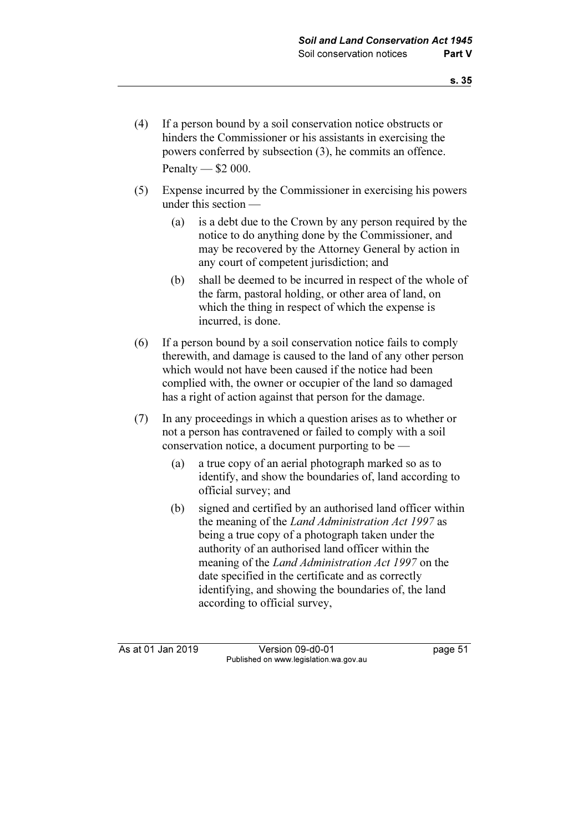- (4) If a person bound by a soil conservation notice obstructs or hinders the Commissioner or his assistants in exercising the powers conferred by subsection (3), he commits an offence. Penalty — \$2 000.
- (5) Expense incurred by the Commissioner in exercising his powers under this section —
	- (a) is a debt due to the Crown by any person required by the notice to do anything done by the Commissioner, and may be recovered by the Attorney General by action in any court of competent jurisdiction; and
	- (b) shall be deemed to be incurred in respect of the whole of the farm, pastoral holding, or other area of land, on which the thing in respect of which the expense is incurred, is done.
- (6) If a person bound by a soil conservation notice fails to comply therewith, and damage is caused to the land of any other person which would not have been caused if the notice had been complied with, the owner or occupier of the land so damaged has a right of action against that person for the damage.
- (7) In any proceedings in which a question arises as to whether or not a person has contravened or failed to comply with a soil conservation notice, a document purporting to be —
	- (a) a true copy of an aerial photograph marked so as to identify, and show the boundaries of, land according to official survey; and
	- (b) signed and certified by an authorised land officer within the meaning of the Land Administration Act 1997 as being a true copy of a photograph taken under the authority of an authorised land officer within the meaning of the Land Administration Act 1997 on the date specified in the certificate and as correctly identifying, and showing the boundaries of, the land according to official survey,

As at 01 Jan 2019 Version 09-d0-01 page 51 Published on www.legislation.wa.gov.au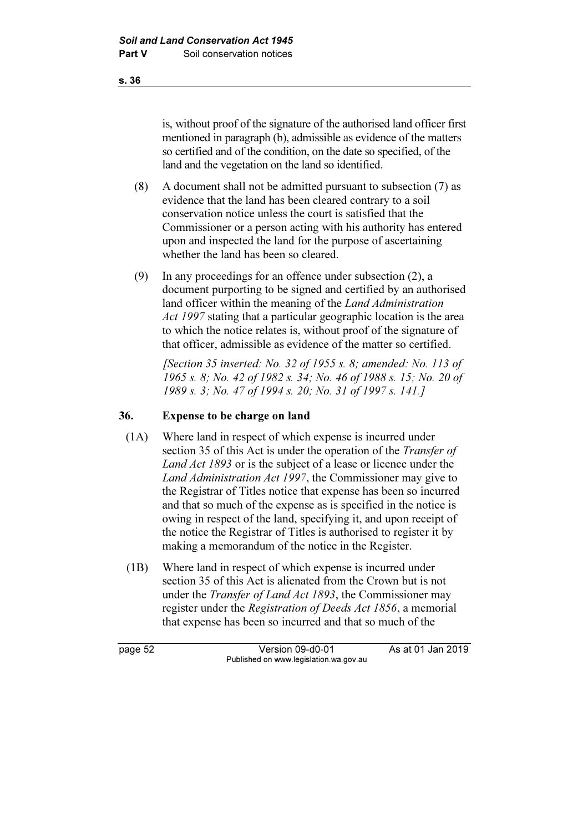is, without proof of the signature of the authorised land officer first mentioned in paragraph (b), admissible as evidence of the matters so certified and of the condition, on the date so specified, of the land and the vegetation on the land so identified.

- (8) A document shall not be admitted pursuant to subsection (7) as evidence that the land has been cleared contrary to a soil conservation notice unless the court is satisfied that the Commissioner or a person acting with his authority has entered upon and inspected the land for the purpose of ascertaining whether the land has been so cleared.
- (9) In any proceedings for an offence under subsection (2), a document purporting to be signed and certified by an authorised land officer within the meaning of the *Land Administration* Act 1997 stating that a particular geographic location is the area to which the notice relates is, without proof of the signature of that officer, admissible as evidence of the matter so certified.

[Section 35 inserted: No. 32 of 1955 s. 8; amended: No. 113 of 1965 s. 8; No. 42 of 1982 s. 34; No. 46 of 1988 s. 15; No. 20 of 1989 s. 3; No. 47 of 1994 s. 20; No. 31 of 1997 s. 141.]

## 36. Expense to be charge on land

- (1A) Where land in respect of which expense is incurred under section 35 of this Act is under the operation of the *Transfer of* Land Act 1893 or is the subject of a lease or licence under the Land Administration Act 1997, the Commissioner may give to the Registrar of Titles notice that expense has been so incurred and that so much of the expense as is specified in the notice is owing in respect of the land, specifying it, and upon receipt of the notice the Registrar of Titles is authorised to register it by making a memorandum of the notice in the Register.
- (1B) Where land in respect of which expense is incurred under section 35 of this Act is alienated from the Crown but is not under the *Transfer of Land Act 1893*, the Commissioner may register under the Registration of Deeds Act 1856, a memorial that expense has been so incurred and that so much of the

page 52 Version 09-d0-01 As at 01 Jan 2019 Published on www.legislation.wa.gov.au

s. 36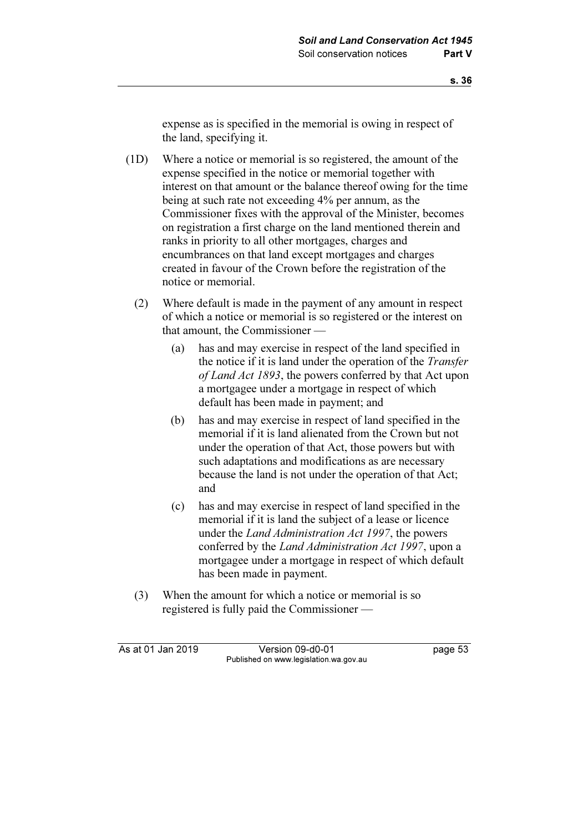expense as is specified in the memorial is owing in respect of the land, specifying it.

- (1D) Where a notice or memorial is so registered, the amount of the expense specified in the notice or memorial together with interest on that amount or the balance thereof owing for the time being at such rate not exceeding 4% per annum, as the Commissioner fixes with the approval of the Minister, becomes on registration a first charge on the land mentioned therein and ranks in priority to all other mortgages, charges and encumbrances on that land except mortgages and charges created in favour of the Crown before the registration of the notice or memorial.
	- (2) Where default is made in the payment of any amount in respect of which a notice or memorial is so registered or the interest on that amount, the Commissioner —
		- (a) has and may exercise in respect of the land specified in the notice if it is land under the operation of the Transfer of Land Act 1893, the powers conferred by that Act upon a mortgagee under a mortgage in respect of which default has been made in payment; and
		- (b) has and may exercise in respect of land specified in the memorial if it is land alienated from the Crown but not under the operation of that Act, those powers but with such adaptations and modifications as are necessary because the land is not under the operation of that Act; and
		- (c) has and may exercise in respect of land specified in the memorial if it is land the subject of a lease or licence under the Land Administration Act 1997, the powers conferred by the Land Administration Act 1997, upon a mortgagee under a mortgage in respect of which default has been made in payment.
	- (3) When the amount for which a notice or memorial is so registered is fully paid the Commissioner —

As at 01 Jan 2019 Version 09-d0-01 page 53 Published on www.legislation.wa.gov.au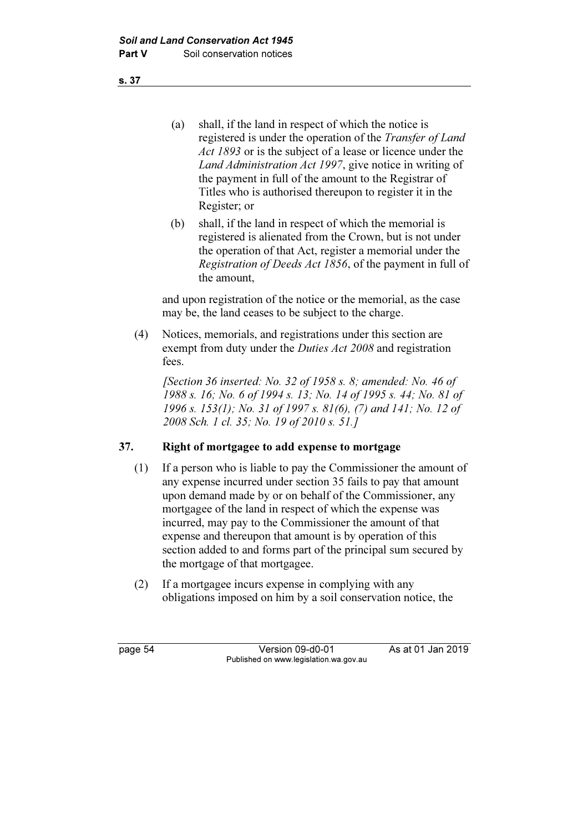(a) shall, if the land in respect of which the notice is registered is under the operation of the Transfer of Land Act 1893 or is the subject of a lease or licence under the Land Administration Act 1997, give notice in writing of the payment in full of the amount to the Registrar of Titles who is authorised thereupon to register it in the Register; or

 (b) shall, if the land in respect of which the memorial is registered is alienated from the Crown, but is not under the operation of that Act, register a memorial under the Registration of Deeds Act 1856, of the payment in full of the amount,

 and upon registration of the notice or the memorial, as the case may be, the land ceases to be subject to the charge.

 (4) Notices, memorials, and registrations under this section are exempt from duty under the *Duties Act 2008* and registration fees.

[Section 36 inserted: No. 32 of 1958 s. 8; amended: No. 46 of 1988 s. 16; No. 6 of 1994 s. 13; No. 14 of 1995 s. 44; No. 81 of 1996 s. 153(1); No. 31 of 1997 s. 81(6), (7) and 141; No. 12 of 2008 Sch. 1 cl. 35; No. 19 of 2010 s. 51.]

## 37. Right of mortgagee to add expense to mortgage

- (1) If a person who is liable to pay the Commissioner the amount of any expense incurred under section 35 fails to pay that amount upon demand made by or on behalf of the Commissioner, any mortgagee of the land in respect of which the expense was incurred, may pay to the Commissioner the amount of that expense and thereupon that amount is by operation of this section added to and forms part of the principal sum secured by the mortgage of that mortgagee.
- (2) If a mortgagee incurs expense in complying with any obligations imposed on him by a soil conservation notice, the

page 54 Version 09-d0-01 As at 01 Jan 2019 Published on www.legislation.wa.gov.au

s. 37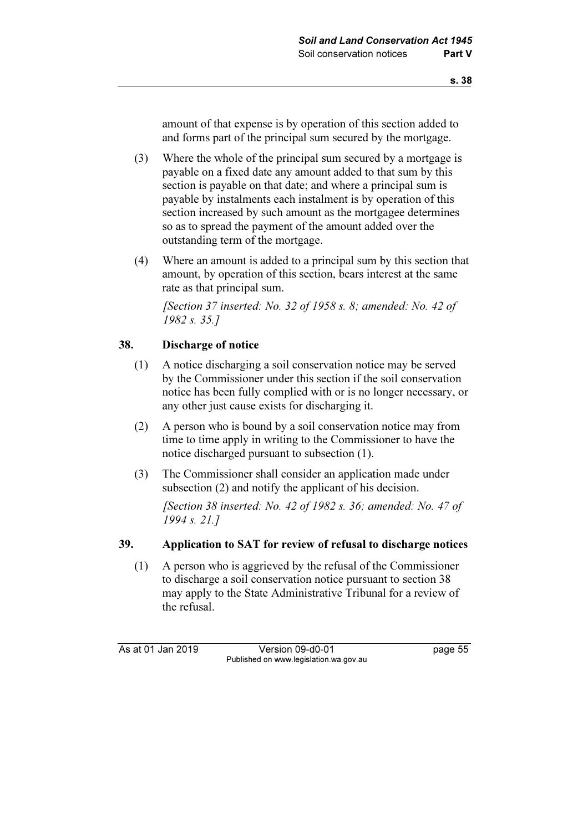amount of that expense is by operation of this section added to and forms part of the principal sum secured by the mortgage.

- (3) Where the whole of the principal sum secured by a mortgage is payable on a fixed date any amount added to that sum by this section is payable on that date; and where a principal sum is payable by instalments each instalment is by operation of this section increased by such amount as the mortgagee determines so as to spread the payment of the amount added over the outstanding term of the mortgage.
- (4) Where an amount is added to a principal sum by this section that amount, by operation of this section, bears interest at the same rate as that principal sum.

[Section 37 inserted: No. 32 of 1958 s. 8; amended: No. 42 of 1982 s. 35.]

## 38. Discharge of notice

- (1) A notice discharging a soil conservation notice may be served by the Commissioner under this section if the soil conservation notice has been fully complied with or is no longer necessary, or any other just cause exists for discharging it.
- (2) A person who is bound by a soil conservation notice may from time to time apply in writing to the Commissioner to have the notice discharged pursuant to subsection (1).
- (3) The Commissioner shall consider an application made under subsection (2) and notify the applicant of his decision.

[Section 38 inserted: No. 42 of 1982 s. 36; amended: No. 47 of 1994 s. 21.]

#### 39. Application to SAT for review of refusal to discharge notices

 (1) A person who is aggrieved by the refusal of the Commissioner to discharge a soil conservation notice pursuant to section 38 may apply to the State Administrative Tribunal for a review of the refusal.

As at 01 Jan 2019 Version 09-d0-01 bag page 55 Published on www.legislation.wa.gov.au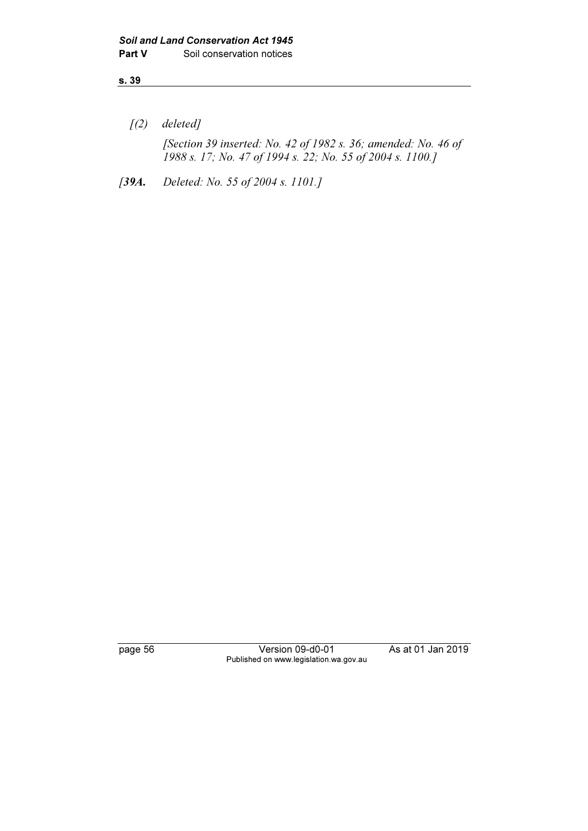$(2)$  deleted]

 [Section 39 inserted: No. 42 of 1982 s. 36; amended: No. 46 of 1988 s. 17; No. 47 of 1994 s. 22; No. 55 of 2004 s. 1100.]

[39A. Deleted: No. 55 of 2004 s. 1101.]

page 56 Version 09-d0-01 As at 01 Jan 2019 Published on www.legislation.wa.gov.au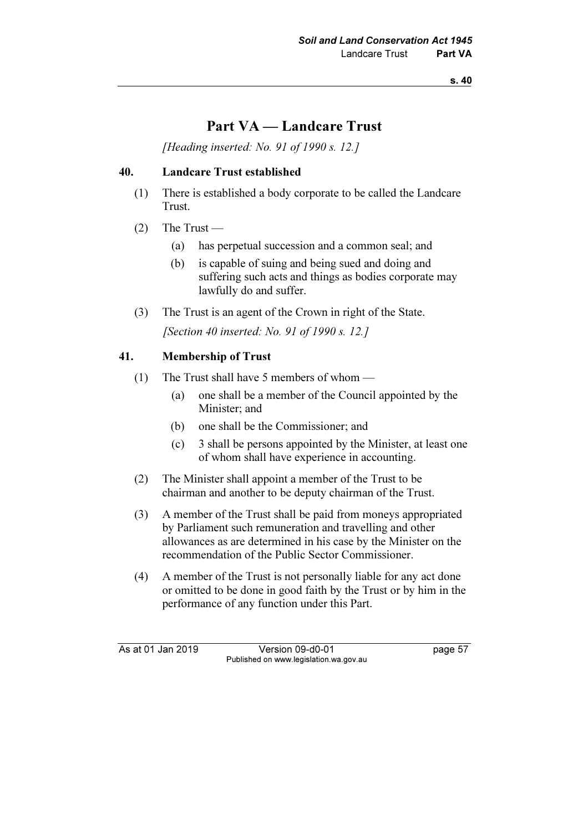# Part VA — Landcare Trust

[Heading inserted: No. 91 of 1990 s. 12.]

#### 40. Landcare Trust established

- (1) There is established a body corporate to be called the Landcare Trust.
- $(2)$  The Trust
	- (a) has perpetual succession and a common seal; and
	- (b) is capable of suing and being sued and doing and suffering such acts and things as bodies corporate may lawfully do and suffer.
- (3) The Trust is an agent of the Crown in right of the State.

[Section 40 inserted: No. 91 of 1990 s. 12.]

## 41. Membership of Trust

- (1) The Trust shall have 5 members of whom
	- (a) one shall be a member of the Council appointed by the Minister; and
	- (b) one shall be the Commissioner; and
	- (c) 3 shall be persons appointed by the Minister, at least one of whom shall have experience in accounting.
- (2) The Minister shall appoint a member of the Trust to be chairman and another to be deputy chairman of the Trust.
- (3) A member of the Trust shall be paid from moneys appropriated by Parliament such remuneration and travelling and other allowances as are determined in his case by the Minister on the recommendation of the Public Sector Commissioner.
- (4) A member of the Trust is not personally liable for any act done or omitted to be done in good faith by the Trust or by him in the performance of any function under this Part.

As at 01 Jan 2019 Version 09-d0-01 page 57 Published on www.legislation.wa.gov.au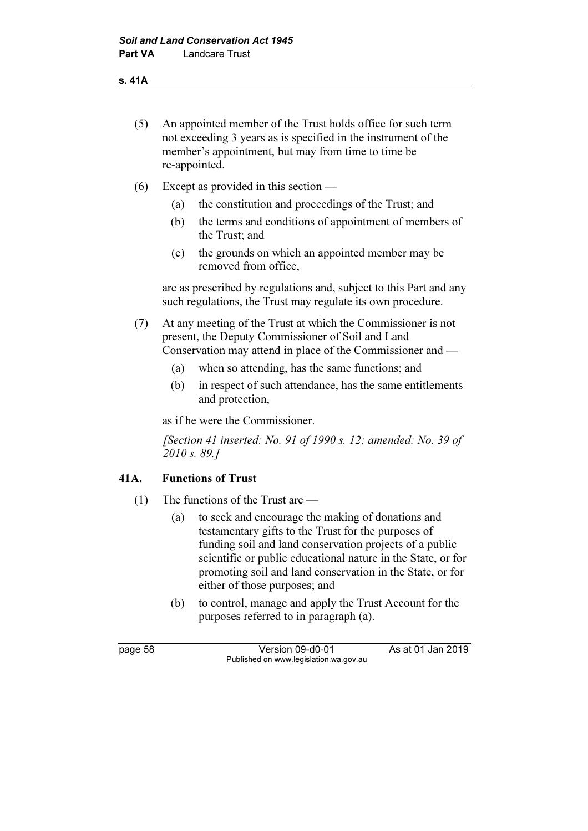- (5) An appointed member of the Trust holds office for such term not exceeding 3 years as is specified in the instrument of the member's appointment, but may from time to time be re-appointed.
- (6) Except as provided in this section
	- (a) the constitution and proceedings of the Trust; and
	- (b) the terms and conditions of appointment of members of the Trust; and
	- (c) the grounds on which an appointed member may be removed from office,

 are as prescribed by regulations and, subject to this Part and any such regulations, the Trust may regulate its own procedure.

- (7) At any meeting of the Trust at which the Commissioner is not present, the Deputy Commissioner of Soil and Land Conservation may attend in place of the Commissioner and —
	- (a) when so attending, has the same functions; and
	- (b) in respect of such attendance, has the same entitlements and protection,

as if he were the Commissioner.

[Section 41 inserted: No. 91 of 1990 s. 12; amended: No. 39 of 2010 s. 89.]

## 41A. Functions of Trust

- (1) The functions of the Trust are
	- (a) to seek and encourage the making of donations and testamentary gifts to the Trust for the purposes of funding soil and land conservation projects of a public scientific or public educational nature in the State, or for promoting soil and land conservation in the State, or for either of those purposes; and
	- (b) to control, manage and apply the Trust Account for the purposes referred to in paragraph (a).

page 58 Version 09-d0-01 As at 01 Jan 2019 Published on www.legislation.wa.gov.au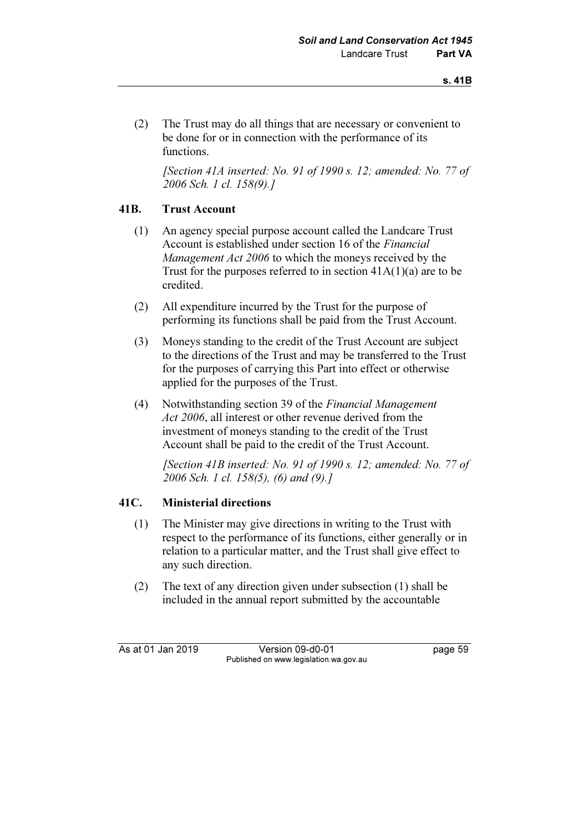(2) The Trust may do all things that are necessary or convenient to be done for or in connection with the performance of its functions.

[Section 41A inserted: No. 91 of 1990 s. 12; amended: No. 77 of 2006 Sch. 1 cl. 158(9).]

## 41B. Trust Account

- (1) An agency special purpose account called the Landcare Trust Account is established under section 16 of the *Financial* Management Act 2006 to which the moneys received by the Trust for the purposes referred to in section 41A(1)(a) are to be credited.
- (2) All expenditure incurred by the Trust for the purpose of performing its functions shall be paid from the Trust Account.
- (3) Moneys standing to the credit of the Trust Account are subject to the directions of the Trust and may be transferred to the Trust for the purposes of carrying this Part into effect or otherwise applied for the purposes of the Trust.
- (4) Notwithstanding section 39 of the Financial Management Act 2006, all interest or other revenue derived from the investment of moneys standing to the credit of the Trust Account shall be paid to the credit of the Trust Account.

 [Section 41B inserted: No. 91 of 1990 s. 12; amended: No. 77 of 2006 Sch. 1 cl. 158(5), (6) and (9).]

## 41C. Ministerial directions

- (1) The Minister may give directions in writing to the Trust with respect to the performance of its functions, either generally or in relation to a particular matter, and the Trust shall give effect to any such direction.
- (2) The text of any direction given under subsection (1) shall be included in the annual report submitted by the accountable

As at 01 Jan 2019 Version 09-d0-01 page 59 Published on www.legislation.wa.gov.au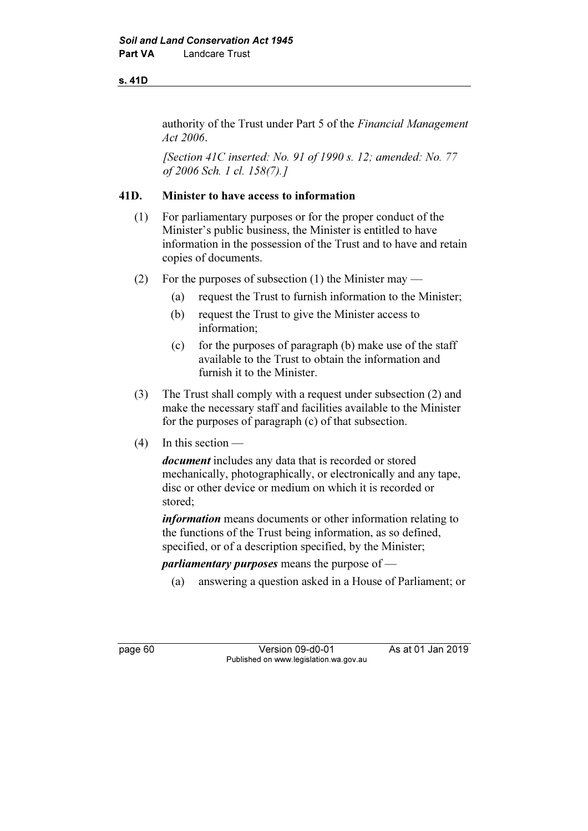#### s. 41D

authority of the Trust under Part 5 of the Financial Management Act 2006.

[Section 41C inserted: No. 91 of 1990 s. 12; amended: No. 77 of 2006 Sch. 1 cl. 158(7).]

## 41D. Minister to have access to information

- (1) For parliamentary purposes or for the proper conduct of the Minister's public business, the Minister is entitled to have information in the possession of the Trust and to have and retain copies of documents.
- (2) For the purposes of subsection (1) the Minister may
	- (a) request the Trust to furnish information to the Minister;
	- (b) request the Trust to give the Minister access to information;
	- (c) for the purposes of paragraph (b) make use of the staff available to the Trust to obtain the information and furnish it to the Minister.
- (3) The Trust shall comply with a request under subsection (2) and make the necessary staff and facilities available to the Minister for the purposes of paragraph (c) of that subsection.
- (4) In this section —

document includes any data that is recorded or stored mechanically, photographically, or electronically and any tape, disc or other device or medium on which it is recorded or stored;

information means documents or other information relating to the functions of the Trust being information, as so defined, specified, or of a description specified, by the Minister;

*parliamentary purposes* means the purpose of  $-$ 

(a) answering a question asked in a House of Parliament; or

page 60 **Version 09-d0-01** As at 01 Jan 2019 Published on www.legislation.wa.gov.au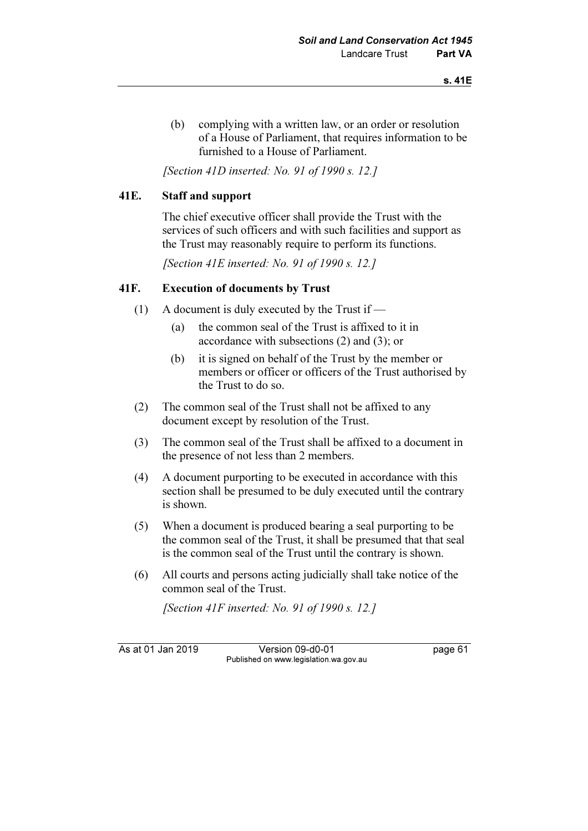(b) complying with a written law, or an order or resolution of a House of Parliament, that requires information to be furnished to a House of Parliament.

[Section 41D inserted: No. 91 of 1990 s. 12.]

## 41E. Staff and support

 The chief executive officer shall provide the Trust with the services of such officers and with such facilities and support as the Trust may reasonably require to perform its functions.

[Section 41E inserted: No. 91 of 1990 s. 12.]

## 41F. Execution of documents by Trust

- (1) A document is duly executed by the Trust if  $-$ 
	- (a) the common seal of the Trust is affixed to it in accordance with subsections (2) and (3); or
	- (b) it is signed on behalf of the Trust by the member or members or officer or officers of the Trust authorised by the Trust to do so.
- (2) The common seal of the Trust shall not be affixed to any document except by resolution of the Trust.
- (3) The common seal of the Trust shall be affixed to a document in the presence of not less than 2 members.
- (4) A document purporting to be executed in accordance with this section shall be presumed to be duly executed until the contrary is shown.
- (5) When a document is produced bearing a seal purporting to be the common seal of the Trust, it shall be presumed that that seal is the common seal of the Trust until the contrary is shown.
- (6) All courts and persons acting judicially shall take notice of the common seal of the Trust.

[Section 41F inserted: No. 91 of 1990 s. 12.]

As at 01 Jan 2019 Version 09-d0-01 page 61 Published on www.legislation.wa.gov.au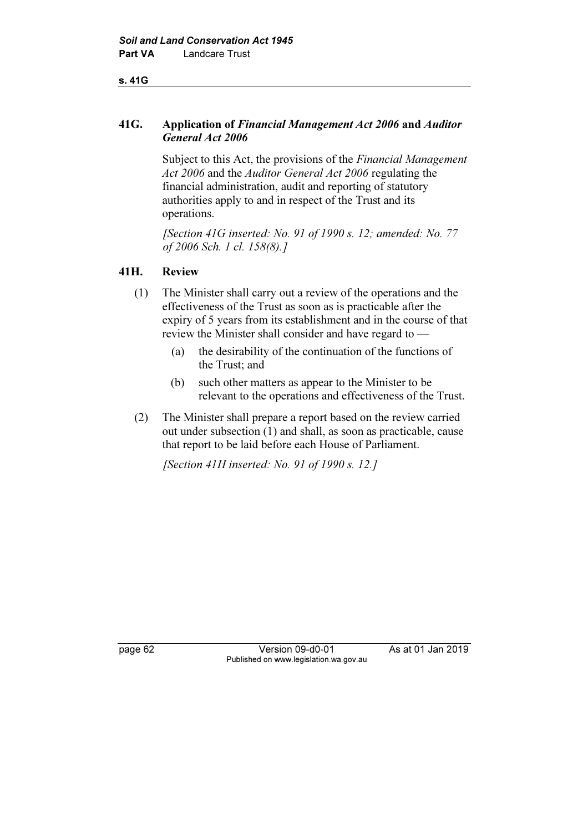#### s. 41G

## 41G. Application of Financial Management Act 2006 and Auditor General Act 2006

Subject to this Act, the provisions of the Financial Management Act 2006 and the Auditor General Act 2006 regulating the financial administration, audit and reporting of statutory authorities apply to and in respect of the Trust and its operations.

[Section 41G inserted: No. 91 of 1990 s. 12; amended: No. 77 of 2006 Sch. 1 cl. 158(8).]

## 41H. Review

- (1) The Minister shall carry out a review of the operations and the effectiveness of the Trust as soon as is practicable after the expiry of 5 years from its establishment and in the course of that review the Minister shall consider and have regard to —
	- (a) the desirability of the continuation of the functions of the Trust; and
	- (b) such other matters as appear to the Minister to be relevant to the operations and effectiveness of the Trust.
- (2) The Minister shall prepare a report based on the review carried out under subsection (1) and shall, as soon as practicable, cause that report to be laid before each House of Parliament.

[Section 41H inserted: No. 91 of 1990 s. 12.]

page 62 Version 09-d0-01 As at 01 Jan 2019 Published on www.legislation.wa.gov.au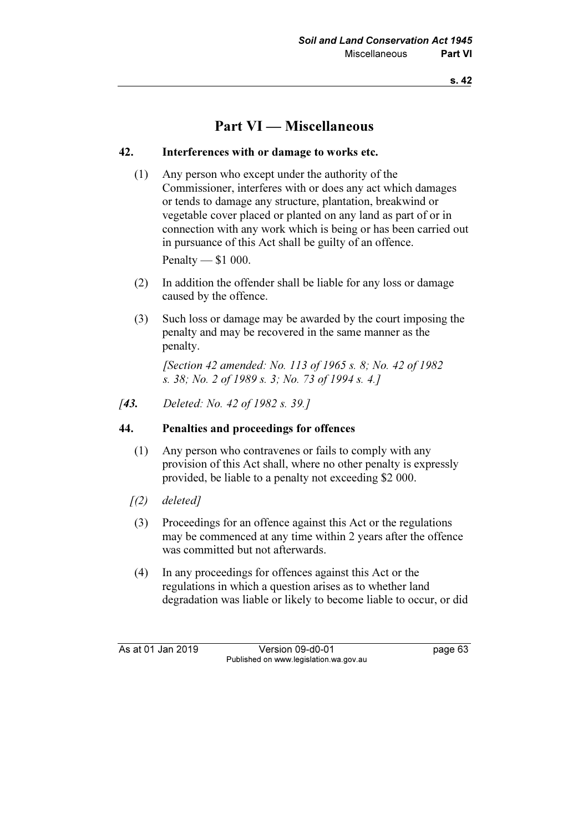# Part VI — Miscellaneous

## 42. Interferences with or damage to works etc.

 (1) Any person who except under the authority of the Commissioner, interferes with or does any act which damages or tends to damage any structure, plantation, breakwind or vegetable cover placed or planted on any land as part of or in connection with any work which is being or has been carried out in pursuance of this Act shall be guilty of an offence. Penalty — \$1 000.

- (2) In addition the offender shall be liable for any loss or damage caused by the offence.
- (3) Such loss or damage may be awarded by the court imposing the penalty and may be recovered in the same manner as the penalty.

 [Section 42 amended: No. 113 of 1965 s. 8; No. 42 of 1982 s. 38; No. 2 of 1989 s. 3; No. 73 of 1994 s. 4.]

[43. Deleted: No. 42 of 1982 s. 39.]

#### 44. Penalties and proceedings for offences

- (1) Any person who contravenes or fails to comply with any provision of this Act shall, where no other penalty is expressly provided, be liable to a penalty not exceeding \$2 000.
- $(2)$  deleted]
- (3) Proceedings for an offence against this Act or the regulations may be commenced at any time within 2 years after the offence was committed but not afterwards.
- (4) In any proceedings for offences against this Act or the regulations in which a question arises as to whether land degradation was liable or likely to become liable to occur, or did

As at 01 Jan 2019 Version 09-d0-01 page 63 Published on www.legislation.wa.gov.au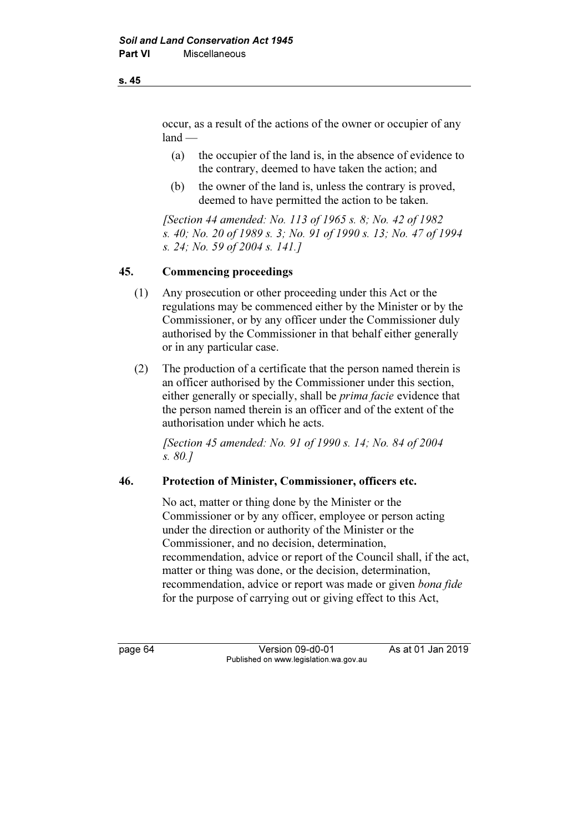occur, as a result of the actions of the owner or occupier of any  $land$ 

- (a) the occupier of the land is, in the absence of evidence to the contrary, deemed to have taken the action; and
- (b) the owner of the land is, unless the contrary is proved, deemed to have permitted the action to be taken.

 [Section 44 amended: No. 113 of 1965 s. 8; No. 42 of 1982 s. 40; No. 20 of 1989 s. 3; No. 91 of 1990 s. 13; No. 47 of 1994 s. 24; No. 59 of 2004 s. 141.]

#### 45. Commencing proceedings

- (1) Any prosecution or other proceeding under this Act or the regulations may be commenced either by the Minister or by the Commissioner, or by any officer under the Commissioner duly authorised by the Commissioner in that behalf either generally or in any particular case.
- (2) The production of a certificate that the person named therein is an officer authorised by the Commissioner under this section, either generally or specially, shall be prima facie evidence that the person named therein is an officer and of the extent of the authorisation under which he acts.

 [Section 45 amended: No. 91 of 1990 s. 14; No. 84 of 2004 s. 80.]

#### 46. Protection of Minister, Commissioner, officers etc.

 No act, matter or thing done by the Minister or the Commissioner or by any officer, employee or person acting under the direction or authority of the Minister or the Commissioner, and no decision, determination, recommendation, advice or report of the Council shall, if the act, matter or thing was done, or the decision, determination, recommendation, advice or report was made or given bona fide for the purpose of carrying out or giving effect to this Act,

page 64 Version 09-d0-01 As at 01 Jan 2019 Published on www.legislation.wa.gov.au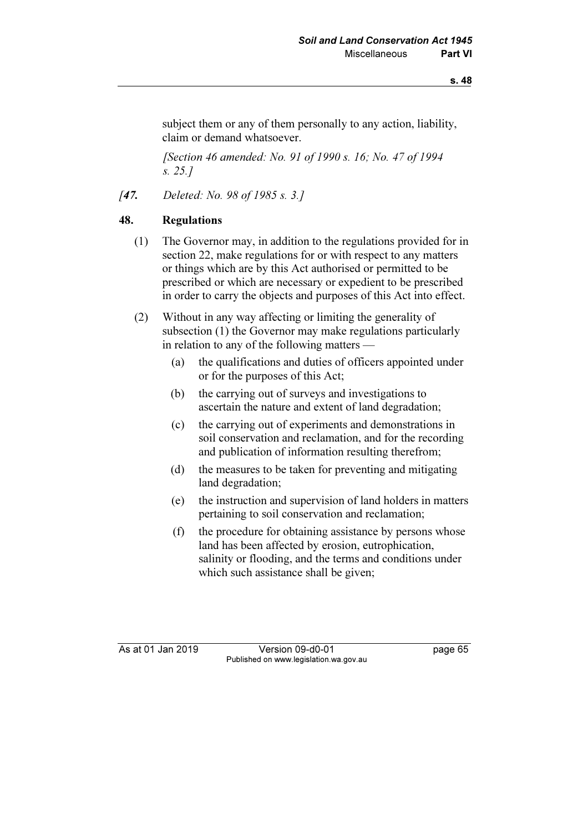subject them or any of them personally to any action, liability, claim or demand whatsoever.

[Section 46 amended: No. 91 of 1990 s. 16; No. 47 of 1994] s. 25.]

[47. Deleted: No. 98 of 1985 s. 3.]

## 48. Regulations

- (1) The Governor may, in addition to the regulations provided for in section 22, make regulations for or with respect to any matters or things which are by this Act authorised or permitted to be prescribed or which are necessary or expedient to be prescribed in order to carry the objects and purposes of this Act into effect.
- (2) Without in any way affecting or limiting the generality of subsection (1) the Governor may make regulations particularly in relation to any of the following matters —
	- (a) the qualifications and duties of officers appointed under or for the purposes of this Act;
	- (b) the carrying out of surveys and investigations to ascertain the nature and extent of land degradation;
	- (c) the carrying out of experiments and demonstrations in soil conservation and reclamation, and for the recording and publication of information resulting therefrom;
	- (d) the measures to be taken for preventing and mitigating land degradation;
	- (e) the instruction and supervision of land holders in matters pertaining to soil conservation and reclamation;
	- (f) the procedure for obtaining assistance by persons whose land has been affected by erosion, eutrophication, salinity or flooding, and the terms and conditions under which such assistance shall be given;

As at 01 Jan 2019 Version 09-d0-01 bag page 65 Published on www.legislation.wa.gov.au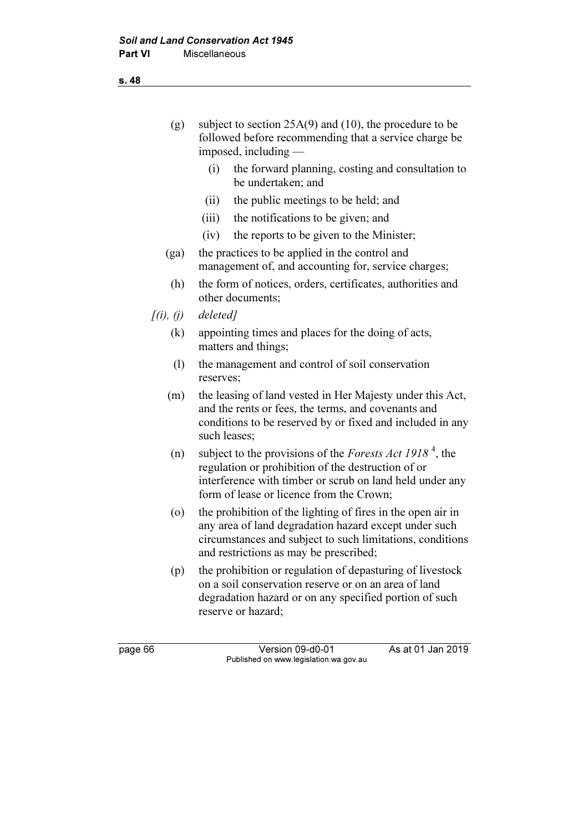| (g)                          | subject to section $25A(9)$ and (10), the procedure to be<br>followed before recommending that a service charge be<br>imposed, including $-$                                                                                              |
|------------------------------|-------------------------------------------------------------------------------------------------------------------------------------------------------------------------------------------------------------------------------------------|
|                              | (i)<br>the forward planning, costing and consultation to<br>be undertaken; and                                                                                                                                                            |
|                              | the public meetings to be held; and<br>(ii)                                                                                                                                                                                               |
|                              | (iii)<br>the notifications to be given; and                                                                                                                                                                                               |
|                              | the reports to be given to the Minister;<br>(iv)                                                                                                                                                                                          |
| (ga)                         | the practices to be applied in the control and<br>management of, and accounting for, service charges;                                                                                                                                     |
| (h)                          | the form of notices, orders, certificates, authorities and<br>other documents;                                                                                                                                                            |
| $\int(i)$ , $(j)$            | deleted]                                                                                                                                                                                                                                  |
| (k)                          | appointing times and places for the doing of acts,<br>matters and things;                                                                                                                                                                 |
| $\left( \frac{1}{2} \right)$ | the management and control of soil conservation<br>reserves;                                                                                                                                                                              |
| (m)                          | the leasing of land vested in Her Majesty under this Act,<br>and the rents or fees, the terms, and covenants and<br>conditions to be reserved by or fixed and included in any<br>such leases;                                             |
| (n)                          | subject to the provisions of the <i>Forests Act 1918</i> <sup>4</sup> , the<br>regulation or prohibition of the destruction of or<br>interference with timber or scrub on land held under any<br>form of lease or licence from the Crown; |
| $\circ$                      | the prohibition of the lighting of fires in the open air in<br>any area of land degradation hazard except under such<br>circumstances and subject to such limitations, conditions<br>and restrictions as may be prescribed;               |
| (p)                          | the prohibition or regulation of depasturing of livestock<br>on a soil conservation reserve or on an area of land<br>degradation hazard or on any specified portion of such<br>reserve or hazard;                                         |
| page 66                      | As at 01 Jan 2019<br>Version 09-d0-01<br>Published on www.legislation.wa.gov.au                                                                                                                                                           |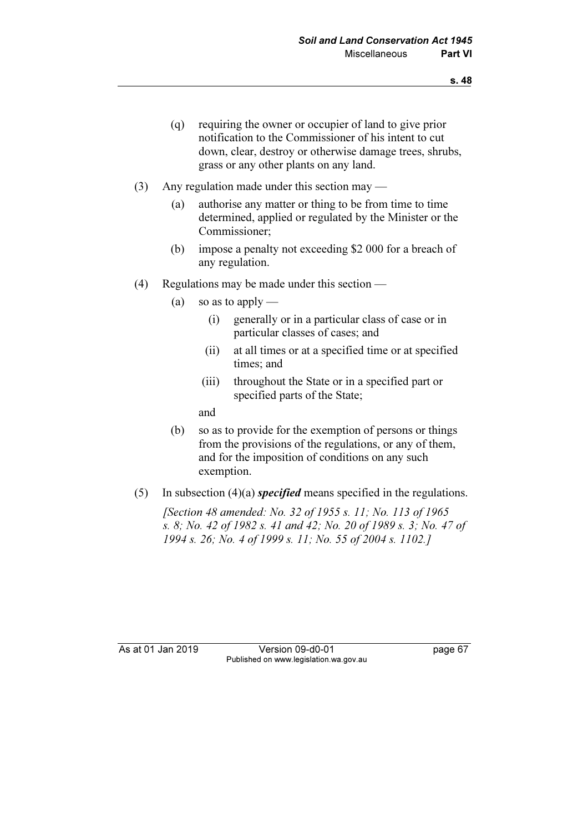- (q) requiring the owner or occupier of land to give prior notification to the Commissioner of his intent to cut down, clear, destroy or otherwise damage trees, shrubs, grass or any other plants on any land.
- (3) Any regulation made under this section may
	- (a) authorise any matter or thing to be from time to time determined, applied or regulated by the Minister or the Commissioner;
	- (b) impose a penalty not exceeding \$2 000 for a breach of any regulation.
- (4) Regulations may be made under this section
	- (a) so as to apply
		- (i) generally or in a particular class of case or in particular classes of cases; and
		- (ii) at all times or at a specified time or at specified times; and
		- (iii) throughout the State or in a specified part or specified parts of the State;

and

- (b) so as to provide for the exemption of persons or things from the provisions of the regulations, or any of them, and for the imposition of conditions on any such exemption.
- (5) In subsection (4)(a) *specified* means specified in the regulations.

 [Section 48 amended: No. 32 of 1955 s. 11; No. 113 of 1965 s. 8; No. 42 of 1982 s. 41 and 42; No. 20 of 1989 s. 3; No. 47 of 1994 s. 26; No. 4 of 1999 s. 11; No. 55 of 2004 s. 1102.]

As at 01 Jan 2019 Version 09-d0-01 page 67 Published on www.legislation.wa.gov.au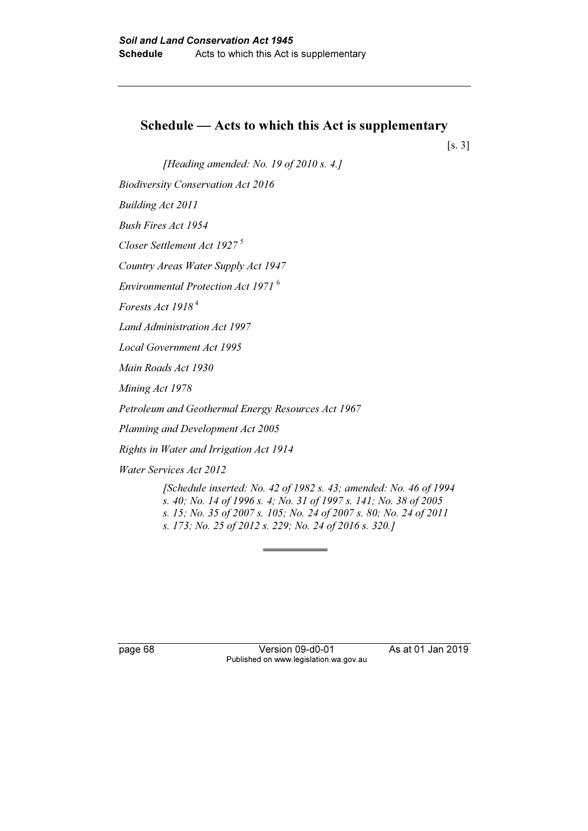# Schedule — Acts to which this Act is supplementary

[s. 3]

[Heading amended: No. 19 of 2010 s. 4.]

Biodiversity Conservation Act 2016

Building Act 2011

Bush Fires Act 1954

Closer Settlement Act 1927 <sup>5</sup>

Country Areas Water Supply Act 1947

Environmental Protection Act 1971 <sup>6</sup>

Forests Act 1918<sup>4</sup>

Land Administration Act 1997

Local Government Act 1995

Main Roads Act 1930

Mining Act 1978

Petroleum and Geothermal Energy Resources Act 1967

Planning and Development Act 2005

Rights in Water and Irrigation Act 1914

Water Services Act 2012

 [Schedule inserted: No. 42 of 1982 s. 43; amended: No. 46 of 1994 s. 40; No. 14 of 1996 s. 4; No. 31 of 1997 s. 141; No. 38 of 2005 s. 15; No. 35 of 2007 s. 105; No. 24 of 2007 s. 80; No. 24 of 2011 s. 173; No. 25 of 2012 s. 229; No. 24 of 2016 s. 320.]

page 68 Version 09-d0-01 As at 01 Jan 2019 Published on www.legislation.wa.gov.au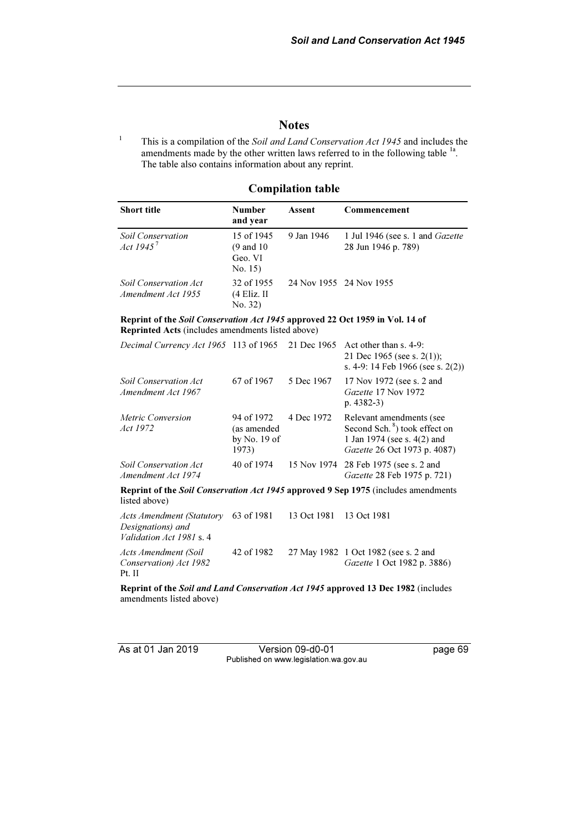## **Notes**

1 This is a compilation of the Soil and Land Conservation Act 1945 and includes the amendments made by the other written laws referred to in the following table <sup>1a</sup>. The table also contains information about any reprint.

### Compilation table

| <b>Short title</b>                                 | Number<br>and year                                        | Assent                  | Commencement                                                   |
|----------------------------------------------------|-----------------------------------------------------------|-------------------------|----------------------------------------------------------------|
| <b>Soil Conservation</b><br>Act $1945^7$           | 15 of 1945<br>$(9 \text{ and } 10)$<br>Geo. VI<br>No. 15) | 9 Jan 1946              | 1 Jul 1946 (see s. 1 and <i>Gazette</i><br>28 Jun 1946 p. 789) |
| <b>Soil Conservation Act</b><br>Amendment Act 1955 | 32 of 1955<br>(4 Eliz. II<br>No. 32)                      | 24 Nov 1955 24 Nov 1955 |                                                                |

#### Reprint of the Soil Conservation Act 1945 approved 22 Oct 1959 in Vol. 14 of Reprinted Acts (includes amendments listed above)

| Decimal Currency Act 1965 113 of 1965 21 Dec 1965                          |                                                      |             | Act other than $s$ , 4-9:<br>21 Dec 1965 (see s. 2(1));<br>s. 4-9: 14 Feb 1966 (see s. $2(2)$ )                                      |
|----------------------------------------------------------------------------|------------------------------------------------------|-------------|--------------------------------------------------------------------------------------------------------------------------------------|
| <b>Soil Conservation Act</b><br>Amendment Act 1967                         | 67 of 1967                                           | 5 Dec 1967  | 17 Nov 1972 (see s. 2 and<br>Gazette 17 Nov 1972<br>p. $4382-3$                                                                      |
| Metric Conversion<br>Act 1972                                              | 94 of 1972<br>(as amended<br>by No. $19$ of<br>1973) | 4 Dec 1972  | Relevant amendments (see<br>Second Sch. <sup>8</sup> ) took effect on<br>1 Jan 1974 (see s. 4(2) and<br>Gazette 26 Oct 1973 p. 4087) |
| <b>Soil Conservation Act</b><br>Amendment Act 1974                         | 40 of 1974                                           |             | 15 Nov 1974 28 Feb 1975 (see s. 2 and<br>Gazette 28 Feb 1975 p. 721)                                                                 |
| listed above)                                                              |                                                      |             | Reprint of the Soil Conservation Act 1945 approved 9 Sep 1975 (includes amendments                                                   |
| Acts Amendment (Statutory<br>Designations) and<br>Validation Act 1981 s. 4 | 63 of 1981                                           | 13 Oct 1981 | 13 Oct 1981                                                                                                                          |

Acts Amendment (Soil Conservation) Act 1982 Pt. II 42 of 1982 27 May 1982 1 Oct 1982 (see s. 2 and Gazette 1 Oct 1982 p. 3886)

Reprint of the Soil and Land Conservation Act 1945 approved 13 Dec 1982 (includes amendments listed above)

As at 01 Jan 2019 Version 09-d0-01 page 69 Published on www.legislation.wa.gov.au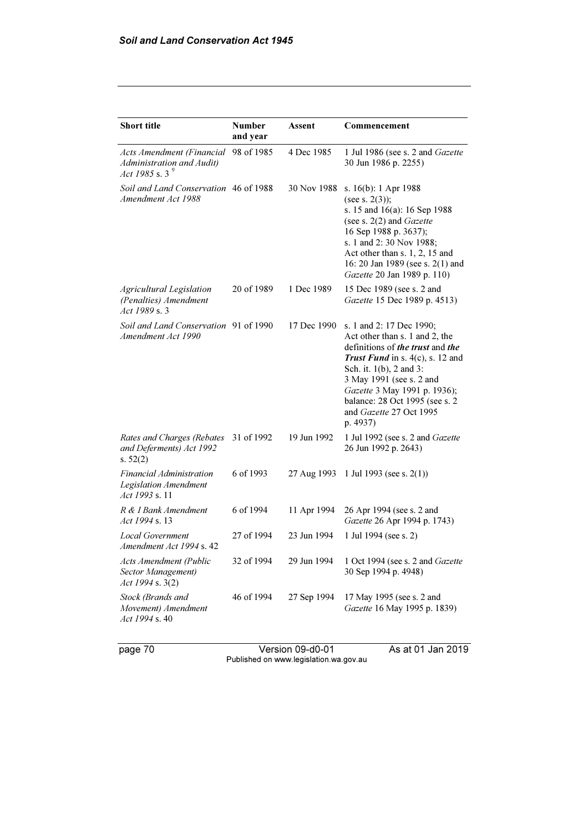| <b>Short title</b>                                                             | <b>Number</b><br>and year | Assent      | Commencement                                                                                                                                                                                                                                                                                                        |
|--------------------------------------------------------------------------------|---------------------------|-------------|---------------------------------------------------------------------------------------------------------------------------------------------------------------------------------------------------------------------------------------------------------------------------------------------------------------------|
| Acts Amendment (Financial<br>Administration and Audit)<br>Act 1985 s. 3 $^{9}$ | 98 of 1985                | 4 Dec 1985  | 1 Jul 1986 (see s. 2 and Gazette<br>30 Jun 1986 p. 2255)                                                                                                                                                                                                                                                            |
| Soil and Land Conservation 46 of 1988<br>Amendment Act 1988                    |                           | 30 Nov 1988 | s. 16(b): 1 Apr 1988<br>(see s. $2(3)$ );<br>s. 15 and 16(a): 16 Sep 1988<br>(see s. $2(2)$ and Gazette<br>16 Sep 1988 p. 3637);<br>s. 1 and 2:30 Nov 1988;<br>Act other than s. 1, 2, 15 and<br>16: 20 Jan 1989 (see s. 2(1) and<br>Gazette 20 Jan 1989 p. 110)                                                    |
| Agricultural Legislation<br>(Penalties) Amendment<br>Act 1989 s. 3             | 20 of 1989                | 1 Dec 1989  | 15 Dec 1989 (see s. 2 and<br>Gazette 15 Dec 1989 p. 4513)                                                                                                                                                                                                                                                           |
| Soil and Land Conservation 91 of 1990<br>Amendment Act 1990                    |                           | 17 Dec 1990 | s. 1 and 2: 17 Dec 1990;<br>Act other than s. 1 and 2, the<br>definitions of <i>the trust</i> and <i>the</i><br>Trust Fund in s. $4(c)$ , s. 12 and<br>Sch. it. 1(b), 2 and 3:<br>3 May 1991 (see s. 2 and<br>Gazette 3 May 1991 p. 1936);<br>balance: 28 Oct 1995 (see s. 2<br>and Gazette 27 Oct 1995<br>p. 4937) |
| Rates and Charges (Rebates<br>and Deferments) Act 1992<br>s. $52(2)$           | 31 of 1992                | 19 Jun 1992 | 1 Jul 1992 (see s. 2 and Gazette<br>26 Jun 1992 p. 2643)                                                                                                                                                                                                                                                            |
| Financial Administration<br><b>Legislation Amendment</b><br>Act 1993 s. 11     | 6 of 1993                 | 27 Aug 1993 | 1 Jul 1993 (see s. $2(1)$ )                                                                                                                                                                                                                                                                                         |
| R & I Bank Amendment<br><i>Act 1994 s.</i> 13                                  | 6 of 1994                 | 11 Apr 1994 | 26 Apr 1994 (see s. 2 and<br>Gazette 26 Apr 1994 p. 1743)                                                                                                                                                                                                                                                           |
| <b>Local Government</b><br>Amendment Act 1994 s. 42                            | 27 of 1994                | 23 Jun 1994 | 1 Jul 1994 (see s. 2)                                                                                                                                                                                                                                                                                               |
| <b>Acts Amendment (Public</b><br>Sector Management)<br>Act 1994 s. 3(2)        | 32 of 1994                | 29 Jun 1994 | 1 Oct 1994 (see s. 2 and Gazette<br>30 Sep 1994 p. 4948)                                                                                                                                                                                                                                                            |
| Stock (Brands and<br>Movement) Amendment<br>Act 1994 s. 40                     | 46 of 1994                | 27 Sep 1994 | 17 May 1995 (see s. 2 and<br>Gazette 16 May 1995 p. 1839)                                                                                                                                                                                                                                                           |

page 70 Version 09-d0-01 As at 01 Jan 2019 Published on www.legislation.wa.gov.au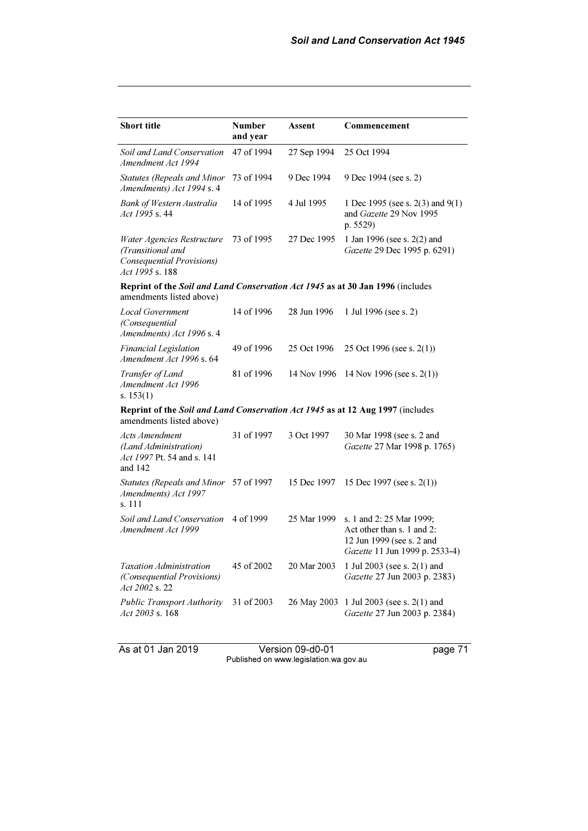| <b>Short title</b>                                                                                         | <b>Number</b><br>and year | Assent      | Commencement                                                                                                          |
|------------------------------------------------------------------------------------------------------------|---------------------------|-------------|-----------------------------------------------------------------------------------------------------------------------|
| Soil and Land Conservation<br>Amendment Act 1994                                                           | 47 of 1994                | 27 Sep 1994 | 25 Oct 1994                                                                                                           |
| <b>Statutes (Repeals and Minor</b><br>Amendments) Act 1994 s. 4                                            | 73 of 1994                | 9 Dec 1994  | 9 Dec 1994 (see s. 2)                                                                                                 |
| <b>Bank of Western Australia</b><br>Act 1995 s. 44                                                         | 14 of 1995                | 4 Jul 1995  | 1 Dec 1995 (see s. $2(3)$ and $9(1)$ )<br>and Gazette 29 Nov 1995<br>p. 5529)                                         |
| Water Agencies Restructure<br>(Transitional and<br>Consequential Provisions)<br>Act 1995 s. 188            | 73 of 1995                | 27 Dec 1995 | 1 Jan 1996 (see s. 2(2) and<br>Gazette 29 Dec 1995 p. 6291)                                                           |
| Reprint of the Soil and Land Conservation Act 1945 as at 30 Jan 1996 (includes<br>amendments listed above) |                           |             |                                                                                                                       |
| <b>Local Government</b><br>(Consequential)<br>Amendments) Act 1996 s. 4                                    | 14 of 1996                | 28 Jun 1996 | 1 Jul 1996 (see s. 2)                                                                                                 |
| <b>Financial Legislation</b><br>Amendment Act 1996 s. 64                                                   | 49 of 1996                | 25 Oct 1996 | 25 Oct 1996 (see s. $2(1)$ )                                                                                          |
| Transfer of Land<br>Amendment Act 1996<br>s. $153(1)$                                                      | 81 of 1996                | 14 Nov 1996 | 14 Nov 1996 (see s. $2(1)$ )                                                                                          |
| Reprint of the Soil and Land Conservation Act 1945 as at 12 Aug 1997 (includes<br>amendments listed above) |                           |             |                                                                                                                       |
| <b>Acts Amendment</b><br>(Land Administration)<br>Act 1997 Pt. 54 and s. 141<br>and $142$                  | 31 of 1997                | 3 Oct 1997  | 30 Mar 1998 (see s. 2 and<br>Gazette 27 Mar 1998 p. 1765)                                                             |
| <b>Statutes (Repeals and Minor</b><br>Amendments) Act 1997<br>s. 111                                       | 57 of 1997                | 15 Dec 1997 | 15 Dec 1997 (see s. $2(1)$ )                                                                                          |
| Soil and Land Conservation<br>Amendment Act 1999                                                           | 4 of 1999                 | 25 Mar 1999 | s. 1 and 2: 25 Mar 1999;<br>Act other than s. 1 and 2:<br>12 Jun 1999 (see s. 2 and<br>Gazette 11 Jun 1999 p. 2533-4) |
| <b>Taxation Administration</b><br>(Consequential Provisions)<br>Act 2002 s. 22                             | 45 of 2002                | 20 Mar 2003 | 1 Jul 2003 (see s. 2(1) and<br>Gazette 27 Jun 2003 p. 2383)                                                           |
| <b>Public Transport Authority</b><br>Act 2003 s. 168                                                       | 31 of 2003                | 26 May 2003 | 1 Jul 2003 (see s. $2(1)$ and<br>Gazette 27 Jun 2003 p. 2384)                                                         |

As at 01 Jan 2019 Version 09-d0-01 page 71 Published on www.legislation.wa.gov.au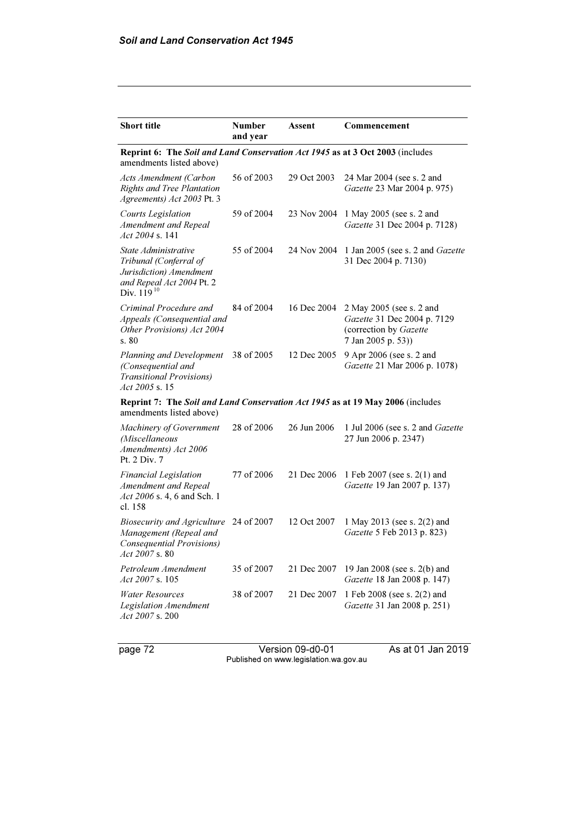| <b>Short title</b>                                                                                                        | <b>Number</b><br>and year                                                     | Assent      | Commencement                                                                                            |  |  |
|---------------------------------------------------------------------------------------------------------------------------|-------------------------------------------------------------------------------|-------------|---------------------------------------------------------------------------------------------------------|--|--|
| amendments listed above)                                                                                                  | Reprint 6: The Soil and Land Conservation Act 1945 as at 3 Oct 2003 (includes |             |                                                                                                         |  |  |
| Acts Amendment (Carbon<br><b>Rights and Tree Plantation</b><br>Agreements) Act 2003 Pt. 3                                 | 56 of 2003                                                                    | 29 Oct 2003 | 24 Mar 2004 (see s. 2 and<br>Gazette 23 Mar 2004 p. 975)                                                |  |  |
| Courts Legislation<br>Amendment and Repeal<br>Act 2004 s. 141                                                             | 59 of 2004                                                                    | 23 Nov 2004 | 1 May 2005 (see s. 2 and<br>Gazette 31 Dec 2004 p. 7128)                                                |  |  |
| State Administrative<br>Tribunal (Conferral of<br>Jurisdiction) Amendment<br>and Repeal Act 2004 Pt. 2<br>Div. $119^{10}$ | 55 of 2004                                                                    | 24 Nov 2004 | 1 Jan 2005 (see s. 2 and Gazette<br>31 Dec 2004 p. 7130)                                                |  |  |
| Criminal Procedure and<br>Appeals (Consequential and<br>Other Provisions) Act 2004<br>s.80                                | 84 of 2004                                                                    | 16 Dec 2004 | 2 May 2005 (see s. 2 and<br>Gazette 31 Dec 2004 p. 7129<br>(correction by Gazette<br>7 Jan 2005 p. 53)) |  |  |
| Planning and Development<br>(Consequential and<br><b>Transitional Provisions</b> )<br>$Act\,2005\,$ s. 15                 | 38 of 2005                                                                    | 12 Dec 2005 | 9 Apr 2006 (see s. 2 and<br>Gazette 21 Mar 2006 p. 1078)                                                |  |  |
| Reprint 7: The Soil and Land Conservation Act 1945 as at 19 May 2006 (includes<br>amendments listed above)                |                                                                               |             |                                                                                                         |  |  |
| Machinery of Government<br>(Miscellaneous<br>Amendments) Act 2006<br>Pt. 2 Div. 7                                         | 28 of 2006                                                                    | 26 Jun 2006 | 1 Jul 2006 (see s. 2 and Gazette<br>27 Jun 2006 p. 2347)                                                |  |  |
| <b>Financial Legislation</b><br>Amendment and Repeal<br>Act 2006 s. 4, 6 and Sch. 1<br>cl. 158                            | 77 of 2006                                                                    | 21 Dec 2006 | 1 Feb 2007 (see s. 2(1) and<br>Gazette 19 Jan 2007 p. 137)                                              |  |  |
| <b>Biosecurity and Agriculture</b><br>Management (Repeal and<br>Consequential Provisions)<br>Act 2007 s. 80               | 24 of 2007                                                                    | 12 Oct 2007 | 1 May 2013 (see s. 2(2) and<br>Gazette 5 Feb 2013 p. 823)                                               |  |  |
| Petroleum Amendment<br>Act 2007 s. 105                                                                                    | 35 of 2007                                                                    | 21 Dec 2007 | 19 Jan 2008 (see s. 2(b) and<br>Gazette 18 Jan 2008 p. 147)                                             |  |  |
| <b>Water Resources</b><br>Legislation Amendment<br>Act 2007 s. 200                                                        | 38 of 2007                                                                    | 21 Dec 2007 | 1 Feb 2008 (see s. 2(2) and<br>Gazette 31 Jan 2008 p. 251)                                              |  |  |

page 72 Version 09-d0-01 As at 01 Jan 2019 Published on www.legislation.wa.gov.au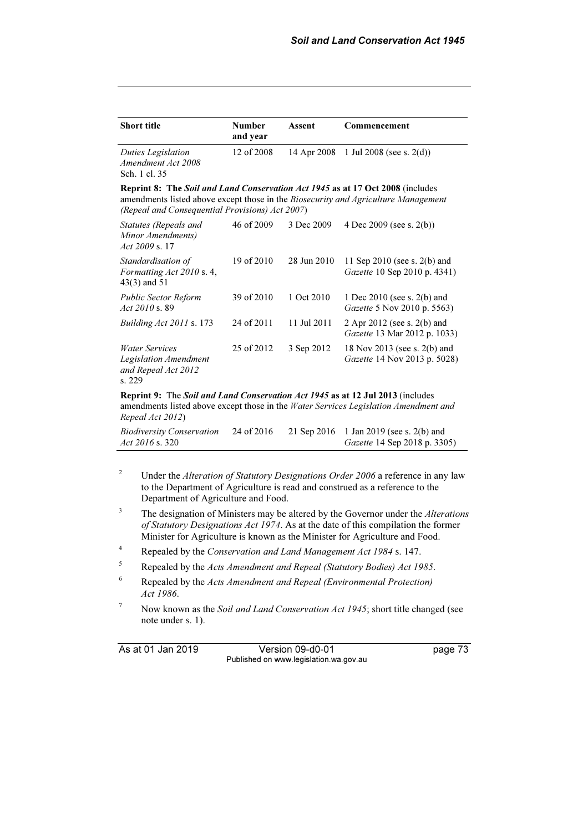| <b>Short title</b>                                                                                                                                                                                                      | <b>Number</b><br>and year | Assent      | Commencement                                                     |
|-------------------------------------------------------------------------------------------------------------------------------------------------------------------------------------------------------------------------|---------------------------|-------------|------------------------------------------------------------------|
| Duties Legislation<br>Amendment Act 2008<br>Sch. 1 cl. 35                                                                                                                                                               | 12 of 2008                | 14 Apr 2008 | 1 Jul 2008 (see s. $2(d)$ )                                      |
| Reprint 8: The Soil and Land Conservation Act 1945 as at 17 Oct 2008 (includes<br>amendments listed above except those in the Biosecurity and Agriculture Management<br>(Repeal and Consequential Provisions) Act 2007) |                           |             |                                                                  |
| Statutes (Repeals and<br>Minor Amendments)<br>$Act\,2009\,$ s. 17                                                                                                                                                       | 46 of 2009                | 3 Dec 2009  | 4 Dec 2009 (see s. $2(b)$ )                                      |
| Standardisation of<br>Formatting Act 2010 s. 4,<br>$43(3)$ and 51                                                                                                                                                       | 19 of 2010                | 28 Jun 2010 | 11 Sep $2010$ (see s. $2(b)$ and<br>Gazette 10 Sep 2010 p. 4341) |
| <b>Public Sector Reform</b><br>$Act\,2010\,\mathrm{s}$ , 89                                                                                                                                                             | 39 of 2010                | 1 Oct 2010  | 1 Dec 2010 (see s. 2(b) and<br>Gazette 5 Nov 2010 p. 5563)       |
| <i>Building Act 2011 s.</i> 173                                                                                                                                                                                         | 24 of 2011                | 11 Jul 2011 | 2 Apr 2012 (see s. 2(b) and<br>Gazette 13 Mar 2012 p. 1033)      |
| <b>Water Services</b><br>Legislation Amendment<br>and Repeal Act 2012<br>s. 229                                                                                                                                         | 25 of 2012                | 3 Sep 2012  | 18 Nov 2013 (see s. 2(b) and<br>Gazette 14 Nov 2013 p. 5028)     |
| Reprint 9: The Soil and Land Conservation Act 1945 as at 12 Jul 2013 (includes<br>amendments listed above except those in the Water Services Legislation Amendment and<br>Repeal Act 2012)                              |                           |             |                                                                  |

| <b>Biodiversity Conservation</b> | 24 of 2016 | 21 Sep 2016 1 Jan 2019 (see s. 2(b) and |
|----------------------------------|------------|-----------------------------------------|
| Act 2016 s. 320                  |            | <i>Gazette</i> 14 Sep 2018 p. 3305)     |

- 2 Under the Alteration of Statutory Designations Order 2006 a reference in any law to the Department of Agriculture is read and construed as a reference to the Department of Agriculture and Food.
- 3 The designation of Ministers may be altered by the Governor under the Alterations of Statutory Designations Act 1974. As at the date of this compilation the former Minister for Agriculture is known as the Minister for Agriculture and Food.
- 4 Repealed by the Conservation and Land Management Act 1984 s. 147.
- 5 Repealed by the Acts Amendment and Repeal (Statutory Bodies) Act 1985.
- 6 Repealed by the Acts Amendment and Repeal (Environmental Protection) Act 1986.
- 7 Now known as the Soil and Land Conservation Act 1945; short title changed (see note under s. 1).

As at 01 Jan 2019 Version 09-d0-01 page 73 Published on www.legislation.wa.gov.au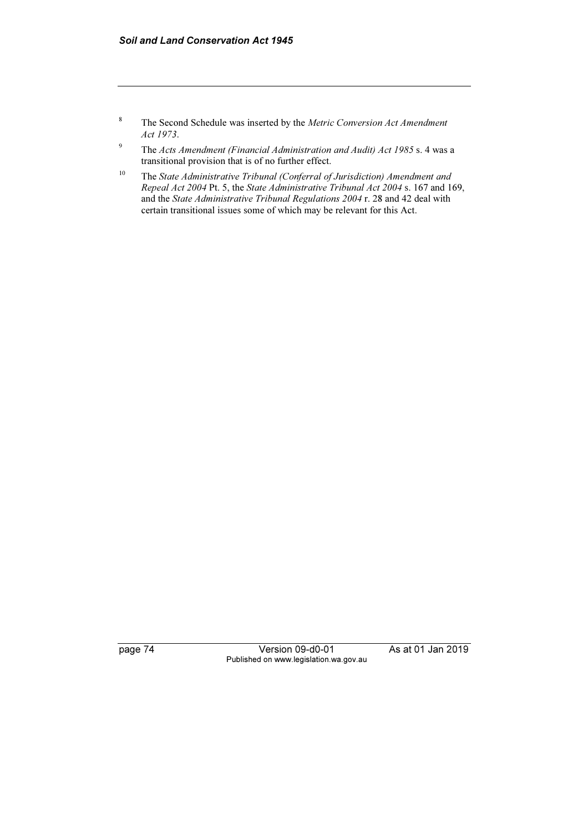- 8 The Second Schedule was inserted by the Metric Conversion Act Amendment Act 1973.
- 9 The Acts Amendment (Financial Administration and Audit) Act 1985 s. 4 was a transitional provision that is of no further effect.
- <sup>10</sup> The State Administrative Tribunal (Conferral of Jurisdiction) Amendment and Repeal Act 2004 Pt. 5, the State Administrative Tribunal Act 2004 s. 167 and 169, and the State Administrative Tribunal Regulations 2004 r. 28 and 42 deal with certain transitional issues some of which may be relevant for this Act.

page 74 Version 09-d0-01 As at 01 Jan 2019 Published on www.legislation.wa.gov.au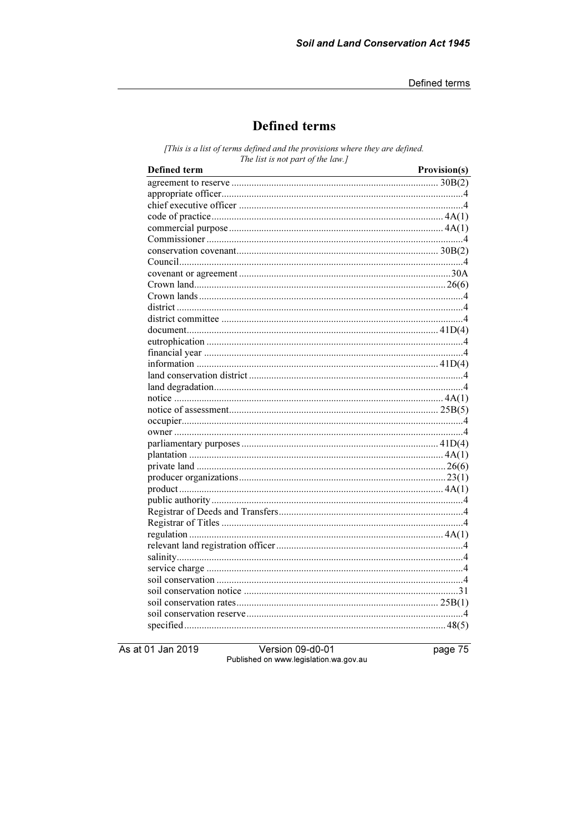# **Defined terms**

[This is a list of terms defined and the provisions where they are defined. The list is not part of the law.]

| Defined term | Provision(s) |
|--------------|--------------|
|              |              |
|              |              |
|              |              |
|              |              |
|              |              |
|              |              |
|              |              |
|              |              |
|              |              |
|              |              |
|              |              |
|              |              |
|              |              |
|              |              |
|              |              |
|              |              |
|              |              |
|              |              |
|              |              |
|              |              |
|              |              |
|              |              |
|              |              |
|              |              |
|              |              |
|              |              |
|              |              |
|              |              |
|              |              |
|              |              |
|              |              |
|              |              |
|              |              |
|              |              |
|              |              |
|              |              |
|              |              |
|              |              |
|              |              |
|              |              |

As at 01 Jan 2019

Version 09-d0-01 Published on www.legislation.wa.gov.au page 75